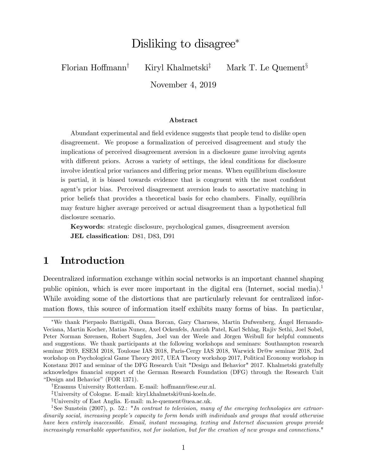# Disliking to disagree<sup>\*</sup>

Florian Hoffmann<sup>†</sup> Kiryl Khalmetski<sup>‡</sup> Mark T. Le Quement<sup>§</sup>

November 4, 2019

#### Abstract

Abundant experimental and field evidence suggests that people tend to dislike open disagreement. We propose a formalization of perceived disagreement and study the implications of perceived disagreement aversion in a disclosure game involving agents with different priors. Across a variety of settings, the ideal conditions for disclosure involve identical prior variances and differing prior means. When equilibrium disclosure is partial, it is biased towards evidence that is congruent with the most confident agent's prior bias. Perceived disagreement aversion leads to assortative matching in prior beliefs that provides a theoretical basis for echo chambers. Finally, equilibria may feature higher average perceived or actual disagreement than a hypothetical full disclosure scenario.

Keywords: strategic disclosure, psychological games, disagreement aversion JEL classification: D81, D83, D91

# 1 Introduction

Decentralized information exchange within social networks is an important channel shaping public opinion, which is ever more important in the digital era (Internet, social media).<sup>1</sup> While avoiding some of the distortions that are particularly relevant for centralized information flows, this source of information itself exhibits many forms of bias. In particular,

<sup>\*</sup>We thank Pierpaolo Battigalli, Oana Borcan, Gary Charness, Martin Dufwenberg, Ángel Hernando-Veciana, Martin Kocher, Matias Nunez, Axel Ockenfels, Amrish Patel, Karl Schlag, Rajiv Sethi, Joel Sobel, Peter Norman Sørensen, Robert Sugden, Joel van der Weele and Jörgen Weibull for helpful comments and suggestions. We thank participants at the following workshops and seminars: Southampton research seminar 2019, ESEM 2018, Toulouse IAS 2018, Paris-Cergy IAS 2018, Warwick Dr@w seminar 2018, 2nd workshop on Psychological Game Theory 2017, UEA Theory workshop 2017, Political Economy workshop in Konstanz 2017 and seminar of the DFG Research Unit "Design and Behavior" 2017. Khalmetski gratefully acknowledges Önancial support of the German Research Foundation (DFG) through the Research Unit "Design and Behavior" (FOR 1371).

<sup>&</sup>lt;sup>†</sup>Erasmus University Rotterdam. E-mail: hoffmann@ese.eur.nl.

<sup>z</sup>University of Cologne. E-mail: kiryl.khalmetski@uni-koeln.de.

<sup>x</sup>University of East Anglia. E-mail: m.le-quement@uea.ac.uk.

<sup>&</sup>lt;sup>1</sup>See Sunstein (2007), p. 52.: "In contrast to television, many of the emerging technologies are extraordinarily social, increasing people's capacity to form bonds with individuals and groups that would otherwise have been entirely inaccessible. Email, instant messaging, texting and Internet discussion groups provide increasingly remarkable opportunities, not for isolation, but for the creation of new groups and connections."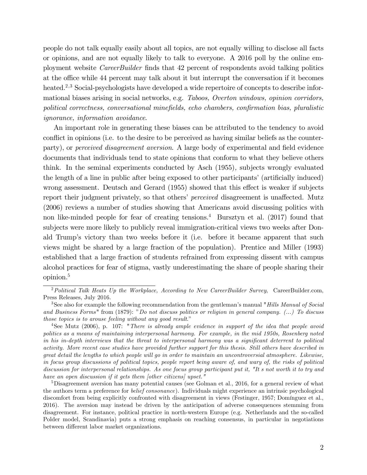people do not talk equally easily about all topics, are not equally willing to disclose all facts or opinions, and are not equally likely to talk to everyone. A 2016 poll by the online employment website *CareerBuilder* finds that 42 percent of respondents avoid talking politics at the office while 44 percent may talk about it but interrupt the conversation if it becomes heated.<sup>2,3</sup> Social-psychologists have developed a wide repertoire of concepts to describe informational biases arising in social networks, e.g. Taboos, Overton windows, opinion corridors, political correctness, conversational minefields, echo chambers, confirmation bias, pluralistic ignorance, information avoidance.

An important role in generating these biases can be attributed to the tendency to avoid conflict in opinions (i.e. to the desire to be perceived as having similar beliefs as the counterparty), or *perceived disagreement aversion*. A large body of experimental and field evidence documents that individuals tend to state opinions that conform to what they believe others think. In the seminal experiments conducted by Asch (1955), subjects wrongly evaluated the length of a line in public after being exposed to other participants' (artificially induced) wrong assessment. Deutsch and Gerard (1955) showed that this effect is weaker if subjects report their judgment privately, so that others' *perceived* disagreement is unaffected. Mutz (2006) reviews a number of studies showing that Americans avoid discussing politics with non like-minded people for fear of creating tensions.<sup>4</sup> Bursztyn et al. (2017) found that subjects were more likely to publicly reveal immigration-critical views two weeks after Donald Trump's victory than two weeks before it (i.e. before it became apparent that such views might be shared by a large fraction of the population). Prentice and Miller (1993) established that a large fraction of students refrained from expressing dissent with campus alcohol practices for fear of stigma, vastly underestimating the share of people sharing their opinion.<sup>5</sup>

<sup>&</sup>lt;sup>2</sup> Political Talk Heats Up the Workplace, According to New CareerBuilder Survey, CareerBuilder.com, Press Releases, July 2016.

<sup>&</sup>lt;sup>3</sup>See also for example the following recommendation from the gentleman's manual "*Hills Manual of Social*" and Business Forms" from  $(1879)$ : "Do not discuss politics or religion in general company.  $(\ldots)$  To discuss those topics is to arouse feeling without any good result."

<sup>&</sup>lt;sup>4</sup>See Mutz (2006), p. 107: "There is already ample evidence in support of the idea that people avoid politics as a means of maintaining interpersonal harmony. For example, in the mid 1950s, Rosenberg noted in his in-depth interviews that the threat to interpersonal harmony was a significant deterrent to political activity. More recent case studies have provided further support for this thesis. Still others have described in great detail the lengths to which people will go in order to maintain an uncontroversial atmosphere. Likewise, in focus group discussions of political topics, people report being aware of, and wary of, the risks of political discussion for interpersonal relationships. As one focus group participant put it, "It s not worth it to try and have an open discussion if it gets them [other citizens] upset."

<sup>5</sup>Disagreement aversion has many potential causes (see Golman et al., 2016, for a general review of what the authors term a preference for belief consonance). Individuals might experience an intrinsic psychological discomfort from being explicitly confronted with disagreement in views (Festinger, 1957; Domínguez et al., 2016). The aversion may instead be driven by the anticipation of adverse consequences stemming from disagreement. For instance, political practice in north-western Europe (e.g. Netherlands and the so-called Polder model, Scandinavia) puts a strong emphasis on reaching consensus, in particular in negotiations between different labor market organizations.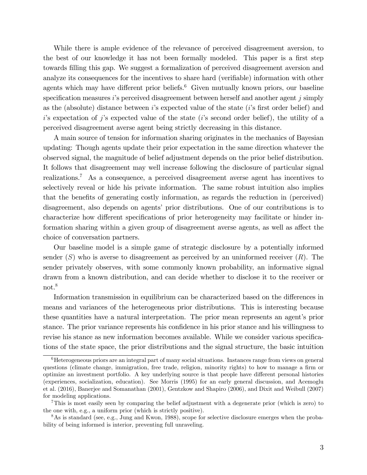While there is ample evidence of the relevance of perceived disagreement aversion, to the best of our knowledge it has not been formally modeled. This paper is a first step towards filling this gap. We suggest a formalization of perceived disagreement aversion and analyze its consequences for the incentives to share hard (verifiable) information with other agents which may have different prior beliefs. $6$  Given mutually known priors, our baseline specification measures is perceived disagreement between herself and another agent j simply as the (absolute) distance between  $i$ 's expected value of the state  $(i)$ 's first order belief) and is expectation of j's expected value of the state (i's second order belief), the utility of a perceived disagreement averse agent being strictly decreasing in this distance.

A main source of tension for information sharing originates in the mechanics of Bayesian updating: Though agents update their prior expectation in the same direction whatever the observed signal, the magnitude of belief adjustment depends on the prior belief distribution. It follows that disagreement may well increase following the disclosure of particular signal realizations.<sup>7</sup> As a consequence, a perceived disagreement averse agent has incentives to selectively reveal or hide his private information. The same robust intuition also implies that the benefits of generating costly information, as regards the reduction in (perceived) disagreement, also depends on agents' prior distributions. One of our contributions is to characterize how different specifications of prior heterogeneity may facilitate or hinder information sharing within a given group of disagreement averse agents, as well as affect the choice of conversation partners.

Our baseline model is a simple game of strategic disclosure by a potentially informed sender  $(S)$  who is averse to disagreement as perceived by an uninformed receiver  $(R)$ . The sender privately observes, with some commonly known probability, an informative signal drawn from a known distribution, and can decide whether to disclose it to the receiver or not.<sup>8</sup>

Information transmission in equilibrium can be characterized based on the differences in means and variances of the heterogeneous prior distributions. This is interesting because these quantities have a natural interpretation. The prior mean represents an agent's prior stance. The prior variance represents his confidence in his prior stance and his willingness to revise his stance as new information becomes available. While we consider various specifications of the state space, the prior distributions and the signal structure, the basic intuition

 $6$ Heterogeneous priors are an integral part of many social situations. Instances range from views on general questions (climate change, immigration, free trade, religion, minority rights) to how to manage a firm or optimize an investment portfolio. A key underlying source is that people have different personal histories (experiences, socialization, education). See Morris (1995) for an early general discussion, and Acemoglu et al. (2016), Banerjee and Somanathan (2001), Gentzkow and Shapiro (2006), and Dixit and Weibull (2007) for modeling applications.

<sup>7</sup>This is most easily seen by comparing the belief adjustment with a degenerate prior (which is zero) to the one with, e.g., a uniform prior (which is strictly positive).

<sup>8</sup>As is standard (see, e.g., Jung and Kwon, 1988), scope for selective disclosure emerges when the probability of being informed is interior, preventing full unraveling.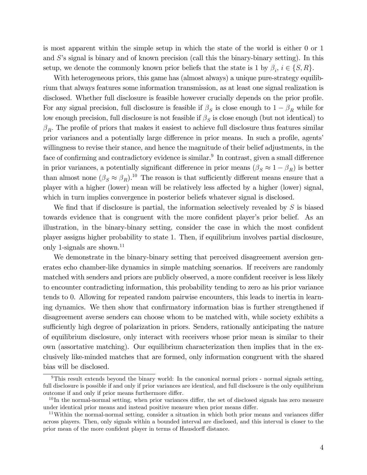is most apparent within the simple setup in which the state of the world is either 0 or 1 and  $S$ 's signal is binary and of known precision (call this the binary-binary setting). In this setup, we denote the commonly known prior beliefs that the state is 1 by  $\beta_i$ ,  $i \in \{S, R\}$ .

With heterogeneous priors, this game has (almost always) a unique pure-strategy equilibrium that always features some information transmission, as at least one signal realization is disclosed. Whether full disclosure is feasible however crucially depends on the prior profile. For any signal precision, full disclosure is feasible if  $\beta_S$  is close enough to  $1 - \beta_R$  while for low enough precision, full disclosure is not feasible if  $\beta_S$  is close enough (but not identical) to  $\beta_R$ . The profile of priors that makes it easiest to achieve full disclosure thus features similar prior variances and a potentially large difference in prior means. In such a profile, agents' willingness to revise their stance, and hence the magnitude of their belief adjustments, in the face of confirming and contradictory evidence is similar.<sup>9</sup> In contrast, given a small difference in prior variances, a potentially significant difference in prior means  $(\beta_S \approx 1 - \beta_R)$  is better than almost none  $(\beta_S \approx \beta_R)$ .<sup>10</sup> The reason is that sufficiently different means ensure that a player with a higher (lower) mean will be relatively less affected by a higher (lower) signal, which in turn implies convergence in posterior beliefs whatever signal is disclosed.

We find that if disclosure is partial, the information selectively revealed by  $S$  is biased towards evidence that is congruent with the more confident player's prior belief. As an illustration, in the binary-binary setting, consider the case in which the most confident player assigns higher probability to state 1. Then, if equilibrium involves partial disclosure, only 1-signals are shown. $^{11}$ 

We demonstrate in the binary-binary setting that perceived disagreement aversion generates echo chamber-like dynamics in simple matching scenarios. If receivers are randomly matched with senders and priors are publicly observed, a more confident receiver is less likely to encounter contradicting information, this probability tending to zero as his prior variance tends to 0. Allowing for repeated random pairwise encounters, this leads to inertia in learning dynamics. We then show that confirmatory information bias is further strengthened if disagreement averse senders can choose whom to be matched with, while society exhibits a sufficiently high degree of polarization in priors. Senders, rationally anticipating the nature of equilibrium disclosure, only interact with receivers whose prior mean is similar to their own (assortative matching). Our equilibrium characterization then implies that in the exclusively like-minded matches that are formed, only information congruent with the shared bias will be disclosed.

<sup>9</sup>This result extends beyond the binary world: In the canonical normal priors - normal signals setting, full disclosure is possible if and only if prior variances are identical, and full disclosure is the only equilibrium outcome if and only if prior means furthermore differ.

 $10$  In the normal-normal setting, when prior variances differ, the set of disclosed signals has zero measure under identical prior means and instead positive measure when prior means differ.

<sup>&</sup>lt;sup>11</sup>Within the normal-normal setting, consider a situation in which both prior means and variances differ across players. Then, only signals within a bounded interval are disclosed, and this interval is closer to the prior mean of the more confident player in terms of Hausdorff distance.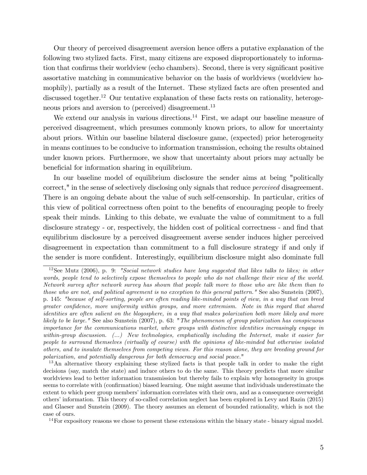Our theory of perceived disagreement aversion hence offers a putative explanation of the following two stylized facts. First, many citizens are exposed disproportionately to information that confirms their worldview (echo chambers). Second, there is very significant positive assortative matching in communicative behavior on the basis of worldviews (worldview homophily), partially as a result of the Internet. These stylized facts are often presented and discussed together.<sup>12</sup> Our tentative explanation of these facts rests on rationality, heterogeneous priors and aversion to (perceived) disagreement.<sup>13</sup>

We extend our analysis in various directions.<sup>14</sup> First, we adapt our baseline measure of perceived disagreement, which presumes commonly known priors, to allow for uncertainty about priors. Within our baseline bilateral disclosure game, (expected) prior heterogeneity in means continues to be conducive to information transmission, echoing the results obtained under known priors. Furthermore, we show that uncertainty about priors may actually be beneficial for information sharing in equilibrium.

In our baseline model of equilibrium disclosure the sender aims at being "politically correct," in the sense of selectively disclosing only signals that reduce perceived disagreement. There is an ongoing debate about the value of such self-censorship. In particular, critics of this view of political correctness often point to the benefits of encouraging people to freely speak their minds. Linking to this debate, we evaluate the value of commitment to a full disclosure strategy - or, respectively, the hidden cost of political correctness - and find that equilibrium disclosure by a perceived disagreement averse sender induces higher perceived disagreement in expectation than commitment to a full disclosure strategy if and only if the sender is more confident. Interestingly, equilibrium disclosure might also dominate full

<sup>13</sup>An alternative theory explaining these stylized facts is that people talk in order to make the right decisions (say, match the state) and induce others to do the same. This theory predicts that more similar worldviews lead to better information transmission but thereby fails to explain why homogeneity in groups seems to correlate with (confirmation) biased learning. One might assume that individuals underestimate the extent to which peer group members' information correlates with their own, and as a consequence overweight othersíinformation. This theory of so-called correlation neglect has been explored in Levy and Razin (2015) and Glaeser and Sunstein (2009). The theory assumes an element of bounded rationality, which is not the case of ours.

 $14$  For expository reasons we chose to present these extensions within the binary state - binary signal model.

<sup>&</sup>lt;sup>12</sup>See Mutz (2006), p. 9: "Social network studies have long suggested that likes talks to likes; in other words, people tend to selectively expose themselves to people who do not challenge their view of the world. Network survey after network survey has shown that people talk more to those who are like them than to those who are not, and political agreement is no exception to this general pattern." See also Sunstein (2007), p. 145: "because of self-sorting, people are often reading like-minded points of view, in a way that can breed greater confidence, more uniformity within groups, and more extremism. Note in this regard that shared identities are often salient on the blogosphere, in a way that makes polarization both more likely and more likely to be large." See also Sunstein (2007), p. 63: "The phenomenon of group polarization has conspicuous importance for the communications market, where groups with distinctive identities increasingly engage in within-group discussion.  $(\ldots)$  New technologies, emphatically including the Internet, make it easier for people to surround themselves (virtually of course) with the opinions of like-minded but otherwise isolated others, and to insulate themselves from competing views. For this reason alone, they are breeding ground for polarization, and potentially dangerous for both democracy and social peace."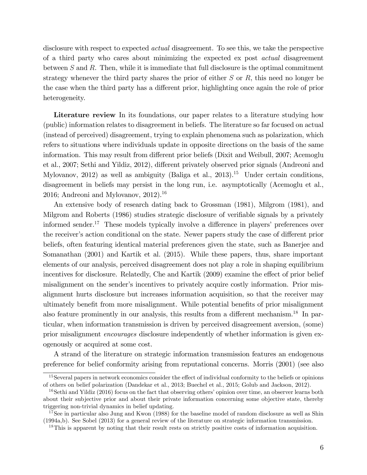disclosure with respect to expected *actual* disagreement. To see this, we take the perspective of a third party who cares about minimizing the expected ex post actual disagreement between  $S$  and  $R$ . Then, while it is immediate that full disclosure is the optimal commitment strategy whenever the third party shares the prior of either  $S$  or  $R$ , this need no longer be the case when the third party has a different prior, highlighting once again the role of prior heterogeneity.

Literature review In its foundations, our paper relates to a literature studying how (public) information relates to disagreement in beliefs. The literature so far focused on actual (instead of perceived) disagreement, trying to explain phenomena such as polarization, which refers to situations where individuals update in opposite directions on the basis of the same information. This may result from different prior beliefs (Dixit and Weibull, 2007; Acemoglu et al., 2007; Sethi and Yildiz, 2012), different privately observed prior signals (Andreoni and Mylovanov, 2012) as well as ambiguity (Baliga et al., 2013).<sup>15</sup> Under certain conditions, disagreement in beliefs may persist in the long run, i.e. asymptotically (Acemoglu et al., 2016; Andreoni and Mylovanov,  $2012$ ).<sup>16</sup>

An extensive body of research dating back to Grossman (1981), Milgrom (1981), and Milgrom and Roberts (1986) studies strategic disclosure of verifiable signals by a privately informed sender.<sup>17</sup> These models typically involve a difference in players' preferences over the receiver's action conditional on the state. Newer papers study the case of different prior beliefs, often featuring identical material preferences given the state, such as Banerjee and Somanathan (2001) and Kartik et al. (2015). While these papers, thus, share important elements of our analysis, perceived disagreement does not play a role in shaping equilibrium incentives for disclosure. Relatedly, Che and Kartik (2009) examine the effect of prior belief misalignment on the sender's incentives to privately acquire costly information. Prior misalignment hurts disclosure but increases information acquisition, so that the receiver may ultimately benefit from more misalignment. While potential benefits of prior misalignment also feature prominently in our analysis, this results from a different mechanism.<sup>18</sup> In particular, when information transmission is driven by perceived disagreement aversion, (some) prior misalignment encourages disclosure independently of whether information is given exogenously or acquired at some cost.

A strand of the literature on strategic information transmission features an endogenous preference for belief conformity arising from reputational concerns. Morris (2001) (see also

 $15$ Several papers in network economics consider the effect of individual conformity to the beliefs or opinions of others on belief polarization (Dandekar et al., 2013; Buechel et al., 2015; Golub and Jackson, 2012).

 $16$ Sethi and Yildiz (2016) focus on the fact that observing others' opinion over time, an observer learns both about their subjective prior and about their private information concerning some objective state, thereby triggering non-trivial dynamics in belief updating.

<sup>&</sup>lt;sup>17</sup>See in particular also Jung and Kwon (1988) for the baseline model of random disclosure as well as Shin (1994a,b). See Sobel (2013) for a general review of the literature on strategic information transmission.

<sup>&</sup>lt;sup>18</sup>This is apparent by noting that their result rests on strictly positive costs of information acquisition.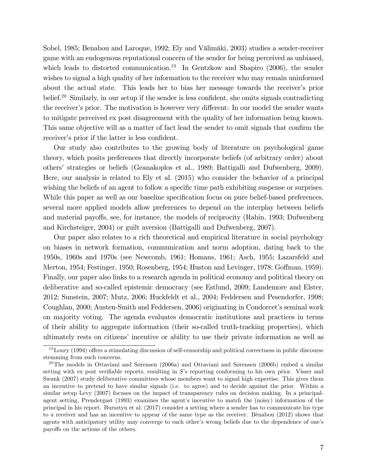Sobel, 1985; Benabou and Laroque, 1992; Ely and Välimäki, 2003) studies a sender-receiver game with an endogenous reputational concern of the sender for being perceived as unbiased, which leads to distorted communication.<sup>19</sup> In Gentzkow and Shapiro  $(2006)$ , the sender wishes to signal a high quality of her information to the receiver who may remain uninformed about the actual state. This leads her to bias her message towards the receiver's prior belief.<sup>20</sup> Similarly, in our setup if the sender is less confident, she omits signals contradicting the receiver's prior. The motivation is however very different: In our model the sender wants to mitigate perceived ex post disagreement with the quality of her information being known. This same objective will as a matter of fact lead the sender to omit signals that confirm the receiver's prior if the latter is less confident.

Our study also contributes to the growing body of literature on psychological game theory, which posits preferences that directly incorporate beliefs (of arbitrary order) about othersí strategies or beliefs (Geanakoplos et al., 1989; Battigalli and Dufwenberg, 2009). Here, our analysis is related to Ely et al. (2015) who consider the behavior of a principal wishing the beliefs of an agent to follow a specific time path exhibiting suspense or surprises. While this paper as well as our baseline specification focus on pure belief-based preferences, several more applied models allow preferences to depend on the interplay between beliefs and material payoffs, see, for instance, the models of reciprocity (Rabin, 1993; Dufwenberg and Kirchsteiger, 2004) or guilt aversion (Battigalli and Dufwenberg, 2007).

Our paper also relates to a rich theoretical and empirical literature in social psychology on biases in network formation, communication and norm adoption, dating back to the 1950s, 1960s and 1970s (see Newcomb, 1961; Homans, 1961; Asch, 1955; Lazarsfeld and Merton, 1954; Festinger, 1950; Rosenberg, 1954; Huston and Levinger, 1978; Goffman, 1959). Finally, our paper also links to a research agenda in political economy and political theory on deliberative and so-called epistemic democracy (see Estlund, 2009; Landemore and Elster, 2012; Sunstein, 2007; Mutz, 2006; Huckfeldt et al., 2004; Feddersen and Pesendorfer, 1998; Coughlan, 2000; Austen-Smith and Feddersen, 2006) originating in Condorcet's seminal work on majority voting. The agenda evaluates democratic institutions and practices in terms of their ability to aggregate information (their so-called truth-tracking properties), which ultimately rests on citizens' incentive or ability to use their private information as well as

 $19$ Loury (1994) offers a stimulating discussion of self-censorship and political correctness in public discourse stemming from such concerns.

<sup>&</sup>lt;sup>20</sup>The models in Ottaviani and Sørensen (2006a) and Ottaviani and Sørensen (2006b) embed a similar setting with ex post verifiable reports, resulting in  $S$ 's reporting conforming to his own prior. Visser and Swank (2007) study deliberative committees whose members want to signal high expertise. This gives them an incentive to pretend to have similar signals (i.e. to agree) and to decide against the prior. Within a similar setup Levy (2007) focuses on the impact of transparency rules on decision making. In a principalagent setting, Prendergast (1993) examines the agent's incentive to match the (noisy) information of the principal in his report. Bursztyn et al. (2017) consider a setting where a sender has to communicate his type to a receiver and has an incentive to appear of the same type as the receiver. BÈnabou (2012) shows that agents with anticipatory utility may converge to each other's wrong beliefs due to the dependence of one's payoffs on the actions of the others.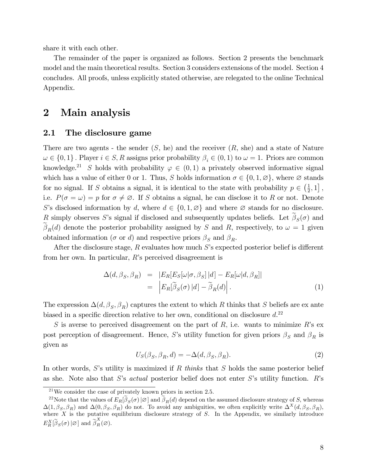share it with each other.

The remainder of the paper is organized as follows. Section 2 presents the benchmark model and the main theoretical results. Section 3 considers extensions of the model. Section 4 concludes. All proofs, unless explicitly stated otherwise, are relegated to the online Technical Appendix.

# 2 Main analysis

#### 2.1 The disclosure game

There are two agents - the sender  $(S, he)$  and the receiver  $(R, she)$  and a state of Nature  $\omega \in \{0,1\}$ . Player  $i \in S, R$  assigns prior probability  $\beta_i \in (0,1)$  to  $\omega = 1$ . Priors are common knowledge.<sup>21</sup> S holds with probability  $\varphi \in (0,1)$  a privately observed informative signal which has a value of either 0 or 1. Thus, S holds information  $\sigma \in \{0, 1, \emptyset\}$ , where  $\emptyset$  stands for no signal. If S obtains a signal, it is identical to the state with probability  $p \in \left(\frac{1}{2}\right)$  $\frac{1}{2}, 1]$ , i.e.  $P(\sigma = \omega) = p$  for  $\sigma \neq \emptyset$ . If S obtains a signal, he can disclose it to R or not. Denote S's disclosed information by d, where  $d \in \{0, 1, \emptyset\}$  and where  $\emptyset$  stands for no disclosure. R simply observes S's signal if disclosed and subsequently updates beliefs. Let  $\beta_S(\sigma)$  and  $\beta_R(d)$  denote the posterior probability assigned by S and R, respectively, to  $\omega = 1$  given obtained information ( $\sigma$  or d) and respective priors  $\beta_S$  and  $\beta_R$ .

After the disclosure stage,  $R$  evaluates how much  $S$ 's expected posterior belief is different from her own. In particular, R's perceived disagreement is

$$
\Delta(d, \beta_S, \beta_R) = |E_R[E_S[\omega|\sigma, \beta_S]|d] - E_R[\omega|d, \beta_R]|
$$
  
= 
$$
|E_R[\tilde{\beta}_S(\sigma)|d] - \tilde{\beta}_R(d)|.
$$
 (1)

The expression  $\Delta(d, \beta_S, \beta_R)$  captures the extent to which R thinks that S beliefs are ex ante biased in a specific direction relative to her own, conditional on disclosure  $d^{22}$ 

S is averse to perceived disagreement on the part of  $R$ , i.e. wants to minimize  $R$ 's ex post perception of disagreement. Hence, S's utility function for given priors  $\beta_S$  and  $\beta_R$  is given as

$$
U_S(\beta_S, \beta_R, d) = -\Delta(d, \beta_S, \beta_R). \tag{2}
$$

In other words, S's utility is maximized if R thinks that S holds the same posterior belief as she. Note also that S's *actual* posterior belief does not enter S's utility function.  $R$ 's

<sup>21</sup>We consider the case of privately known priors in section 2.5.

<sup>&</sup>lt;sup>22</sup>Note that the values of  $E_R[\beta_S(\sigma)|\varnothing]$  and  $\beta_R(d)$  depend on the assumed disclosure strategy of S, whereas  $\Delta(1,\beta_S,\beta_R)$  and  $\Delta(0,\beta_S,\beta_R)$  do not. To avoid any ambiguities, we often explicitly write  $\Delta^X(d,\beta_S,\beta_R)$ , where  $X$  is the putative equilibrium disclosure strategy of  $S$ . In the Appendix, we similarly introduce  $E_R^X[\widetilde{\beta}_S(\sigma)|\varnothing]$  and  $\widetilde{\beta}_R^X(\varnothing)$ .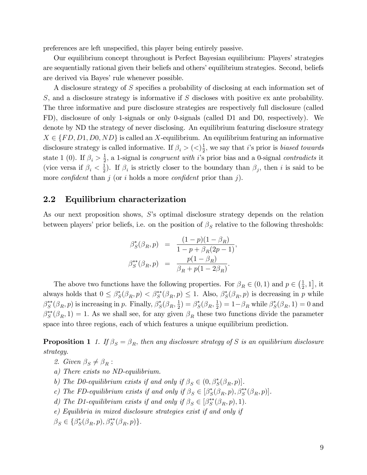preferences are left unspecified, this player being entirely passive.

Our equilibrium concept throughout is Perfect Bayesian equilibrium: Players' strategies are sequentially rational given their beliefs and others' equilibrium strategies. Second, beliefs are derived via Bayes' rule whenever possible.

A disclosure strategy of  $S$  specifies a probability of disclosing at each information set of S, and a disclosure strategy is informative if S discloses with positive ex ante probability. The three informative and pure disclosure strategies are respectively full disclosure (called FD), disclosure of only 1-signals or only 0-signals (called D1 and D0, respectively). We denote by ND the strategy of never disclosing. An equilibrium featuring disclosure strategy  $X \in \{FD, D1, D0, ND\}$  is called an X-equilibrium. An equilibrium featuring an informative disclosure strategy is called informative. If  $\beta_i > ()\frac{1}{2}$  $\frac{1}{2}$ , we say that *i*'s prior is *biased towards* state 1 (0). If  $\beta_i > \frac{1}{2}$  $\frac{1}{2}$ , a 1-signal is *congruent with i*'s prior bias and a 0-signal *contradicts* it (vice versa if  $\beta_i < \frac{1}{2}$  $\frac{1}{2}$ ). If  $\beta_i$  is strictly closer to the boundary than  $\beta_j$ , then i is said to be more *confident* than j (or i holds a more *confident* prior than j).

#### 2.2 Equilibrium characterization

As our next proposition shows,  $S$ 's optimal disclosure strategy depends on the relation between players' prior beliefs, i.e. on the position of  $\beta_S$  relative to the following thresholds:

$$
\beta_S^*(\beta_R, p) = \frac{(1-p)(1-\beta_R)}{1-p+\beta_R(2p-1)}, \n\beta_S^{**}(\beta_R, p) = \frac{p(1-\beta_R)}{\beta_R+p(1-2\beta_R)}.
$$

The above two functions have the following properties. For  $\beta_R \in (0,1)$  and  $p \in (\frac{1}{2})$  $\frac{1}{2}$ , 1], it always holds that  $0 \leq \beta_S^*(\beta_R, p) < \beta_S^{**}(\beta_R, p) \leq 1$ . Also,  $\beta_S^*(\beta_R, p)$  is decreasing in p while  $\beta_S^{**}(\beta_R, p)$  is increasing in p. Finally,  $\beta_S^{*}(\beta_R, \frac{1}{2})$  $(\frac{1}{2}) = \beta_S^*(\beta_R, \frac{1}{2})$  $\left(\frac{1}{2}\right) = 1 - \beta_R$  while  $\beta_S^*(\beta_R, 1) = 0$  and  $\beta_S^{**}(\beta_R, 1) = 1$ . As we shall see, for any given  $\beta_R$  these two functions divide the parameter space into three regions, each of which features a unique equilibrium prediction.

**Proposition 1** 1. If  $\beta_S = \beta_R$ , then any disclosure strategy of S is an equilibrium disclosure strategy.

- 2. Given  $\beta_S \neq \beta_R$ :
- a) There exists no ND-equilibrium.
- b) The D0-equilibrium exists if and only if  $\beta_S \in (0, \beta_S^*(\beta_R, p)]$ .
- c) The FD-equilibrium exists if and only if  $\beta_S \in [\beta_S^*(\beta_R, p), \beta_S^{**}(\beta_R, p)].$
- d) The D1-equilibrium exists if and only if  $\beta_S \in [\beta_S^{**}(\beta_R, p), 1)$ .
- e) Equilibria in mixed disclosure strategies exist if and only if
- $\beta_S \in {\beta_S^*(\beta_R, p), \beta_S^{**}(\beta_R, p)}.$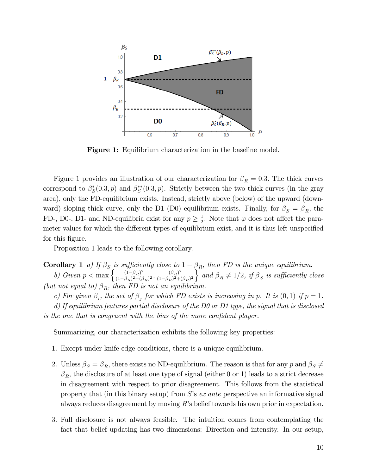

Figure 1: Equilibrium characterization in the baseline model.

Figure 1 provides an illustration of our characterization for  $\beta_R = 0.3$ . The thick curves correspond to  $\beta_S^*(0.3, p)$  and  $\beta_S^{**}(0.3, p)$ . Strictly between the two thick curves (in the gray area), only the FD-equilibrium exists. Instead, strictly above (below) of the upward (downward) sloping thick curve, only the D1 (D0) equilibrium exists. Finally, for  $\beta_S = \beta_R$ , the FD-, D0-, D1- and ND-equilibria exist for any  $p \geq \frac{1}{2}$  $\frac{1}{2}$ . Note that  $\varphi$  does not affect the parameter values for which the different types of equilibrium exist, and it is thus left unspecified for this figure.

Proposition 1 leads to the following corollary.

**Corollary 1** a) If  $\beta_S$  is sufficiently close to  $1 - \beta_R$ , then FD is the unique equilibrium.

b) Given  $p < \max \left\{ \frac{(1-\beta_R)^2}{(1-\beta_R)^2 + (1-\beta_R)^2} \right\}$  $\frac{(1-\beta_R)^2}{(1-\beta_R)^2+(\beta_R)^2}$ ,  $\frac{(\beta_R)^2}{(1-\beta_R)^2+(1-\beta_R)^2}$  $\frac{(\beta_R)^2}{(1-\beta_R)^2+(\beta_R)^2}$  and  $\beta_R \neq 1/2$ , if  $\beta_S$  is sufficiently close (but not equal to)  $\beta_R$ , then FD is not an equilibrium.

c) For given  $\beta_i$ , the set of  $\beta_j$  for which FD exists is increasing in p. It is  $(0,1)$  if  $p=1$ .

d) If equilibrium features partial disclosure of the D0 or D1 type, the signal that is disclosed is the one that is congruent with the bias of the more confident player.

Summarizing, our characterization exhibits the following key properties:

- 1. Except under knife-edge conditions, there is a unique equilibrium.
- 2. Unless  $\beta_S = \beta_R$ , there exists no ND-equilibrium. The reason is that for any p and  $\beta_S \neq$  $\beta_R$ , the disclosure of at least one type of signal (either 0 or 1) leads to a strict decrease in disagreement with respect to prior disagreement. This follows from the statistical property that (in this binary setup) from  $S$ 's ex ante perspective an informative signal always reduces disagreement by moving  $R$ 's belief towards his own prior in expectation.
- 3. Full disclosure is not always feasible. The intuition comes from contemplating the fact that belief updating has two dimensions: Direction and intensity. In our setup,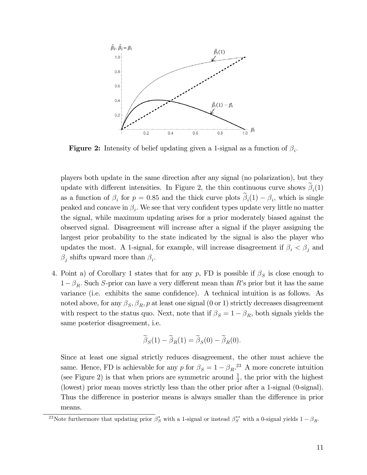

**Figure 2:** Intensity of belief updating given a 1-signal as a function of  $\beta_i$ .

players both update in the same direction after any signal (no polarization), but they update with different intensities. In Figure 2, the thin continuous curve shows  $\beta_i(1)$ as a function of  $\beta_i$  for  $p = 0.85$  and the thick curve plots  $\beta_i(1) - \beta_i$ , which is single peaked and concave in  $\beta_i$ . We see that very confident types update very little no matter the signal, while maximum updating arises for a prior moderately biased against the observed signal. Disagreement will increase after a signal if the player assigning the largest prior probability to the state indicated by the signal is also the player who updates the most. A 1-signal, for example, will increase disagreement if  $\beta_i < \beta_j$  and  $\beta_j$  shifts upward more than  $\beta_i$ .

4. Point a) of Corollary 1 states that for any p, FD is possible if  $\beta_S$  is close enough to  $1-\beta_R$ . Such S-prior can have a very different mean than R's prior but it has the same variance (i.e. exhibits the same confidence). A technical intuition is as follows. As noted above, for any  $\beta_S$ ,  $\beta_R$ ,  $p$  at least one signal (0 or 1) strictly decreases disagreement with respect to the status quo. Next, note that if  $\beta_S = 1 - \beta_R$ , both signals yields the same posterior disagreement, i.e.

$$
\widetilde{\beta}_S(1) - \widetilde{\beta}_R(1) = \widetilde{\beta}_S(0) - \widetilde{\beta}_R(0).
$$

Since at least one signal strictly reduces disagreement, the other must achieve the same. Hence, FD is achievable for any p for  $\beta_S = 1 - \beta_R$ .<sup>23</sup> A more concrete intuition (see Figure 2) is that when priors are symmetric around  $\frac{1}{2}$ , the prior with the highest (lowest) prior mean moves strictly less than the other prior after a 1-signal (0-signal). Thus the difference in posterior means is always smaller than the difference in prior means.

<sup>&</sup>lt;sup>23</sup>Note furthermore that updating prior  $\beta_S^*$  with a 1-signal or instead  $\beta_S^{**}$  with a 0-signal yields  $1-\beta_R$ .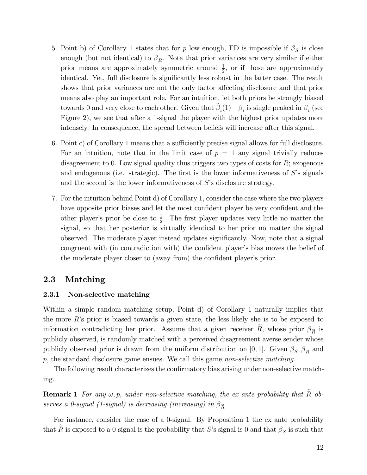- 5. Point b) of Corollary 1 states that for p low enough, FD is impossible if  $\beta_S$  is close enough (but not identical) to  $\beta_R$ . Note that prior variances are very similar if either prior means are approximately symmetric around  $\frac{1}{2}$ , or if these are approximately identical. Yet, full disclosure is significantly less robust in the latter case. The result shows that prior variances are not the only factor affecting disclosure and that prior means also play an important role. For an intuition, let both priors be strongly biased towards 0 and very close to each other. Given that  $\beta_i(1) - \beta_i$  is single peaked in  $\beta_i$  (see Figure 2), we see that after a 1-signal the player with the highest prior updates more intensely. In consequence, the spread between beliefs will increase after this signal.
- 6. Point c) of Corollary 1 means that a sufficiently precise signal allows for full disclosure. For an intuition, note that in the limit case of  $p = 1$  any signal trivially reduces disagreement to 0. Low signal quality thus triggers two types of costs for  $R$ ; exogenous and endogenous (i.e. strategic). The first is the lower informativeness of  $S$ 's signals and the second is the lower informativeness of  $S$ 's disclosure strategy.
- 7. For the intuition behind Point d) of Corollary 1, consider the case where the two players have opposite prior biases and let the most confident player be very confident and the other player's prior be close to  $\frac{1}{2}$ . The first player updates very little no matter the signal, so that her posterior is virtually identical to her prior no matter the signal observed. The moderate player instead updates significantly. Now, note that a signal congruent with (in contradiction with) the confident player's bias moves the belief of the moderate player closer to (away from) the confident player's prior.

## 2.3 Matching

#### 2.3.1 Non-selective matching

Within a simple random matching setup, Point d) of Corollary 1 naturally implies that the more  $R$ 's prior is biased towards a given state, the less likely she is to be exposed to information contradicting her prior. Assume that a given receiver  $\hat{R}$ , whose prior  $\beta_{\tilde{R}}$  is publicly observed, is randomly matched with a perceived disagreement averse sender whose publicly observed prior is drawn from the uniform distribution on [0, 1]. Given  $\beta_S$ ,  $\beta_{\widetilde{R}}$  and p; the standard disclosure game ensues. We call this game non-selective matching.

The following result characterizes the confirmatory bias arising under non-selective matching.

**Remark 1** For any  $\omega$ , p, under non-selective matching, the ex ante probability that  $\widetilde{R}$  observes a 0-signal (1-signal) is decreasing (increasing) in  $\beta_{\tilde{R}}$ .

For instance, consider the case of a 0-signal. By Proposition 1 the ex ante probability that R is exposed to a 0-signal is the probability that S's signal is 0 and that  $\beta_S$  is such that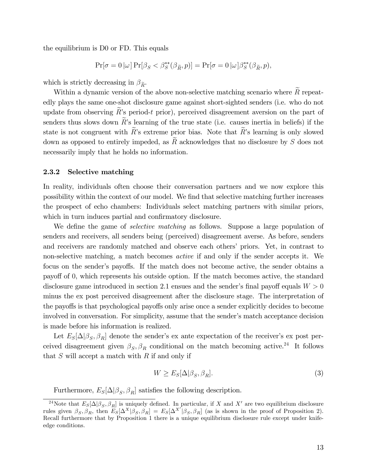the equilibrium is D0 or FD. This equals

$$
\Pr[\sigma = 0 | \omega] \Pr[\beta_S < \beta_S^{**}(\beta_{\widetilde{R}}, p)] = \Pr[\sigma = 0 | \omega] \beta_S^{**}(\beta_{\widetilde{R}}, p),
$$

which is strictly decreasing in  $\beta_{\tilde{R}}$ .

Within a dynamic version of the above non-selective matching scenario where  $R$  repeatedly plays the same one-shot disclosure game against short-sighted senders (i.e. who do not update from observing  $R$ 's period-t prior), perceived disagreement aversion on the part of senders thus slows down  $\tilde{R}$ 's learning of the true state (i.e. causes inertia in beliefs) if the state is not congruent with  $\widetilde{R}$ 's extreme prior bias. Note that  $\widetilde{R}$ 's learning is only slowed down as opposed to entirely impeded, as  $R$  acknowledges that no disclosure by  $S$  does not necessarily imply that he holds no information.

#### 2.3.2 Selective matching

In reality, individuals often choose their conversation partners and we now explore this possibility within the context of our model. We Önd that selective matching further increases the prospect of echo chambers: Individuals select matching partners with similar priors, which in turn induces partial and confirmatory disclosure.

We define the game of *selective matching* as follows. Suppose a large population of senders and receivers, all senders being (perceived) disagreement averse. As before, senders and receivers are randomly matched and observe each others' priors. Yet, in contrast to non-selective matching, a match becomes active if and only if the sender accepts it. We focus on the sender's payoffs. If the match does not become active, the sender obtains a payoff of 0, which represents his outside option. If the match becomes active, the standard disclosure game introduced in section 2.1 ensues and the sender's final payoff equals  $W > 0$ minus the ex post perceived disagreement after the disclosure stage. The interpretation of the payoffs is that psychological payoffs only arise once a sender explicitly decides to become involved in conversation. For simplicity, assume that the sender's match acceptance decision is made before his information is realized.

Let  $E_S[\Delta|\beta_S, \beta_R]$  denote the sender's ex ante expectation of the receiver's ex post perceived disagreement given  $\beta_S, \beta_R$  conditional on the match becoming active.<sup>24</sup> It follows that  $S$  will accept a match with  $R$  if and only if

$$
W \ge E_S[\Delta|\beta_S, \beta_R].\tag{3}
$$

Furthermore,  $E_S[\Delta|\beta_S, \beta_R]$  satisfies the following description.

<sup>&</sup>lt;sup>24</sup>Note that  $E_S[\Delta|\beta_S,\beta_R]$  is uniquely defined. In particular, if X and X' are two equilibrium disclosure rules given  $\beta_S$ ,  $\beta_R$ , then  $E_S[\Delta^X|\beta_S, \beta_R] = E_S[\Delta^{X'}|\beta_S, \beta_R]$  (as is shown in the proof of Proposition 2). Recall furthermore that by Proposition 1 there is a unique equilibrium disclosure rule except under knifeedge conditions.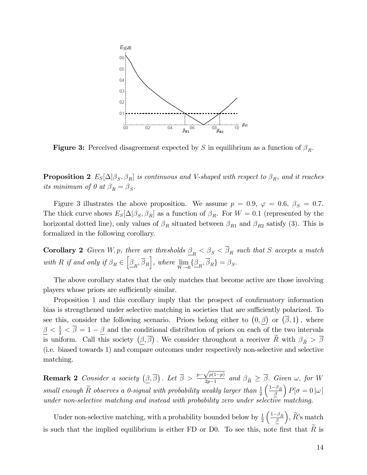

**Figure 3:** Perceived disagreement expected by S in equilibrium as a function of  $\beta_R$ .

**Proposition 2**  $E_S[\Delta|\beta_S, \beta_R]$  is continuous and V-shaped with respect to  $\beta_R$ , and it reaches its minimum of 0 at  $\beta_R = \beta_S$ .

Figure 3 illustrates the above proposition. We assume  $p = 0.9, \varphi = 0.6, \beta_S = 0.7$ . The thick curve shows  $E_S[\Delta|\beta_S, \beta_R]$  as a function of  $\beta_R$ . For  $W = 0.1$  (represented by the horizontal dotted line), only values of  $\beta_R$  situated between  $\beta_{R1}$  and  $\beta_{R2}$  satisfy (3). This is formalized in the following corollary.

**Corollary 2** Given W, p, there are thresholds  $\underline{\beta}_R < \beta_S < \beta_R$  such that S accepts a match with R if and only if  $\beta_R \in \left[\underline{\beta_R}, \overline{\beta_R}\right]$ , where  $\lim_{W \to 0}$  $\lim_{W\to 0} {\{\beta_R, \beta_R\}} = \beta_S.$ 

The above corollary states that the only matches that become active are those involving players whose priors are sufficiently similar.

Proposition 1 and this corollary imply that the prospect of confirmatory information bias is strengthened under selective matching in societies that are sufficiently polarized. To see this, consider the following scenario. Priors belong either to  $(0,\beta)$  or  $(\bar{\beta},1)$ , where  $\frac{\beta}{\alpha} < \frac{1}{2} < \overline{\beta} = 1 - \underline{\beta}$  and the conditional distribution of priors on each of the two intervals is uniform. Call this society  $(\underline{\beta}, \overline{\beta})$ . We consider throughout a receiver  $\widetilde{R}$  with  $\beta_{\widetilde{R}} > \overline{\beta}$ (i.e. biased towards 1) and compare outcomes under respectively non-selective and selective matching.

**Remark 2** Consider a society  $(\beta, \overline{\beta})$ . Let  $\overline{\beta} > \frac{p - \sqrt{p(1-p)}}{2p-1}$  $\frac{\partial P}{\partial p-1}$  and  $\beta_{\widetilde{R}} \geq \beta$ . Given  $\omega$ , for W small enough  $\tilde{R}$  observes a 0-signal with probability weakly larger than  $\frac{1}{2}$  $\left(\frac{1-\beta_{\widetilde{R}}}{\beta}\right)$  $\Big) P[\sigma = 0 |\omega]$ under non-selective matching and instead with probability zero under selective matching.

Under non-selective matching, with a probability bounded below by  $\frac{1}{2}$  $\left(\frac{1-\beta_{\widetilde{R}}}{\beta}\right)$  $\Big), \widetilde{R}$ 's match is such that the implied equilibrium is either FD or D0. To see this, note first that  $R$  is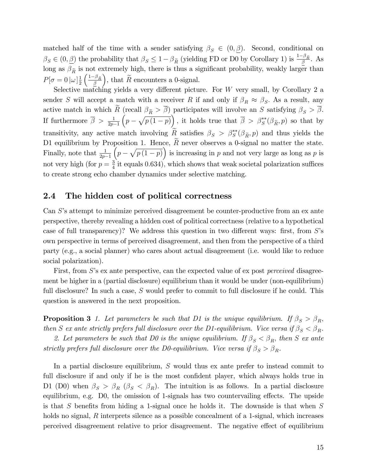matched half of the time with a sender satisfying  $\beta_S \in (0,\beta)$ . Second, conditional on  $\beta_S \in (0, \underline{\beta})$  the probability that  $\beta_S \leq 1 - \beta_{\widetilde{R}}$  (yielding FD or D0 by Corollary 1) is  $\frac{1-\beta_{\widetilde{R}}}{\underline{\beta}}$ . As long as  $\beta_{\tilde{R}}$  is not extremely high, there is thus a significant probability, weakly larger than  $P[\sigma=0|\omega]_{\frac{1}{2}}^{1}$ 2  $\left(\frac{1-\beta_{\widetilde{R}}}{\beta}\right)$ ), that  $\widetilde{R}$  encounters a 0-signal.

Selective matching yields a very different picture. For W very small, by Corollary 2 a sender S will accept a match with a receiver R if and only if  $\beta_R \approx \beta_S$ . As a result, any active match in which R (recall  $\beta_{\tilde{R}} > \beta$ ) participates will involve an S satisfying  $\beta_S > \beta$ . If furthermore  $\overline{\beta} > \frac{1}{2p-1}$  $(p - \sqrt{p(1-p)})$ , it holds true that  $\overline{\beta} > \beta_S^{**}(\beta_{\widetilde{R}}, p)$  so that by transitivity, any active match involving  $R_{\infty}$  satisfies  $\beta_S > \beta_S^{**}(\beta_{\tilde{R}}, p)$  and thus yields the D1 equilibrium by Proposition 1. Hence,  $R$  never observes a 0-signal no matter the state. Finally, note that  $\frac{1}{2p-1}$  $\overline{p(p-\sqrt{p(1-p)})}$  is increasing in p and not very large as long as p is not very high (for  $p=\frac{3}{4}$  $\frac{3}{4}$  it equals 0.634), which shows that weak societal polarization suffices to create strong echo chamber dynamics under selective matching.

## 2.4 The hidden cost of political correctness

Can S's attempt to minimize perceived disagreement be counter-productive from an ex ante perspective, thereby revealing a hidden cost of political correctness (relative to a hypothetical case of full transparency)? We address this question in two different ways: first, from  $S$ 's own perspective in terms of perceived disagreement, and then from the perspective of a third party (e.g., a social planner) who cares about actual disagreement (i.e. would like to reduce social polarization).

First, from S's ex ante perspective, can the expected value of ex post *perceived* disagreement be higher in a (partial disclosure) equilibrium than it would be under (non-equilibrium) full disclosure? In such a case, S would prefer to commit to full disclosure if he could. This question is answered in the next proposition.

**Proposition 3** 1. Let parameters be such that D1 is the unique equilibrium. If  $\beta_S > \beta_R$ , then S ex ante strictly prefers full disclosure over the D1-equilibrium. Vice versa if  $\beta_S < \beta_R$ .

2. Let parameters be such that D0 is the unique equilibrium. If  $\beta_S < \beta_R$ , then S ex ante strictly prefers full disclosure over the D0-equilibrium. Vice versa if  $\beta_S > \beta_R$ .

In a partial disclosure equilibrium, S would thus ex ante prefer to instead commit to full disclosure if and only if he is the most confident player, which always holds true in D1 (D0) when  $\beta_S > \beta_R$  ( $\beta_S < \beta_R$ ). The intuition is as follows. In a partial disclosure equilibrium, e.g. D0, the omission of 1-signals has two countervailing effects. The upside is that S benefits from hiding a 1-signal once he holds it. The downside is that when  $S$ holds no signal, R interprets silence as a possible concealment of a 1-signal, which increases perceived disagreement relative to prior disagreement. The negative effect of equilibrium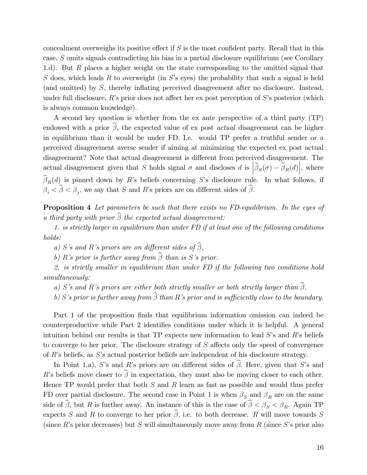concealment overweighs its positive effect if  $S$  is the most confident party. Recall that in this case, S omits signals contradicting his bias in a partial disclosure equilibrium (see Corollary 1.d). But R places a higher weight on the state corresponding to the omitted signal that S does, which leads R to overweight (in S's eyes) the probability that such a signal is held (and omitted) by  $S$ , thereby inflating perceived disagreement after no disclosure. Instead, under full disclosure,  $R$ 's prior does not affect her ex post perception of  $S$ 's posterior (which is always common knowledge).

A second key question is whether from the ex ante perspective of a third party (TP) endowed with a prior  $\widehat{\beta}$ , the expected value of ex post *actual* disagreement can be higher in equilibrium than it would be under FD. I.e. would TP prefer a truthful sender or a perceived disagreement averse sender if aiming at minimizing the expected ex post actual disagreement? Note that actual disagreement is different from perceived disagreement. The actual disagreement given that S holds signal  $\sigma$  and discloses d is  $\left| \widetilde{\beta}_{S}(\sigma) - \widetilde{\beta}_{R}(d) \right|$ , where  $\beta_R(d)$  is pinned down by R's beliefs concerning S's disclosure rule. In what follows, if  $\beta_i < \beta < \beta_j$ , we say that S and R's priors are on different sides of  $\beta$ .

Proposition 4 Let parameters be such that there exists no FD-equilibrium. In the eyes of a third party with prior  $\widehat{\beta}$  the expected actual disagreement:

1. is strictly larger in equilibrium than under FD if at least one of the following conditions holds:

a) S's and R's priors are on different sides of  $\widehat{\beta}$ ,

b) R's prior is further away from  $\widehat{\beta}$  than is S's prior.

2. is strictly smaller in equilibrium than under FD if the following two conditions hold simultaneously:

a) S's and R's priors are either both strictly smaller or both strictly larger than  $\widehat{\beta}$ ,

b) S's prior is further away from  $\widehat{\beta}$  than R's prior and is sufficiently close to the boundary.

Part 1 of the proposition finds that equilibrium information omission can indeed be counterproductive while Part 2 identifies conditions under which it is helpful. A general intuition behind our results is that TP expects new information to lead  $S$ 's and  $R$ 's beliefs to converge to her prior. The disclosure strategy of  $S$  affects only the speed of convergence of  $R$ 's beliefs, as  $S$ 's actual posterior beliefs are independent of his disclosure strategy.

In Point 1.a), S's and R's priors are on different sides of  $\widehat{\beta}$ . Here, given that S's and R's beliefs move closer to  $\widehat{\beta}$  in expectation, they must also be moving closer to each other. Hence TP would prefer that both  $S$  and  $R$  learn as fast as possible and would thus prefer FD over partial disclosure. The second case in Point 1 is when  $\beta_S$  and  $\beta_R$  are on the same side of  $\beta$ , but R is further away. An instance of this is the case of  $\beta < \beta_S < \beta_R$ . Again TP expects S and R to converge to her prior  $\widehat{\beta}$ , i.e. to both decrease. R will move towards S (since R's prior decreases) but S will simultaneously move away from R (since S's prior also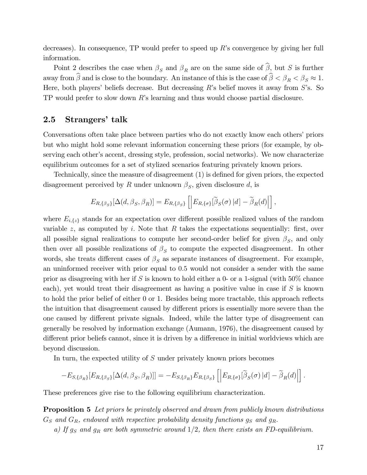decreases). In consequence, TP would prefer to speed up  $R$ 's convergence by giving her full information.

Point 2 describes the case when  $\beta_S$  and  $\beta_R$  are on the same side of  $\widehat{\beta}$ , but S is further away from  $\beta$  and is close to the boundary. An instance of this is the case of  $\beta < \beta_R < \beta_S \approx 1$ . Here, both players' beliefs decrease. But decreasing R's belief moves it away from  $S$ 's. So TP would prefer to slow down Rís learning and thus would choose partial disclosure.

# 2.5 Strangers' talk

Conversations often take place between parties who do not exactly know each others' priors but who might hold some relevant information concerning these priors (for example, by observing each other's accent, dressing style, profession, social networks). We now characterize equilibrium outcomes for a set of stylized scenarios featuring privately known priors.

Technically, since the measure of disagreement (1) is defined for given priors, the expected disagreement perceived by R under unknown  $\beta_S$ , given disclosure d, is

$$
E_{R,\{\beta_S\}}[\Delta(d,\beta_S,\beta_R)] = E_{R,\{\beta_S\}}\left[\left|E_{R,\{\sigma\}}[\widetilde{\beta}_S(\sigma) | d] - \widetilde{\beta}_R(d)\right|\right],
$$

where  $E_{i,\{z\}}$  stands for an expectation over different possible realized values of the random variable z, as computed by i. Note that R takes the expectations sequentially: first, over all possible signal realizations to compute her second-order belief for given  $\beta_S$ , and only then over all possible realizations of  $\beta_S$  to compute the expected disagreement. In other words, she treats different cases of  $\beta_S$  as separate instances of disagreement. For example, an uninformed receiver with prior equal to 0:5 would not consider a sender with the same prior as disagreeing with her if S is known to hold either a 0- or a 1-signal (with  $50\%$  chance each), yet would treat their disagreement as having a positive value in case if S is known to hold the prior belief of either 0 or 1. Besides being more tractable, this approach reflects the intuition that disagreement caused by different priors is essentially more severe than the one caused by different private signals. Indeed, while the latter type of disagreement can generally be resolved by information exchange (Aumann, 1976), the disagreement caused by different prior beliefs cannot, since it is driven by a difference in initial worldviews which are beyond discussion.

In turn, the expected utility of S under privately known priors becomes

$$
-E_{S,\{\beta_R\}}[E_{R,\{\beta_S\}}[\Delta(d,\beta_S,\beta_R)]]= -E_{S,\{\beta_R\}}E_{R,\{\beta_S\}}\left[\Big|E_{R,\{\sigma\}}[\widetilde{\beta}_S(\sigma)|d] - \widetilde{\beta}_R(d)\Big|\right].
$$

These preferences give rise to the following equilibrium characterization.

**Proposition 5** Let priors be privately observed and drawn from publicly known distributions  $G<sub>S</sub>$  and  $G<sub>R</sub>$ , endowed with respective probability density functions  $g<sub>S</sub>$  and  $g<sub>R</sub>$ .

a) If  $g_S$  and  $g_R$  are both symmetric around  $1/2$ , then there exists an FD-equilibrium.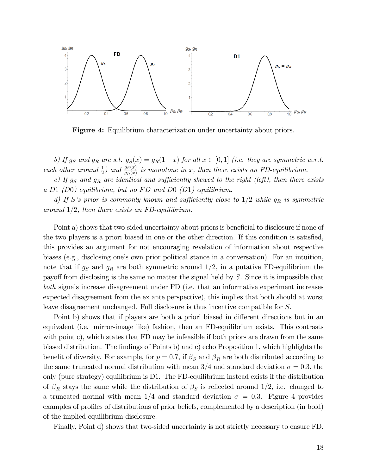

Figure 4: Equilibrium characterization under uncertainty about priors.

b) If  $g_S$  and  $g_R$  are s.t.  $g_S(x) = g_R(1-x)$  for all  $x \in [0,1]$  (i.e. they are symmetric w.r.t. each other around  $\frac{1}{2}$ ) and  $\frac{gs(x)}{g_R(x)}$  is monotone in x, then there exists an FD-equilibrium.

c) If  $g_S$  and  $g_R$  are identical and sufficiently skewed to the right (left), then there exists a D1  $(D0)$  equilibrium, but no FD and D0  $(D1)$  equilibrium.

d) If S's prior is commonly known and sufficiently close to  $1/2$  while  $g_R$  is symmetric around  $1/2$ , then there exists an FD-equilibrium.

Point a) shows that two-sided uncertainty about priors is beneficial to disclosure if none of the two players is a priori biased in one or the other direction. If this condition is satisfied, this provides an argument for not encouraging revelation of information about respective biases (e.g., disclosing one's own prior political stance in a conversation). For an intuition, note that if  $g_S$  and  $g_R$  are both symmetric around  $1/2$ , in a putative FD-equilibrium the payoff from disclosing is the same no matter the signal held by  $S$ . Since it is impossible that both signals increase disagreement under FD (i.e. that an informative experiment increases expected disagreement from the ex ante perspective), this implies that both should at worst leave disagreement unchanged. Full disclosure is thus incentive compatible for S.

Point b) shows that if players are both a priori biased in different directions but in an equivalent (i.e. mirror-image like) fashion, then an FD-equilibrium exists. This contrasts with point c), which states that FD may be infeasible if both priors are drawn from the same biased distribution. The findings of Points b) and c) echo Proposition 1, which highlights the benefit of diversity. For example, for  $p = 0.7$ , if  $\beta_S$  and  $\beta_R$  are both distributed according to the same truncated normal distribution with mean  $3/4$  and standard deviation  $\sigma = 0.3$ , the only (pure strategy) equilibrium is D1. The FD-equilibrium instead exists if the distribution of  $\beta_R$  stays the same while the distribution of  $\beta_S$  is reflected around 1/2, i.e. changed to a truncated normal with mean  $1/4$  and standard deviation  $\sigma = 0.3$ . Figure 4 provides examples of profiles of distributions of prior beliefs, complemented by a description (in bold) of the implied equilibrium disclosure.

Finally, Point d) shows that two-sided uncertainty is not strictly necessary to ensure FD.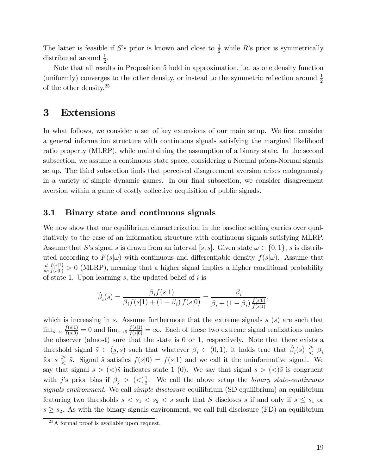The latter is feasible if S's prior is known and close to  $\frac{1}{2}$  while R's prior is symmetrically distributed around  $\frac{1}{2}$ .

Note that all results in Proposition 5 hold in approximation, i.e. as one density function (uniformly) converges to the other density, or instead to the symmetric reflection around  $\frac{1}{2}$ of the other density.<sup>25</sup>

# 3 Extensions

In what follows, we consider a set of key extensions of our main setup. We first consider a general information structure with continuous signals satisfying the marginal likelihood ratio property (MLRP), while maintaining the assumption of a binary state. In the second subsection, we assume a continuous state space, considering a Normal priors-Normal signals setup. The third subsection finds that perceived disagreement aversion arises endogenously in a variety of simple dynamic games. In our final subsection, we consider disagreement aversion within a game of costly collective acquisition of public signals.

## 3.1 Binary state and continuous signals

We now show that our equilibrium characterization in the baseline setting carries over qualitatively to the case of an information structure with continuous signals satisfying MLRP. Assume that S's signal s is drawn from an interval  $[s, \overline{s}]$ . Given state  $\omega \in \{0, 1\}$ , s is distributed according to  $F(s|\omega)$  with continuous and differentiable density  $f(s|\omega)$ . Assume that d  $\frac{d}{ds} \frac{f(s|1)}{f(s|0)} > 0$  (MLRP), meaning that a higher signal implies a higher conditional probability of state 1. Upon learning  $s$ , the updated belief of  $i$  is

$$
\widetilde{\beta}_i(s) = \frac{\beta_i f(s|1)}{\beta_i f(s|1) + (1 - \beta_i) f(s|0)} = \frac{\beta_i}{\beta_i + (1 - \beta_i) \frac{f(s|0)}{f(s|1)}},
$$

which is increasing in s. Assume furthermore that the extreme signals s  $(\bar{s})$  are such that  $\lim_{s\to s} \frac{f(s|1)}{f(s|0)} = 0$  and  $\lim_{s\to s} \frac{f(s|1)}{f(s|0)} = \infty$ . Each of these two extreme signal realizations makes the observer (almost) sure that the state is 0 or 1, respectively. Note that there exists a threshold signal  $\tilde{s} \in (\underline{s}, \overline{s})$  such that whatever  $\beta_i \in (0, 1)$ , it holds true that  $\beta_i(s) \geq \beta_i$ for  $s \geq \tilde{s}$ . Signal  $\tilde{s}$  satisfies  $f(s|0) = f(s|1)$  and we call it the uninformative signal. We say that signal  $s > \langle \langle \rangle$  is indicates state 1 (0). We say that signal  $s > \langle \langle \rangle$  is congruent with j's prior bias if  $\beta_j > (\langle \rangle)^1_2$  $\frac{1}{2}$ . We call the above setup the *binary state-continuous* signals environment. We call simple disclosure equilibrium (SD equilibrium) an equilibrium featuring two thresholds  $s \leq s_1 \leq s_2 \leq \overline{s}$  such that S discloses s if and only if  $s \leq s_1$  or  $s \geq s_2$ . As with the binary signals environment, we call full disclosure (FD) an equilibrium

<sup>&</sup>lt;sup>25</sup>A formal proof is available upon request.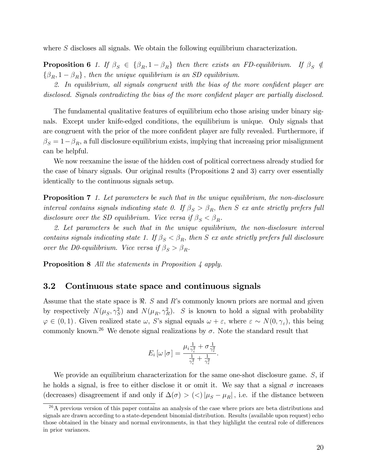where S discloses all signals. We obtain the following equilibrium characterization.

**Proposition 6** 1. If  $\beta_S \in {\beta_R, 1-\beta_R}$  then there exists an FD-equilibrium. If  $\beta_S \notin$  $\{\beta_R, 1 - \beta_R\}$ , then the unique equilibrium is an SD equilibrium.

2. In equilibrium, all signals congruent with the bias of the more confident player are disclosed. Signals contradicting the bias of the more confident player are partially disclosed.

The fundamental qualitative features of equilibrium echo those arising under binary signals. Except under knife-edged conditions, the equilibrium is unique. Only signals that are congruent with the prior of the more confident player are fully revealed. Furthermore, if  $\beta_S = 1 - \beta_R$ , a full disclosure equilibrium exists, implying that increasing prior misalignment can be helpful.

We now reexamine the issue of the hidden cost of political correctness already studied for the case of binary signals. Our original results (Propositions 2 and 3) carry over essentially identically to the continuous signals setup.

**Proposition 7** 1. Let parameters be such that in the unique equilibrium, the non-disclosure interval contains signals indicating state 0. If  $\beta_S > \beta_R$ , then S ex ante strictly prefers full disclosure over the SD equilibrium. Vice versa if  $\beta_S < \beta_R$ .

2. Let parameters be such that in the unique equilibrium, the non-disclosure interval contains signals indicating state 1. If  $\beta_S < \beta_R$ , then S ex ante strictly prefers full disclosure over the D0-equilibrium. Vice versa if  $\beta_S > \beta_R$ .

**Proposition 8** All the statements in Proposition 4 apply.

## 3.2 Continuous state space and continuous signals

Assume that the state space is  $\Re$ . S and R's commonly known priors are normal and given by respectively  $N(\mu_S, \gamma_S^2)$  and  $N(\mu_R, \gamma_R^2)$ . S is known to hold a signal with probability  $\varphi \in (0,1)$ . Given realized state  $\omega$ , S's signal equals  $\omega + \varepsilon$ , where  $\varepsilon \sim N(0, \gamma_{\varepsilon})$ , this being commonly known.<sup>26</sup> We denote signal realizations by  $\sigma$ . Note the standard result that

$$
E_i\left[\omega\left|\sigma\right.\right]=\frac{\mu_i\frac{1}{\gamma_i^2}+\sigma\frac{1}{\gamma_\varepsilon^2}}{\frac{1}{\gamma_i^2}+\frac{1}{\gamma_\varepsilon^2}}.
$$

We provide an equilibrium characterization for the same one-shot disclosure game. S, if he holds a signal, is free to either disclose it or omit it. We say that a signal  $\sigma$  increases (decreases) disagreement if and only if  $\Delta(\sigma) > ($ )  $|\mu_S - \mu_R|$ , i.e. if the distance between

 $^{26}$ A previous version of this paper contains an analysis of the case where priors are beta distributions and signals are drawn according to a state-dependent binomial distribution. Results (available upon request) echo those obtained in the binary and normal environments, in that they highlight the central role of differences in prior variances.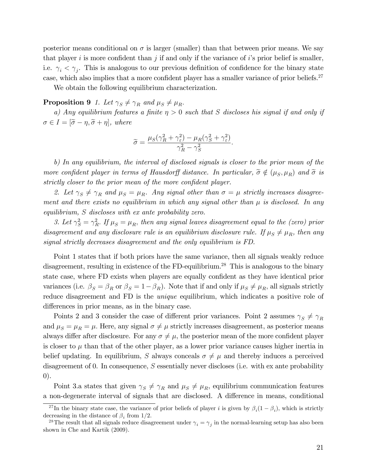posterior means conditional on  $\sigma$  is larger (smaller) than that between prior means. We say that player i is more confident than j if and only if the variance of i's prior belief is smaller, i.e.  $\gamma_i < \gamma_j$ . This is analogous to our previous definition of confidence for the binary state case, which also implies that a more confident player has a smaller variance of prior beliefs.<sup>27</sup>

We obtain the following equilibrium characterization.

## **Proposition 9** 1. Let  $\gamma_S \neq \gamma_R$  and  $\mu_S \neq \mu_R$ .

a) Any equilibrium features a finite  $\eta > 0$  such that S discloses his signal if and only if  $\sigma \in I = [\tilde{\sigma} - \eta, \tilde{\sigma} + \eta],$  where

$$
\widetilde{\sigma} = \frac{\mu_S(\gamma_R^2 + \gamma_\varepsilon^2) - \mu_R(\gamma_S^2 + \gamma_\varepsilon^2)}{\gamma_R^2 - \gamma_S^2}.
$$

b) In any equilibrium, the interval of disclosed signals is closer to the prior mean of the more confident player in terms of Hausdorff distance. In particular,  $\tilde{\sigma} \notin (\mu_S, \mu_R)$  and  $\tilde{\sigma}$  is strictly closer to the prior mean of the more confident player.

2. Let  $\gamma_S \neq \gamma_R$  and  $\mu_S = \mu_R$ . Any signal other than  $\sigma = \mu$  strictly increases disagreement and there exists no equilibrium in which any signal other than  $\mu$  is disclosed. In any equilibrium, S discloses with ex ante probability zero.

3. Let  $\gamma_S^2 = \gamma_R^2$ . If  $\mu_S = \mu_R$ , then any signal leaves disagreement equal to the (zero) prior disagreement and any disclosure rule is an equilibrium disclosure rule. If  $\mu_S \neq \mu_R$ , then any signal strictly decreases disagreement and the only equilibrium is FD.

Point 1 states that if both priors have the same variance, then all signals weakly reduce disagreement, resulting in existence of the FD-equilibrium.<sup>28</sup> This is analogous to the binary state case, where FD exists when players are equally confident as they have identical prior variances (i.e.  $\beta_S = \beta_R$  or  $\beta_S = 1 - \beta_R$ ). Note that if and only if  $\mu_S \neq \mu_R$ , all signals strictly reduce disagreement and FD is the *unique* equilibrium, which indicates a positive role of differences in prior means, as in the binary case.

Points 2 and 3 consider the case of different prior variances. Point 2 assumes  $\gamma_S \neq \gamma_R$ and  $\mu_S = \mu_R = \mu$ . Here, any signal  $\sigma \neq \mu$  strictly increases disagreement, as posterior means always differ after disclosure. For any  $\sigma \neq \mu$ , the posterior mean of the more confident player is closer to  $\mu$  than that of the other player, as a lower prior variance causes higher inertia in belief updating. In equilibrium, S always conceals  $\sigma \neq \mu$  and thereby induces a perceived disagreement of 0. In consequence,  $S$  essentially never discloses (i.e. with ex ante probability 0).

Point 3.a states that given  $\gamma_S \neq \gamma_R$  and  $\mu_S \neq \mu_R$ , equilibrium communication features a non-degenerate interval of signals that are disclosed. A difference in means, conditional

<sup>&</sup>lt;sup>27</sup>In the binary state case, the variance of prior beliefs of player *i* is given by  $\beta_i(1-\beta_i)$ , which is strictly decreasing in the distance of  $\beta_i$  from 1/2.

<sup>&</sup>lt;sup>28</sup>The result that all signals reduce disagreement under  $\gamma_i = \gamma_j$  in the normal-learning setup has also been shown in Che and Kartik (2009).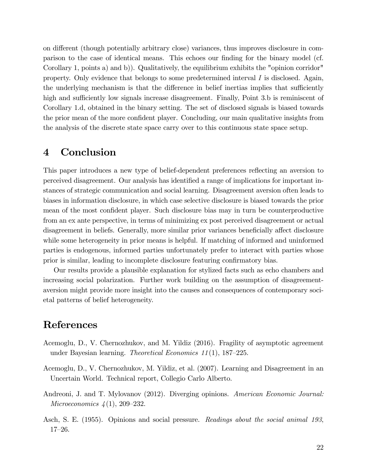on different (though potentially arbitrary close) variances, thus improves disclosure in comparison to the case of identical means. This echoes our finding for the binary model (cf. Corollary 1, points a) and b)). Qualitatively, the equilibrium exhibits the "opinion corridor" property. Only evidence that belongs to some predetermined interval  $I$  is disclosed. Again, the underlying mechanism is that the difference in belief inertias implies that sufficiently high and sufficiently low signals increase disagreement. Finally, Point 3.b is reminiscent of Corollary 1.d, obtained in the binary setting. The set of disclosed signals is biased towards the prior mean of the more confident player. Concluding, our main qualitative insights from the analysis of the discrete state space carry over to this continuous state space setup.

# 4 Conclusion

This paper introduces a new type of belief-dependent preferences reflecting an aversion to perceived disagreement. Our analysis has identified a range of implications for important instances of strategic communication and social learning. Disagreement aversion often leads to biases in information disclosure, in which case selective disclosure is biased towards the prior mean of the most confident player. Such disclosure bias may in turn be counterproductive from an ex ante perspective, in terms of minimizing ex post perceived disagreement or actual disagreement in beliefs. Generally, more similar prior variances beneficially affect disclosure while some heterogeneity in prior means is helpful. If matching of informed and uninformed parties is endogenous, informed parties unfortunately prefer to interact with parties whose prior is similar, leading to incomplete disclosure featuring confirmatory bias.

Our results provide a plausible explanation for stylized facts such as echo chambers and increasing social polarization. Further work building on the assumption of disagreementaversion might provide more insight into the causes and consequences of contemporary societal patterns of belief heterogeneity.

# References

- Acemoglu, D., V. Chernozhukov, and M. Yildiz (2016). Fragility of asymptotic agreement under Bayesian learning. *Theoretical Economics 11*(1), 187–225.
- Acemoglu, D., V. Chernozhukov, M. Yildiz, et al. (2007). Learning and Disagreement in an Uncertain World. Technical report, Collegio Carlo Alberto.
- Andreoni, J. and T. Mylovanov (2012). Diverging opinions. American Economic Journal: *Microeconomics*  $4(1)$ , 209–232.
- Asch, S. E. (1955). Opinions and social pressure. Readings about the social animal 193,  $17 - 26$ .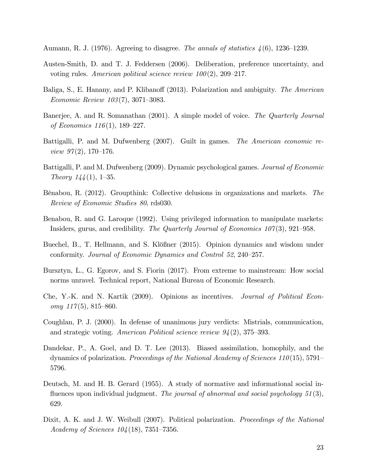Aumann, R. J. (1976). Agreeing to disagree. The annals of statistics  $\lambda(6)$ , 1236–1239.

- Austen-Smith, D. and T. J. Feddersen (2006). Deliberation, preference uncertainty, and voting rules. American political science review  $100(2)$ , 209-217.
- Baliga, S., E. Hanany, and P. Klibanoff (2013). Polarization and ambiguity. The American Economic Review  $103(7)$ , 3071–3083.
- Banerjee, A. and R. Somanathan (2001). A simple model of voice. The Quarterly Journal of Economics  $116(1)$ , 189–227.
- Battigalli, P. and M. Dufwenberg (2007). Guilt in games. The American economic review  $97(2)$ , 170-176.
- Battigalli, P. and M. Dufwenberg (2009). Dynamic psychological games. Journal of Economic Theory  $144(1)$ , 1–35.
- Bénabou, R. (2012). Groupthink: Collective delusions in organizations and markets. The Review of Economic Studies 80, rds030.
- Benabou, R. and G. Laroque (1992). Using privileged information to manipulate markets: Insiders, gurus, and credibility. The Quarterly Journal of Economics  $107(3)$ , 921–958.
- Buechel, B., T. Hellmann, and S. Klößner (2015). Opinion dynamics and wisdom under conformity. Journal of Economic Dynamics and Control 52, 240–257.
- Bursztyn, L., G. Egorov, and S. Fiorin (2017). From extreme to mainstream: How social norms unravel. Technical report, National Bureau of Economic Research.
- Che, Y.-K. and N. Kartik (2009). Opinions as incentives. Journal of Political Economy  $117(5)$ , 815–860.
- Coughlan, P. J. (2000). In defense of unanimous jury verdicts: Mistrials, communication, and strategic voting. American Political science review  $94(2)$ , 375–393.
- Dandekar, P., A. Goel, and D. T. Lee (2013). Biased assimilation, homophily, and the dynamics of polarization. Proceedings of the National Academy of Sciences 110(15), 5791– 5796.
- Deutsch, M. and H. B. Gerard (1955). A study of normative and informational social influences upon individual judgment. The journal of abnormal and social psychology  $51(3)$ , 629.
- Dixit, A. K. and J. W. Weibull (2007). Political polarization. *Proceedings of the National* Academy of Sciences  $104(18)$ , 7351–7356.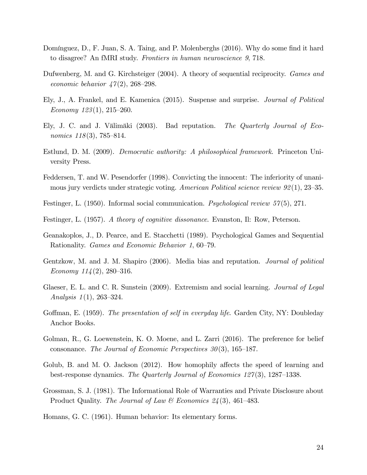- Domínguez, D., F. Juan, S. A. Taing, and P. Molenberghs (2016). Why do some find it hard to disagree? An fMRI study. Frontiers in human neuroscience 9, 718.
- Dufwenberg, M. and G. Kirchsteiger (2004). A theory of sequential reciprocity. *Games and* economic behavior  $\frac{1}{4}7(2)$ , 268–298.
- Ely, J., A. Frankel, and E. Kamenica (2015). Suspense and surprise. Journal of Political Economy  $123(1)$ ,  $215-260$ .
- Ely, J. C. and J. Välimäki (2003). Bad reputation. The Quarterly Journal of Economics  $118(3)$ , 785–814.
- Estlund, D. M. (2009). Democratic authority: A philosophical framework. Princeton University Press.
- Feddersen, T. and W. Pesendorfer (1998). Convicting the innocent: The inferiority of unanimous jury verdicts under strategic voting. American Political science review  $92(1)$ ,  $23-35$ .
- Festinger, L. (1950). Informal social communication. Psychological review 57(5), 271.
- Festinger, L. (1957). A theory of cognitive dissonance. Evanston, Il: Row, Peterson.
- Geanakoplos, J., D. Pearce, and E. Stacchetti (1989). Psychological Games and Sequential Rationality. *Games and Economic Behavior 1,* 60–79.
- Gentzkow, M. and J. M. Shapiro (2006). Media bias and reputation. Journal of political Economy  $114(2)$ , 280–316.
- Glaeser, E. L. and C. R. Sunstein (2009). Extremism and social learning. *Journal of Legal* Analysis  $1(1)$ , 263–324.
- Goffman, E. (1959). The presentation of self in everyday life. Garden City, NY: Doubleday Anchor Books.
- Golman, R., G. Loewenstein, K. O. Moene, and L. Zarri (2016). The preference for belief consonance. The Journal of Economic Perspectives  $30(3)$ , 165–187.
- Golub, B. and M. O. Jackson  $(2012)$ . How homophily affects the speed of learning and best-response dynamics. The Quarterly Journal of Economics  $127(3)$ , 1287–1338.
- Grossman, S. J. (1981). The Informational Role of Warranties and Private Disclosure about Product Quality. The Journal of Law & Economics  $24(3)$ , 461–483.
- Homans, G. C. (1961). Human behavior: Its elementary forms.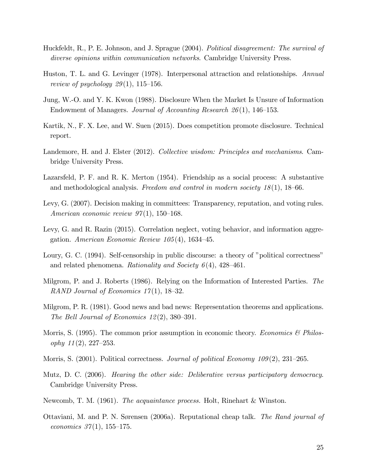- Huckfeldt, R., P. E. Johnson, and J. Sprague (2004). Political disagreement: The survival of diverse opinions within communication networks. Cambridge University Press.
- Huston, T. L. and G. Levinger (1978). Interpersonal attraction and relationships. Annual review of psychology  $29(1)$ , 115–156.
- Jung, W.-O. and Y. K. Kwon (1988). Disclosure When the Market Is Unsure of Information Endowment of Managers. Journal of Accounting Research  $26(1)$ , 146–153.
- Kartik, N., F. X. Lee, and W. Suen (2015). Does competition promote disclosure. Technical report.
- Landemore, H. and J. Elster (2012). Collective wisdom: Principles and mechanisms. Cambridge University Press.
- Lazarsfeld, P. F. and R. K. Merton (1954). Friendship as a social process: A substantive and methodological analysis. Freedom and control in modern society  $18(1)$ , 18–66.
- Levy, G. (2007). Decision making in committees: Transparency, reputation, and voting rules. American economic review  $97(1)$ , 150–168.
- Levy, G. and R. Razin (2015). Correlation neglect, voting behavior, and information aggregation. American Economic Review  $105(4)$ , 1634–45.
- Loury, G. C. (1994). Self-censorship in public discourse: a theory of "political correctness" and related phenomena. Rationality and Society  $6(4)$ , 428–461.
- Milgrom, P. and J. Roberts (1986). Relying on the Information of Interested Parties. The RAND Journal of Economics  $17(1)$ , 18–32.
- Milgrom, P. R. (1981). Good news and bad news: Representation theorems and applications. The Bell Journal of Economics  $12(2)$ , 380–391.
- Morris, S. (1995). The common prior assumption in economic theory. Economics  $\mathcal B$  Philosophy  $11(2)$ , 227–253.
- Morris, S. (2001). Political correctness. *Journal of political Economy*  $109(2)$ , 231–265.
- Mutz, D. C. (2006). Hearing the other side: Deliberative versus participatory democracy. Cambridge University Press.
- Newcomb, T. M. (1961). The acquaintance process. Holt, Rinehart & Winston.
- Ottaviani, M. and P. N. Sørensen (2006a). Reputational cheap talk. The Rand journal of economics  $37(1)$ , 155–175.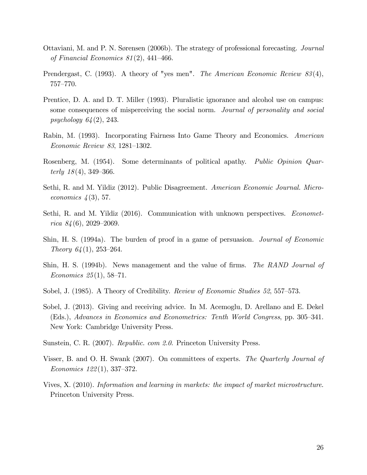- Ottaviani, M. and P. N. Sørensen (2006b). The strategy of professional forecasting. Journal of Financial Economics  $81(2)$ , 441–466.
- Prendergast, C. (1993). A theory of "yes men". The American Economic Review 83(4), 757-770.
- Prentice, D. A. and D. T. Miller (1993). Pluralistic ignorance and alcohol use on campus: some consequences of misperceiving the social norm. Journal of personality and social psychology 64(2), 243.
- Rabin, M. (1993). Incorporating Fairness Into Game Theory and Economics. American  $Economic Review 83, 1281–1302.$
- Rosenberg, M. (1954). Some determinants of political apathy. Public Opinion Quarterly  $18(4)$ , 349–366.
- Sethi, R. and M. Yildiz (2012). Public Disagreement. American Economic Journal. Microeconomics  $\frac{1}{3}$ , 57.
- Sethi, R. and M. Yildiz (2016). Communication with unknown perspectives. *Economet*rica  $84(6)$ , 2029–2069.
- Shin, H. S. (1994a). The burden of proof in a game of persuasion. Journal of Economic Theory  $64(1)$ , 253–264.
- Shin, H. S. (1994b). News management and the value of firms. The RAND Journal of Economics  $25(1)$ , 58–71.
- Sobel, J. (1985). A Theory of Credibility. Review of Economic Studies 52, 557–573.
- Sobel, J. (2013). Giving and receiving advice. In M. Acemoglu, D. Arellano and E. Dekel (Eds.), Advances in Economics and Econometrics: Tenth World Congress, pp. 305–341. New York: Cambridge University Press.
- Sunstein, C. R. (2007). Republic. com 2.0. Princeton University Press.
- Visser, B. and O. H. Swank (2007). On committees of experts. The Quarterly Journal of Economics  $122(1)$ , 337–372.
- Vives, X. (2010). Information and learning in markets: the impact of market microstructure. Princeton University Press.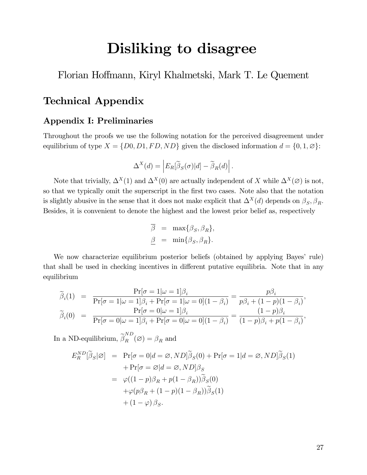# Disliking to disagree

Florian Ho§mann, Kiryl Khalmetski, Mark T. Le Quement

# Technical Appendix

# Appendix I: Preliminaries

Throughout the proofs we use the following notation for the perceived disagreement under equilibrium of type  $X = \{D0, D1, FD, ND\}$  given the disclosed information  $d = \{0, 1, \emptyset\}$ :

$$
\Delta^X(d) = \left| E_R[\widetilde{\beta}_S(\sigma)|d] - \widetilde{\beta}_R(d) \right|.
$$

Note that trivially,  $\Delta^X(1)$  and  $\Delta^X(0)$  are actually independent of X while  $\Delta^X(\emptyset)$  is not, so that we typically omit the superscript in the first two cases. Note also that the notation is slightly abusive in the sense that it does not make explicit that  $\Delta^X(d)$  depends on  $\beta_S, \beta_R$ . Besides, it is convenient to denote the highest and the lowest prior belief as, respectively

$$
\overline{\beta} = \max{\beta_S, \beta_R},
$$
  

$$
\underline{\beta} = \min{\beta_S, \beta_R}.
$$

We now characterize equilibrium posterior beliefs (obtained by applying Bayes' rule) that shall be used in checking incentives in different putative equilibria. Note that in any equilibrium

$$
\widetilde{\beta}_i(1) = \frac{\Pr[\sigma = 1 | \omega = 1] \beta_i}{\Pr[\sigma = 1 | \omega = 1] \beta_i + \Pr[\sigma = 1 | \omega = 0] (1 - \beta_i)} = \frac{p\beta_i}{p\beta_i + (1 - p)(1 - \beta_i)},
$$
  
\n
$$
\widetilde{\beta}_i(0) = \frac{\Pr[\sigma = 0 | \omega = 1] \beta_i}{\Pr[\sigma = 0 | \omega = 1] \beta_i + \Pr[\sigma = 0 | \omega = 0] (1 - \beta_i)} = \frac{(1 - p)\beta_i}{(1 - p)\beta_i + p(1 - \beta_i)},
$$

In a ND-equilibrium,  $\widetilde{\beta}_R^{ND}(\varnothing) = \beta_R$  and

$$
E_R^{ND}[\tilde{\beta}_S|\varnothing] = \Pr[\sigma = 0|d = \varnothing, ND]\tilde{\beta}_S(0) + \Pr[\sigma = 1|d = \varnothing, ND]\tilde{\beta}_S(1)
$$
  
+ 
$$
\Pr[\sigma = \varnothing|d = \varnothing, ND]\beta_S
$$
  
= 
$$
\varphi((1-p)\beta_R + p(1-\beta_R))\tilde{\beta}_S(0)
$$
  
+ 
$$
\varphi(p\beta_R + (1-p)(1-\beta_R))\tilde{\beta}_S(1)
$$
  
+ 
$$
(1-\varphi)\beta_S.
$$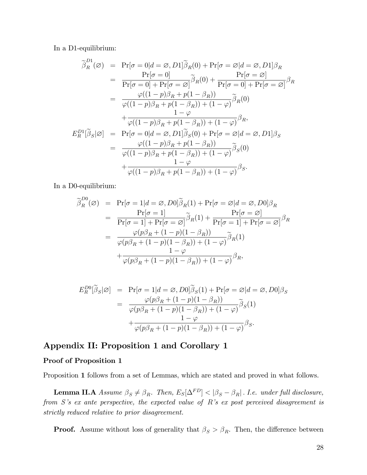In a D1-equilibrium:

$$
\tilde{\beta}_R^{D1}(\varnothing) = \Pr[\sigma = 0 | d = \varnothing, D1] \tilde{\beta}_R(0) + \Pr[\sigma = \varnothing | d = \varnothing, D1] \beta_R \n= \frac{\Pr[\sigma = 0]}{\Pr[\sigma = 0] + \Pr[\sigma = \varnothing]} \tilde{\beta}_R(0) + \frac{\Pr[\sigma = \varnothing]}{\Pr[\sigma = 0] + \Pr[\sigma = \varnothing]} \beta_R \n= \frac{\varphi((1-p)\beta_R + p(1-\beta_R))}{\varphi((1-p)\beta_R + p(1-\beta_R)) + (1-\varphi)} \tilde{\beta}_R(0) \n+ \frac{1-\varphi}{\varphi((1-p)\beta_R + p(1-\beta_R)) + (1-\varphi)} \beta_R, \nE_R^{D1}[\tilde{\beta}_S|\varnothing] = \Pr[\sigma = 0 | d = \varnothing, D1] \tilde{\beta}_S(0) + \Pr[\sigma = \varnothing | d = \varnothing, D1] \beta_S \n= \frac{\varphi((1-p)\beta_R + p(1-\beta_R))}{\varphi((1-p)\beta_R + p(1-\beta_R)) + (1-\varphi)} \tilde{\beta}_S(0) \n+ \frac{1-\varphi}{\varphi((1-p)\beta_R + p(1-\beta_R)) + (1-\varnothing)} \beta_S.
$$

In a D0-equilibrium:

$$
\widetilde{\beta}_R^{D0}(\varnothing) = \Pr[\sigma = 1 | d = \varnothing, D0] \widetilde{\beta}_R(1) + \Pr[\sigma = \varnothing | d = \varnothing, D0] \beta_R \n= \frac{\Pr[\sigma = 1]}{\Pr[\sigma = 1] + \Pr[\sigma = \varnothing]} \widetilde{\beta}_R(1) + \frac{\Pr[\sigma = \varnothing]}{\Pr[\sigma = 1] + \Pr[\sigma = \varnothing]} \beta_R \n= \frac{\varphi(p\beta_R + (1 - p)(1 - \beta_R))}{\varphi(p\beta_R + (1 - p)(1 - \beta_R)) + (1 - \varphi)} \widetilde{\beta}_R(1) \n+ \frac{1 - \varphi}{\varphi(p\beta_R + (1 - p)(1 - \beta_R)) + (1 - \varphi)} \beta_R,
$$

$$
E_R^{D0}[\tilde{\beta}_S|\varnothing] = \Pr[\sigma = 1 | d = \varnothing, D0] \tilde{\beta}_S(1) + \Pr[\sigma = \varnothing | d = \varnothing, D0] \beta_S
$$
  
= 
$$
\frac{\varphi(p\beta_R + (1 - p)(1 - \beta_R))}{\varphi(p\beta_R + (1 - p)(1 - \beta_R)) + (1 - \varphi)} \tilde{\beta}_S(1)
$$
  
+ 
$$
\frac{1 - \varphi}{\varphi(p\beta_R + (1 - p)(1 - \beta_R)) + (1 - \varphi)} \beta_S.
$$

# Appendix II: Proposition 1 and Corollary 1

#### Proof of Proposition 1

Proposition 1 follows from a set of Lemmas, which are stated and proved in what follows.

**Lemma II.A** Assume  $\beta_S \neq \beta_R$ . Then,  $E_S[\Delta^{FD}] < |\beta_S - \beta_R|$ . I.e. under full disclosure, from  $S$ 's ex ante perspective, the expected value of  $R$ 's ex post perceived disagreement is strictly reduced relative to prior disagreement.

**Proof.** Assume without loss of generality that  $\beta_S > \beta_R$ . Then, the difference between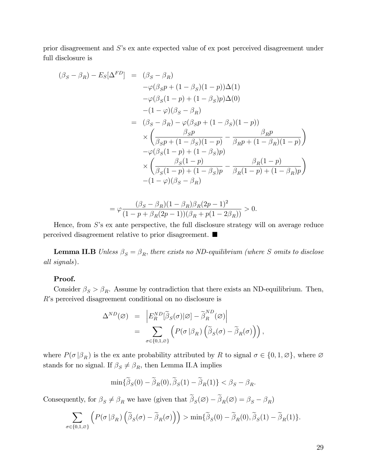prior disagreement and  $S$ 's ex ante expected value of ex post perceived disagreement under full disclosure is

$$
(\beta_S - \beta_R) - E_S[\Delta^{FD}] = (\beta_S - \beta_R) \n- \varphi(\beta_S p + (1 - \beta_S)(1 - p))\Delta(1) \n- \varphi(\beta_S(1 - p) + (1 - \beta_S)p)\Delta(0) \n- (1 - \varphi)(\beta_S - \beta_R) \n= (\beta_S - \beta_R) - \varphi(\beta_S p + (1 - \beta_S)(1 - p)) \n\times \left( \frac{\beta_S p}{\beta_S p + (1 - \beta_S)(1 - p)} - \frac{\beta_R p}{\beta_R p + (1 - \beta_R)(1 - p)} \right) \n- \varphi(\beta_S(1 - p) + (1 - \beta_S)p) \n\times \left( \frac{\beta_S(1 - p)}{\beta_S(1 - p) + (1 - \beta_S)p} - \frac{\beta_R(1 - p)}{\beta_R(1 - p) + (1 - \beta_R)p} \right) \n- (1 - \varphi)(\beta_S - \beta_R)
$$

$$
= \varphi \frac{(\beta_S - \beta_R)(1 - \beta_R)\beta_R(2p - 1)^2}{(1 - p + \beta_R(2p - 1))(\beta_R + p(1 - 2\beta_R))} > 0.
$$

Hence, from  $S$ 's ex ante perspective, the full disclosure strategy will on average reduce perceived disagreement relative to prior disagreement.

**Lemma II.B** Unless  $\beta_S = \beta_R$ , there exists no ND-equilibrium (where S omits to disclose all signals).

#### Proof.

Consider  $\beta_S > \beta_R$ . Assume by contradiction that there exists an ND-equilibrium. Then, R's perceived disagreement conditional on no disclosure is

$$
\Delta^{ND}(\varnothing) = \left| E_R^{ND}[\widetilde{\beta}_S(\sigma)|\varnothing] - \widetilde{\beta}_R^{ND}(\varnothing) \right|
$$
  
= 
$$
\sum_{\sigma \in \{0,1,\varnothing\}} \left( P(\sigma | \beta_R) \left( \widetilde{\beta}_S(\sigma) - \widetilde{\beta}_R(\sigma) \right) \right),
$$

where  $P(\sigma | \beta_R)$  is the ex ante probability attributed by R to signal  $\sigma \in \{0, 1, \emptyset\}$ , where  $\emptyset$ stands for no signal. If  $\beta_S \neq \beta_R$ , then Lemma II.A implies

$$
\min{\{\widetilde{\beta}_S(0)-\widetilde{\beta}_R(0),\widetilde{\beta}_S(1)-\widetilde{\beta}_R(1)\}}<\beta_S-\beta_R.
$$

Consequently, for  $\beta_S \neq \beta_R$  we have (given that  $\beta_S(\emptyset) - \beta_R(\emptyset) = \beta_S - \beta_R$ )

$$
\sum_{\sigma \in \{0,1,\varnothing\}} \left( P(\sigma \,|\beta_R) \left( \widetilde{\beta}_S(\sigma) - \widetilde{\beta}_R(\sigma) \right) \right) > \min \{ \widetilde{\beta}_S(0) - \widetilde{\beta}_R(0), \widetilde{\beta}_S(1) - \widetilde{\beta}_R(1) \}.
$$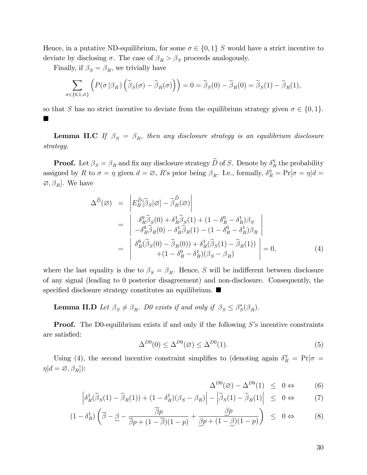Hence, in a putative ND-equilibrium, for some  $\sigma \in \{0,1\}$  S would have a strict incentive to deviate by disclosing  $\sigma$ . The case of  $\beta_R > \beta_S$  proceeds analogously.

Finally, if  $\beta_S = \beta_R$ , we trivially have

$$
\sum_{\sigma \in \{0,1,\varnothing\}} \left( P(\sigma \,|\beta_R) \left( \widetilde{\beta}_S(\sigma) - \widetilde{\beta}_R(\sigma) \right) \right) = 0 = \widetilde{\beta}_S(0) - \widetilde{\beta}_R(0) = \widetilde{\beta}_S(1) - \widetilde{\beta}_R(1),
$$

so that S has no strict incentive to deviate from the equilibrium strategy given  $\sigma \in \{0, 1\}$ .  $\blacksquare$ 

**Lemma II.C** If  $\beta_S = \beta_R$ , then any disclosure strategy is an equilibrium disclosure strategy.

**Proof.** Let  $\beta_S = \beta_R$  and fix any disclosure strategy  $\widetilde{D}$  of S. Denote by  $\delta_I^{\eta}$  $R \atop R$  the probability assigned by R to  $\sigma = \eta$  given  $d = \emptyset$ , R's prior being  $\beta_R$ . I.e., formally,  $\delta_R^{\eta} = Pr[\sigma = \eta | d =$  $\varnothing, \beta_R]$ . We have

$$
\Delta^{\tilde{D}}(\varnothing) = \left| E_R^{\tilde{D}}[\tilde{\beta}_S|\varnothing] - \tilde{\beta}_R^{\tilde{D}}(\varnothing) \right|
$$
  
\n
$$
= \left| \begin{array}{l} \delta_R^0 \tilde{\beta}_S(0) + \delta_R^1 \tilde{\beta}_S(1) + (1 - \delta_R^0 - \delta_R^1) \beta_S \\ -\delta_R^0 \tilde{\beta}_R(0) - \delta_R^1 \tilde{\beta}_R(1) - (1 - \delta_R^0 - \delta_R^1) \beta_R \\ -\delta_R^0 (\tilde{\beta}_S(0) - \tilde{\beta}_R(0)) + \delta_R^1 (\tilde{\beta}_S(1) - \tilde{\beta}_R(1)) \\ + (1 - \delta_R^0 - \delta_R^1) (\beta_S - \beta_R) \end{array} \right| = 0,
$$
\n(4)

where the last equality is due to  $\beta_S = \beta_R$ . Hence, S will be indifferent between disclosure of any signal (leading to 0 posterior disagreement) and non-disclosure. Consequently, the specified disclosure strategy constitutes an equilibrium.  $\blacksquare$ 

**Lemma II.D** Let  $\beta_S \neq \beta_R$ . D0 exists if and only if  $\beta_S \leq \beta_S^*(\beta_R)$ .

**Proof.** The D0-equilibrium exists if and only if the following  $S$ 's incentive constraints are satisfied:

$$
\Delta^{D0}(0) \le \Delta^{D0}(\emptyset) \le \Delta^{D0}(1). \tag{5}
$$

Using (4), the second incentive constraint simplifies to (denoting again  $\delta_R^{\eta} = Pr[\sigma =$  $\eta | d = \varnothing, \beta_R$ ):

$$
\Delta^{D0}(\varnothing) - \Delta^{D0}(1) \le 0 \Leftrightarrow \qquad (6)
$$

$$
\left| \delta_R^1(\tilde{\beta}_S(1) - \tilde{\beta}_R(1)) + (1 - \delta_R^1)(\beta_S - \beta_R) \right| - \left| \tilde{\beta}_S(1) - \tilde{\beta}_R(1) \right| \leq 0 \Leftrightarrow \tag{7}
$$

$$
(1 - \delta_R^1) \left( \overline{\beta} - \underline{\beta} - \frac{\overline{\beta}p}{\overline{\beta}p + (1 - \overline{\beta})(1 - p)} + \frac{\underline{\beta}p}{\underline{\beta}p + (1 - \underline{\beta})(1 - p)} \right) \leq 0 \Leftrightarrow \tag{8}
$$

30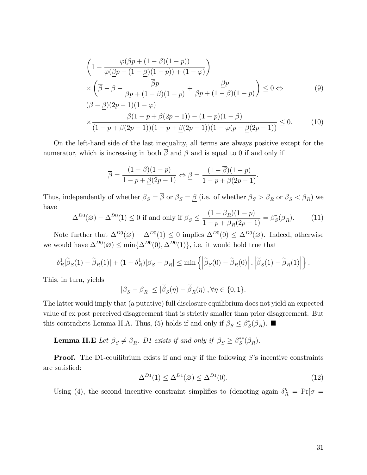$$
\left(1 - \frac{\varphi(\underline{\beta}p + (1 - \underline{\beta})(1 - p))}{\varphi(\underline{\beta}p + (1 - \underline{\beta})(1 - p)) + (1 - \varphi)}\right)
$$
\n
$$
\times \left(\overline{\beta} - \underline{\beta} - \frac{\overline{\beta}p}{\overline{\beta}p + (1 - \overline{\beta})(1 - p)} + \frac{\underline{\beta}p}{\underline{\beta}p + (1 - \underline{\beta})(1 - p)}\right) \le 0 \Leftrightarrow
$$
\n
$$
(\overline{\beta} - \beta)(2p - 1)(1 - \varphi) \tag{9}
$$

$$
\times \frac{\overline{\beta}(1-p+\underline{\beta}(2p-1)) - (1-p)(1-\underline{\beta})}{(1-p+\overline{\beta}(2p-1))(1-p+\underline{\beta}(2p-1))(1-\varphi(p-\underline{\beta}(2p-1)))} \leq 0.
$$
 (10)

On the left-hand side of the last inequality, all terms are always positive except for the numerator, which is increasing in both  $\overline{\beta}$  and  $\beta$  and is equal to 0 if and only if

$$
\overline{\beta} = \frac{(1-\underline{\beta})(1-p)}{1-p+\underline{\beta}(2p-1)} \Leftrightarrow \underline{\beta} = \frac{(1-\overline{\beta})(1-p)}{1-p+\overline{\beta}(2p-1)}.
$$

Thus, independently of whether  $\beta_S = \overline{\beta}$  or  $\beta_S = \underline{\beta}$  (i.e. of whether  $\beta_S > \beta_R$  or  $\beta_S < \beta_R$ ) we have

$$
\Delta^{D0}(\varnothing) - \Delta^{D0}(1) \le 0 \text{ if and only if } \beta_S \le \frac{(1 - \beta_R)(1 - p)}{1 - p + \beta_R(2p - 1)} = \beta_S^*(\beta_R). \tag{11}
$$

Note further that  $\Delta^{D_0}(\emptyset) - \Delta^{D_0}(1) \leq 0$  implies  $\Delta^{D_0}(0) \leq \Delta^{D_0}(\emptyset)$ . Indeed, otherwise we would have  $\Delta^{D_0}(\emptyset) \le \min\{\Delta^{D_0}(0), \Delta^{D_0}(1)\}\)$ , i.e. it would hold true that

$$
\delta_R^1|\widetilde{\beta}_S(1)-\widetilde{\beta}_R(1)|+(1-\delta_R^1)|\beta_S-\beta_R|\leq \min\left\{\left|\widetilde{\beta}_S(0)-\widetilde{\beta}_R(0)\right|,\left|\widetilde{\beta}_S(1)-\widetilde{\beta}_R(1)\right|\right\}.
$$

This, in turn, yields

$$
|\beta_S - \beta_R| \leq |\widetilde{\beta}_S(\eta) - \widetilde{\beta}_R(\eta)|, \forall \eta \in \{0, 1\}.
$$

The latter would imply that (a putative) full disclosure equilibrium does not yield an expected value of ex post perceived disagreement that is strictly smaller than prior disagreement. But this contradicts Lemma II.A. Thus, (5) holds if and only if  $\beta_S \leq \beta_S^*(\beta_R)$ .

**Lemma II.E** Let  $\beta_S \neq \beta_R$ . D1 exists if and only if  $\beta_S \geq \beta_S^{**}(\beta_R)$ .

**Proof.** The D1-equilibrium exists if and only if the following  $S$ 's incentive constraints are satisfied:

$$
\Delta^{D1}(1) \le \Delta^{D1}(\varnothing) \le \Delta^{D1}(0). \tag{12}
$$

Using (4), the second incentive constraint simplifies to (denoting again  $\delta_R^{\eta} = Pr[\sigma =$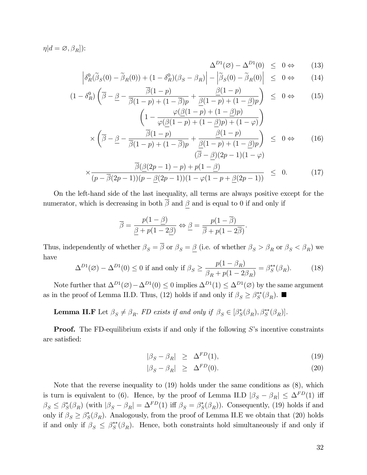$\eta | d = \varnothing, \beta_R |$ :

$$
\Delta^{D1}(\varnothing) - \Delta^{D1}(0) \le 0 \Leftrightarrow (13)
$$

$$
\left| \delta_R^0(\tilde{\beta}_S(0) - \tilde{\beta}_R(0)) + (1 - \delta_R^0)(\beta_S - \beta_R) \right| - \left| \tilde{\beta}_S(0) - \tilde{\beta}_R(0) \right| \leq 0 \Leftrightarrow (14)
$$

$$
(1 - \delta_R^0) \left( \overline{\beta} - \underline{\beta} - \frac{\overline{\beta}(1-p)}{\overline{\beta}(1-p) + (1-\overline{\beta})p} + \frac{\underline{\beta}(1-p)}{\underline{\beta}(1-p) + (1-\underline{\beta})p} \right) \leq 0 \Leftrightarrow (15)
$$
\n
$$
\left( 1 - \frac{\varphi(\underline{\beta}(1-p) + (1-\underline{\beta})p)}{\varphi(\underline{\beta}(1-p) + (1-\underline{\beta})p) + (1-\varphi)} \right)
$$
\n
$$
\times \left( \overline{\beta} - \underline{\beta} - \frac{\overline{\beta}(1-p)}{\overline{\beta}(1-p) + (1-\overline{\beta})p} + \frac{\underline{\beta}(1-p)}{\underline{\beta}(1-p) + (1-\underline{\beta})p} \right) \leq 0 \Leftrightarrow (16)
$$
\n
$$
\frac{\overline{\beta}(\underline{\beta}(2p-1) - p) + p(1-\underline{\beta})}{\overline{\beta}(\underline{\beta}(2p-1) - p) + p(1-\underline{\beta})} \leq 0 \Leftrightarrow (17)
$$

$$
\times \frac{\sqrt{(p-\beta(2p-1))(p-\beta(2p-1))(1-\varphi(1-p+\beta(2p-1))})}{(p-\beta(2p-1))(1-\varphi(1-p+\beta(2p-1))} \leq 0. \tag{17}
$$

On the left-hand side of the last inequality, all terms are always positive except for the numerator, which is decreasing in both  $\overline{\beta}$  and  $\beta$  and is equal to 0 if and only if

$$
\overline{\beta} = \frac{p(1-\underline{\beta})}{\underline{\beta} + p(1-2\underline{\beta})} \Leftrightarrow \underline{\beta} = \frac{p(1-\overline{\beta})}{\overline{\beta} + p(1-2\overline{\beta})}.
$$

Thus, independently of whether  $\beta_S = \overline{\beta}$  or  $\beta_S = \underline{\beta}$  (i.e. of whether  $\beta_S > \beta_R$  or  $\beta_S < \beta_R$ ) we have

$$
\Delta^{D1}(\varnothing) - \Delta^{D1}(0) \le 0 \text{ if and only if } \beta_S \ge \frac{p(1 - \beta_R)}{\beta_R + p(1 - 2\beta_R)} = \beta_S^{**}(\beta_R). \tag{18}
$$

Note further that  $\Delta^{D_1}(\emptyset) - \Delta^{D_1}(0) \leq 0$  implies  $\Delta^{D_1}(1) \leq \Delta^{D_1}(\emptyset)$  by the same argument as in the proof of Lemma II.D. Thus, (12) holds if and only if  $\beta_S \geq \beta_S^{**}(\beta_R)$ .

**Lemma II.F** Let  $\beta_S \neq \beta_R$ . FD exists if and only if  $\beta_S \in [\beta_S^*(\beta_R), \beta_S^{**}(\beta_R)]$ .

**Proof.** The FD-equilibrium exists if and only if the following  $S$ 's incentive constraints are satisfied:

$$
|\beta_S - \beta_R| \geq \Delta^{FD}(1), \tag{19}
$$

$$
|\beta_S - \beta_R| \geq \Delta^{FD}(0). \tag{20}
$$

Note that the reverse inequality to (19) holds under the same conditions as (8), which is turn is equivalent to (6). Hence, by the proof of Lemma II.D  $|\beta_S - \beta_R| \leq \Delta^{FD}(1)$  iff  $\beta_S \leq \beta_S^*(\beta_R)$  (with  $|\beta_S - \beta_R| = \Delta^{FD}(1)$  iff  $\beta_S = \beta_S^*(\beta_R)$ ). Consequently, (19) holds if and only if  $\beta_S \geq \beta_S^*(\beta_R)$ . Analogously, from the proof of Lemma II.E we obtain that (20) holds if and only if  $\beta_S \leq \beta_S^{**}(\beta_R)$ . Hence, both constraints hold simultaneously if and only if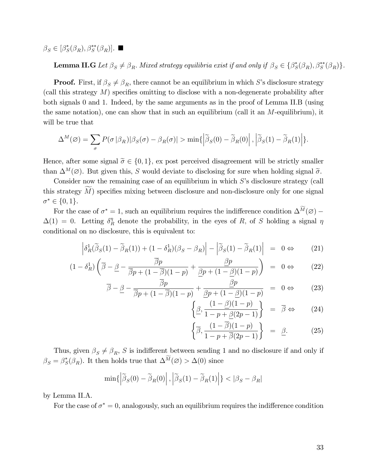$\beta_S \in [\beta_S^*(\beta_R), \beta_S^{**}(\beta_R)].$ 

**Lemma II.G** Let  $\beta_S \neq \beta_R$ . Mixed strategy equilibria exist if and only if  $\beta_S \in {\beta_S^*(\beta_R), \beta_S^{**}(\beta_R)}$ .

**Proof.** First, if  $\beta_S \neq \beta_R$ , there cannot be an equilibrium in which S's disclosure strategy (call this strategy  $M$ ) specifies omitting to disclose with a non-degenerate probability after both signals 0 and 1. Indeed, by the same arguments as in the proof of Lemma II.B (using the same notation), one can show that in such an equilibrium (call it an  $M$ -equilibrium), it will be true that

$$
\Delta^M(\varnothing) = \sum_{\sigma} P(\sigma \,|\beta_R)|\beta_S(\sigma) - \beta_R(\sigma)| > \min\{\left|\widetilde{\beta}_S(0) - \widetilde{\beta}_R(0)\right|, \left|\widetilde{\beta}_S(1) - \widetilde{\beta}_R(1)\right|\}.
$$

Hence, after some signal  $\tilde{\sigma} \in \{0, 1\}$ , ex post perceived disagreement will be strictly smaller than  $\Delta^M(\emptyset)$ . But given this, S would deviate to disclosing for sure when holding signal  $\tilde{\sigma}$ .

Consider now the remaining case of an equilibrium in which  $S$ 's disclosure strategy (call this strategy  $M$ ) specifies mixing between disclosure and non-disclosure only for one signal  $\sigma^* \in \{0, 1\}.$ 

For the case of  $\sigma^* = 1$ , such an equilibrium requires the indifference condition  $\Delta^M(\emptyset)$  –  $\Delta(1) = 0$ . Letting  $\delta_R^{\eta}$  denote the probability, in the eyes of R, of S holding a signal  $\eta$ conditional on no disclosure, this is equivalent to:

$$
\left| \delta_R^1(\tilde{\beta}_S(1) - \tilde{\beta}_R(1)) + (1 - \delta_R^1)(\beta_S - \beta_R) \right| - \left| \tilde{\beta}_S(1) - \tilde{\beta}_R(1) \right| = 0 \Leftrightarrow (21)
$$

$$
(1 - \delta_R^1) \left( \overline{\beta} - \underline{\beta} - \frac{\overline{\beta}p}{\overline{\beta}p + (1 - \overline{\beta})(1 - p)} + \frac{\underline{\beta}p}{\underline{\beta}p + (1 - \underline{\beta})(1 - p)} \right) = 0 \Leftrightarrow (22)
$$

$$
\overline{\beta} - \underline{\beta} - \frac{\overline{\beta}p}{\overline{\beta}p + (1 - \overline{\beta})(1 - p)} + \frac{\underline{\beta}p}{\underline{\beta}p + (1 - \underline{\beta})(1 - p)} = 0 \Leftrightarrow (23)
$$

$$
\left\{\underline{\beta}, \frac{(1-\underline{\beta})(1-p)}{1-p+\underline{\beta}(2p-1)}\right\} = \overline{\beta} \Leftrightarrow (24)
$$

$$
\left\{\overline{\beta}, \frac{(1-\overline{\beta})(1-p)}{1-p+\overline{\beta}(2p-1)}\right\} = \underline{\beta}.
$$
 (25)

Thus, given  $\beta_S \neq \beta_R$ , S is indifferent between sending 1 and no disclosure if and only if  $\beta_S = \beta_S^*(\beta_R)$ . It then holds true that  $\Delta^M(\varnothing) > \Delta(0)$  since

$$
\min\{\left|\widetilde{\boldsymbol{\beta}}_{S}(0)-\widetilde{\boldsymbol{\beta}}_{R}(0)\right|,\left|\widetilde{\boldsymbol{\beta}}_{S}(1)-\widetilde{\boldsymbol{\beta}}_{R}(1)\right|\}<\left|\boldsymbol{\beta}_{S}-\boldsymbol{\beta}_{R}\right|
$$

by Lemma II.A.

For the case of  $\sigma^* = 0$ , analogously, such an equilibrium requires the indifference condition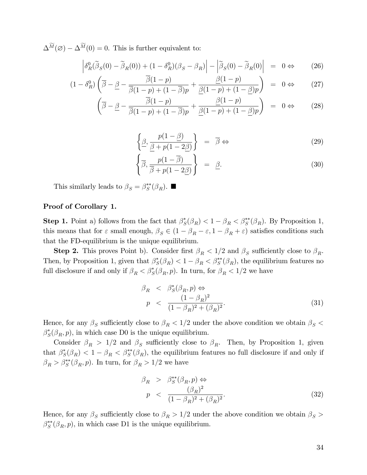$\Delta^{\widetilde{M}}(\emptyset) - \Delta^{\widetilde{M}}(0) = 0$ . This is further equivalent to:

$$
\left| \delta_R^0(\tilde{\beta}_S(0) - \tilde{\beta}_R(0)) + (1 - \delta_R^0)(\beta_S - \beta_R) \right| - \left| \tilde{\beta}_S(0) - \tilde{\beta}_R(0) \right| = 0 \Leftrightarrow (26)
$$

$$
(1 - \delta_R^0) \left( \overline{\beta} - \underline{\beta} - \frac{\overline{\beta}(1 - p)}{\overline{\beta}(1 - p) + (1 - \overline{\beta})p} + \frac{\underline{\beta}(1 - p)}{\underline{\beta}(1 - p) + (1 - \underline{\beta})p} \right) = 0 \Leftrightarrow (27)
$$

$$
\left(\overline{\beta}-\underline{\beta}-\frac{\overline{\beta}(1-p)}{\overline{\beta}(1-p)+(1-\overline{\beta})p}+\frac{\underline{\beta}(1-p)}{\underline{\beta}(1-p)+(1-\underline{\beta})p}\right) = 0 \Leftrightarrow (28)
$$

$$
\left\{\underline{\beta}, \frac{p(1-\underline{\beta})}{\underline{\beta} + p(1-2\underline{\beta})}\right\} = \overline{\beta} \Leftrightarrow \tag{29}
$$

$$
\left\{\overline{\beta}, \frac{p(1-\overline{\beta})}{\overline{\beta}+p(1-2\underline{\beta})}\right\} = \underline{\beta}.
$$
\n(30)

This similarly leads to  $\beta_S = \beta_S^{**}(\beta_R)$ .

#### Proof of Corollary 1.

**Step 1.** Point a) follows from the fact that  $\beta_S^*(\beta_R) < 1 - \beta_R < \beta_S^{**}(\beta_R)$ . By Proposition 1, this means that for  $\varepsilon$  small enough,  $\beta_S \in (1 - \beta_R - \varepsilon, 1 - \beta_R + \varepsilon)$  satisfies conditions such that the FD-equilibrium is the unique equilibrium.

**Step 2.** This proves Point b). Consider first  $\beta_R < 1/2$  and  $\beta_S$  sufficiently close to  $\beta_R$ . Then, by Proposition 1, given that  $\beta_S^*(\beta_R) < 1 - \beta_R < \beta_S^{**}(\beta_R)$ , the equilibrium features no full disclosure if and only if  $\beta_R < \beta_S^*(\beta_R, p)$ . In turn, for  $\beta_R < 1/2$  we have

$$
\beta_R < \beta_S^*(\beta_R, p) \Leftrightarrow \np < \frac{(1 - \beta_R)^2}{(1 - \beta_R)^2 + (\beta_R)^2}.
$$
\n(31)

Hence, for any  $\beta_S$  sufficiently close to  $\beta_R < 1/2$  under the above condition we obtain  $\beta_S <$  $\beta_{S}^{*}(\beta_{R}, p)$ , in which case D0 is the unique equilibrium.

Consider  $\beta_R > 1/2$  and  $\beta_S$  sufficiently close to  $\beta_R$ . Then, by Proposition 1, given that  $\beta_S^*(\beta_R) < 1 - \beta_R < \beta_S^{**}(\beta_R)$ , the equilibrium features no full disclosure if and only if  $\beta_R > \beta_S^{**}(\beta_R, p)$ . In turn, for  $\beta_R > 1/2$  we have

$$
\beta_R > \beta_S^{**}(\beta_R, p) \Leftrightarrow
$$
\n
$$
p < \frac{(\beta_R)^2}{(1 - \beta_R)^2 + (\beta_R)^2}.
$$
\n(32)

Hence, for any  $\beta_S$  sufficiently close to  $\beta_R > 1/2$  under the above condition we obtain  $\beta_S >$  $\beta_S^{**}(\beta_R, p)$ , in which case D1 is the unique equilibrium.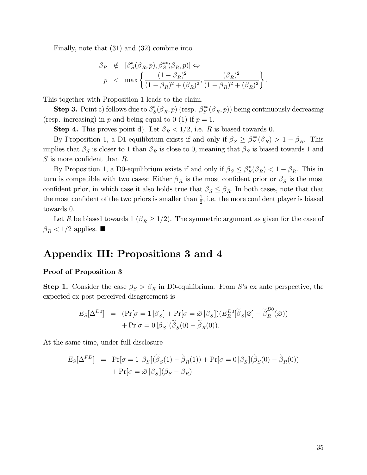Finally, note that (31) and (32) combine into

$$
\beta_R \notin \left[ \beta_S^*(\beta_R, p), \beta_S^{**}(\beta_R, p) \right] \Leftrightarrow
$$
\n
$$
p < \max \left\{ \frac{(1 - \beta_R)^2}{(1 - \beta_R)^2 + (\beta_R)^2}, \frac{(\beta_R)^2}{(1 - \beta_R)^2 + (\beta_R)^2} \right\}
$$

:

This together with Proposition 1 leads to the claim.

**Step 3.** Point c) follows due to  $\beta_S^*(\beta_R, p)$  (resp.  $\beta_S^{**}(\beta_R, p)$ ) being continuously decreasing (resp. increasing) in p and being equal to 0 (1) if  $p = 1$ .

**Step 4.** This proves point d). Let  $\beta_R < 1/2$ , i.e. R is biased towards 0.

By Proposition 1, a D1-equilibrium exists if and only if  $\beta_S \geq \beta_S^{**}(\beta_R) > 1 - \beta_R$ . This implies that  $\beta_S$  is closer to 1 than  $\beta_R$  is close to 0, meaning that  $\beta_S$  is biased towards 1 and  $S$  is more confident than  $R$ .

By Proposition 1, a D0-equilibrium exists if and only if  $\beta_S \leq \beta_S^*(\beta_R) < 1 - \beta_R$ . This in turn is compatible with two cases: Either  $\beta_R$  is the most confident prior or  $\beta_S$  is the most confident prior, in which case it also holds true that  $\beta_S \leq \beta_R$ . In both cases, note that that the most confident of the two priors is smaller than  $\frac{1}{2}$ , i.e. the more confident player is biased towards 0:

Let R be biased towards 1 ( $\beta_R \geq 1/2$ ). The symmetric argument as given for the case of  $\beta_R < 1/2$  applies.

# Appendix III: Propositions 3 and 4

#### Proof of Proposition 3

**Step 1.** Consider the case  $\beta_S > \beta_R$  in D0-equilibrium. From S's ex ante perspective, the expected ex post perceived disagreement is

$$
E_S[\Delta^{D0}] = (\Pr[\sigma = 1 | \beta_S] + \Pr[\sigma = \varnothing | \beta_S])(E_R^{D0}[\tilde{\beta}_S | \varnothing] - \tilde{\beta}_R^{D0}(\varnothing))
$$

$$
+ \Pr[\sigma = 0 | \beta_S](\tilde{\beta}_S(0) - \tilde{\beta}_R(0)).
$$

At the same time, under full disclosure

$$
E_S[\Delta^{FD}] = \Pr[\sigma = 1 | \beta_S] (\tilde{\beta}_S(1) - \tilde{\beta}_R(1)) + \Pr[\sigma = 0 | \beta_S] (\tilde{\beta}_S(0) - \tilde{\beta}_R(0))
$$

$$
+ \Pr[\sigma = \varnothing | \beta_S] (\beta_S - \beta_R).
$$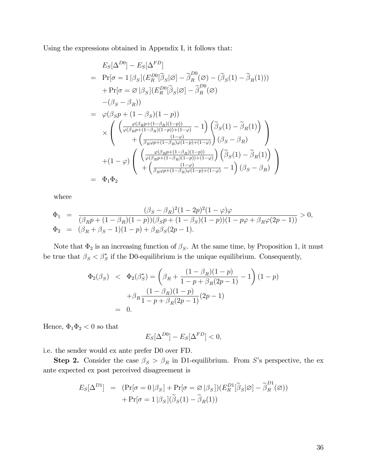Using the expressions obtained in Appendix I, it follows that:

$$
E_{S}[\Delta^{D0}] - E_{S}[\Delta^{FD}]
$$
\n
$$
= \Pr[\sigma = 1 | \beta_{S}] (E_{R}^{D0}[\tilde{\beta}_{S}|\varnothing] - \tilde{\beta}_{R}^{D0}(\varnothing) - (\tilde{\beta}_{S}(1) - \tilde{\beta}_{R}(1)))
$$
\n
$$
+ \Pr[\sigma = \varnothing | \beta_{S}] (E_{R}^{D0}[\tilde{\beta}_{S}|\varnothing] - \tilde{\beta}_{R}^{D0}(\varnothing)
$$
\n
$$
- (\beta_{S} - \beta_{R}))
$$
\n
$$
= \varphi(\beta_{S}p + (1 - \beta_{S})(1 - p))
$$
\n
$$
\times \left( \begin{array}{c} (\frac{\varphi(\beta_{R}p + (1 - \beta_{R})(1 - p))}{\varphi(\beta_{R}p + (1 - \beta_{R})(1 - p)) + (1 - \varphi)} - 1) (\tilde{\beta}_{S}(1) - \tilde{\beta}_{R}(1)) \\ + (\frac{(\beta_{R}p + (1 - \beta_{R})(1 - p)) + (1 - \varphi)}{\beta_{R}p + (1 - \beta_{R})(1 - p) + (1 - \varphi)}) (\beta_{S} - \beta_{R}) \end{array} \right)
$$
\n
$$
+ (1 - \varphi) \left( \begin{array}{c} (\frac{\varphi(\beta_{R}p + (1 - \beta_{R})(1 - p))}{\varphi(\beta_{R}p + (1 - \beta_{R})(1 - p)) + (1 - \varphi)}) (\tilde{\beta}_{S}(1) - \tilde{\beta}_{R}(1)) \\ + (\frac{(\beta_{R}p + (1 - \beta_{R})(1 - p)) + (1 - \varphi)}{\beta_{R}p + (1 - \beta_{R})\varphi(1 - p) + (1 - \varphi)} - 1) (\beta_{S} - \beta_{R}) \end{array} \right)
$$

where

$$
\Phi_1 = \frac{(\beta_S - \beta_R)^2 (1 - 2p)^2 (1 - \varphi)\varphi}{(\beta_R p + (1 - \beta_R)(1 - p))(\beta_S p + (1 - \beta_S)(1 - p)) (1 - p\varphi + \beta_R \varphi(2p - 1))} > 0,
$$
  

$$
\Phi_2 = (\beta_R + \beta_S - 1)(1 - p) + \beta_R \beta_S (2p - 1).
$$

Note that  $\Phi_2$  is an increasing function of  $\beta_S$ . At the same time, by Proposition 1, it must be true that  $\beta_S < \beta_S^*$  if the D0-equilibrium is the unique equilibrium. Consequently,

$$
\Phi_2(\beta_S) < \Phi_2(\beta_S^*) = \left(\beta_R + \frac{(1 - \beta_R)(1 - p)}{1 - p + \beta_R(2p - 1)} - 1\right)(1 - p) \\
 \quad + \beta_R \frac{(1 - \beta_R)(1 - p)}{1 - p + \beta_R(2p - 1)}(2p - 1) \\
 \quad = 0.
$$

Hence,  $\Phi_1\Phi_2<0$  so that

$$
E_S[\Delta^{D0}] - E_S[\Delta^{FD}] < 0,
$$

i.e. the sender would ex ante prefer D0 over FD.

**Step 2.** Consider the case  $\beta_S > \beta_R$  in D1-equilibrium. From S's perspective, the ex ante expected ex post perceived disagreement is

$$
E_S[\Delta^{D1}] = (\Pr[\sigma = 0 | \beta_S] + \Pr[\sigma = \varnothing | \beta_S])(E_R^{D1}[\tilde{\beta}_S | \varnothing] - \tilde{\beta}_R^{D1}(\varnothing))
$$

$$
+ \Pr[\sigma = 1 | \beta_S](\tilde{\beta}_S(1) - \tilde{\beta}_R(1))
$$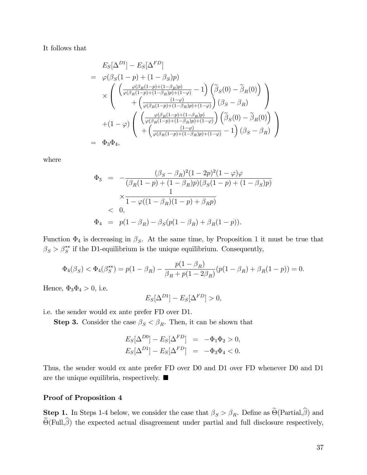It follows that

$$
E_S[\Delta^{D1}] - E_S[\Delta^{FD}]
$$
  
=  $\varphi(\beta_S(1-p) + (1-\beta_S)p)$   
 $\times \left( \begin{array}{c} \left( \frac{\varphi(\beta_R(1-p) + (1-\beta_R)p)}{\varphi(\beta_R(1-p) + (1-\beta_R)p) + (1-\varphi)} - 1 \right) \left( \tilde{\beta}_S(0) - \tilde{\beta}_R(0) \right) \\ + \left( \frac{(1-\varphi)}{\varphi(\beta_R(1-p) + (1-\beta_R)p) + (1-\varphi)} \right) (\beta_S - \beta_R) \end{array} \right)$   
+  $(1-\varphi) \left( \begin{array}{c} \left( \frac{\varphi(\beta_R(1-p) + (1-\beta_R)p)}{\varphi(\beta_R(1-p) + (1-\beta_R)p) + (1-\varphi)} \right) \left( \tilde{\beta}_S(0) - \tilde{\beta}_R(0) \right) \\ + \left( \frac{(1-\varphi)}{\varphi(\beta_R(1-p) + (1-\beta_R)p) + (1-\varphi)} - 1 \right) (\beta_S - \beta_R) \end{array} \right)$   
=  $\Phi_3 \Phi_4$ ,

where

$$
\Phi_3 = -\frac{(\beta_S - \beta_R)^2 (1 - 2p)^2 (1 - \varphi)\varphi}{(\beta_R(1 - p) + (1 - \beta_R)p)(\beta_S(1 - p) + (1 - \beta_S)p)}
$$
  

$$
\times \frac{1}{1 - \varphi((1 - \beta_R)(1 - p) + \beta_R p)}
$$
  

$$
< 0,
$$
  

$$
\Phi_4 = p(1 - \beta_R) - \beta_S(p(1 - \beta_R) + \beta_R(1 - p)).
$$

Function  $\Phi_4$  is decreasing in  $\beta_S$ . At the same time, by Proposition 1 it must be true that  $\beta_S > \beta_S^{**}$  if the D1-equilibrium is the unique equilibrium. Consequently,

$$
\Phi_4(\beta_S) < \Phi_4(\beta_S^{**}) = p(1 - \beta_R) - \frac{p(1 - \beta_R)}{\beta_R + p(1 - 2\beta_R)}(p(1 - \beta_R) + \beta_R(1 - p)) = 0.
$$

Hence,  $\Phi_3 \Phi_4 > 0$ , i.e.

$$
E_S[\Delta^{D1}] - E_S[\Delta^{FD}] > 0,
$$

i.e. the sender would ex ante prefer FD over D1.

**Step 3.** Consider the case  $\beta_S < \beta_R$ . Then, it can be shown that

$$
E_S[\Delta^{D0}] - E_S[\Delta^{FD}] = -\Phi_1 \Phi_2 > 0,
$$
  
\n
$$
E_S[\Delta^{D1}] - E_S[\Delta^{FD}] = -\Phi_3 \Phi_4 < 0.
$$

Thus, the sender would ex ante prefer FD over D0 and D1 over FD whenever D0 and D1 are the unique equilibria, respectively.  $\blacksquare$ 

#### Proof of Proposition 4

**Step 1.** In Steps 1-4 below, we consider the case that  $\beta_S > \beta_R$ . Define as  $\Theta(\text{Partial}, \beta)$  and  $\Theta$ (Full, $\beta$ ) the expected actual disagreement under partial and full disclosure respectively,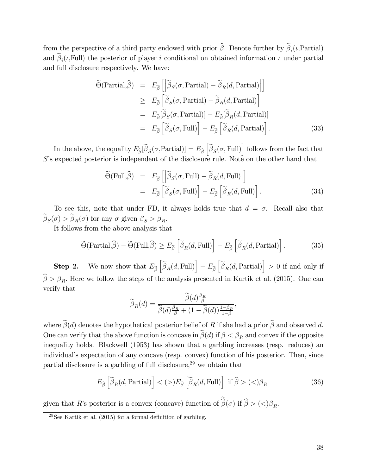from the perspective of a third party endowed with prior  $\beta$ . Denote further by  $\beta_i(\iota, \text{Partial})$ and  $\beta_i(\iota, \text{Full})$  the posterior of player i conditional on obtained information  $\iota$  under partial and full disclosure respectively. We have:

$$
\widetilde{\Theta}(\text{Partial}, \widehat{\beta}) = E_{\widehat{\beta}} \left[ \left| \widetilde{\beta}_{S}(\sigma, \text{Partial}) - \widetilde{\beta}_{R}(d, \text{Partial}) \right| \right] \n\geq E_{\widehat{\beta}} \left[ \widetilde{\beta}_{S}(\sigma, \text{Partial}) - \widetilde{\beta}_{R}(d, \text{Partial}) \right] \n= E_{\widehat{\beta}}[\widetilde{\beta}_{S}(\sigma, \text{Partial})] - E_{\widehat{\beta}}[\widetilde{\beta}_{R}(d, \text{Partial})] \n= E_{\widehat{\beta}} \left[ \widetilde{\beta}_{S}(\sigma, \text{Full}) \right] - E_{\widehat{\beta}} \left[ \widetilde{\beta}_{R}(d, \text{Partial}) \right].
$$
\n(33)

In the above, the equality  $E_{\widehat{\beta}}[\widetilde{\beta}_S(\sigma,\text{Partial})] = E_{\widehat{\beta}}\left[\widetilde{\beta}_S(\sigma,\text{Full})\right]$  follows from the fact that  $S$ 's expected posterior is independent of the disclosure rule. Note on the other hand that

$$
\widetilde{\Theta}(\text{Full}, \widehat{\beta}) = E_{\widehat{\beta}} \left[ \left| \widetilde{\beta}_S(\sigma, \text{Full}) - \widetilde{\beta}_R(d, \text{Full}) \right| \right] \n= E_{\widehat{\beta}} \left[ \widetilde{\beta}_S(\sigma, \text{Full}) \right] - E_{\widehat{\beta}} \left[ \widetilde{\beta}_R(d, \text{Full}) \right].
$$
\n(34)

To see this, note that under FD, it always holds true that  $d = \sigma$ . Recall also that  $\beta_S(\sigma) > \beta_R(\sigma)$  for any  $\sigma$  given  $\beta_S > \beta_R$ .

It follows from the above analysis that

$$
\widetilde{\Theta}(\text{Partial}, \widehat{\beta}) - \widetilde{\Theta}(\text{Full}, \widehat{\beta}) \ge E_{\widehat{\beta}} \left[ \widetilde{\beta}_R(d, \text{Full}) \right] - E_{\widehat{\beta}} \left[ \widetilde{\beta}_R(d, \text{Partial}) \right]. \tag{35}
$$

**Step 2.** We now show that  $E_{\widehat{\beta}}\left[\widetilde{\beta}_R(d, \text{Full})\right] - E_{\widehat{\beta}}\left[\widetilde{\beta}_R(d, \text{Partial})\right] > 0$  if and only if  $\beta > \beta_R$ . Here we follow the steps of the analysis presented in Kartik et al. (2015). One can verify that

$$
\widetilde{\beta}_R(d)=\frac{\widetilde{\beta}(d)\frac{\beta_R}{\beta}}{\widetilde{\beta}(d)\frac{\beta_R}{\beta}+(1-\widetilde{\beta}(d))\frac{1-\beta_R}{1-\beta}},
$$

where  $\tilde{\beta}(d)$  denotes the hypothetical posterior belief of R if she had a prior  $\hat{\beta}$  and observed d. One can verify that the above function is concave in  $\beta(d)$  if  $\beta < \beta_R$  and convex if the opposite inequality holds. Blackwell (1953) has shown that a garbling increases (resp. reduces) an individual's expectation of any concave (resp. convex) function of his posterior. Then, since partial disclosure is a garbling of full disclosure,<sup>29</sup> we obtain that

$$
E_{\widehat{\beta}}\left[\widetilde{\beta}_R(d, \text{Partial})\right] < (>)E_{\widehat{\beta}}\left[\widetilde{\beta}_R(d, \text{Full})\right] \text{ if } \widehat{\beta} > (>)\beta_R \tag{36}
$$

given that R's posterior is a convex (concave) function of  $\beta(\sigma)$  if  $\beta > ( \langle \beta \rangle_R$ .

 $^{29}$ See Kartik et al. (2015) for a formal definition of garbling.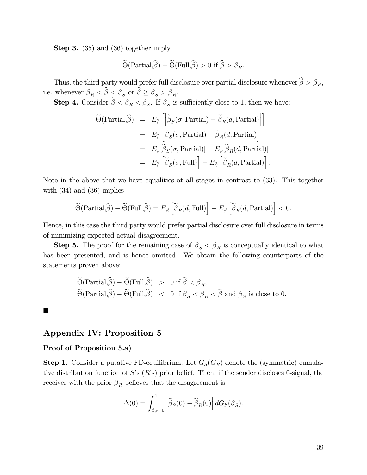Step 3. (35) and (36) together imply

$$
\widetilde{\Theta}(\text{Partial}, \widehat{\beta}) - \widetilde{\Theta}(\text{Full}, \widehat{\beta}) > 0 \text{ if } \widehat{\beta} > \beta_R.
$$

Thus, the third party would prefer full disclosure over partial disclosure whenever  $\beta > \beta_R$ , i.e. whenever  $\beta_R < \beta \leq \beta_S$  or  $\beta \geq \beta_S > \beta_R$ .

**Step 4.** Consider  $\beta < \beta_R < \beta_S$ . If  $\beta_S$  is sufficiently close to 1, then we have:

$$
\widetilde{\Theta}(\text{Partial}, \widehat{\beta}) = E_{\widehat{\beta}} \left[ \left| \widetilde{\beta}_S(\sigma, \text{Partial}) - \widetilde{\beta}_R(d, \text{Partial}) \right| \right]
$$
\n
$$
= E_{\widehat{\beta}} \left[ \widetilde{\beta}_S(\sigma, \text{Partial}) - \widetilde{\beta}_R(d, \text{Partial}) \right]
$$
\n
$$
= E_{\widehat{\beta}}[\widetilde{\beta}_S(\sigma, \text{Partial})] - E_{\widehat{\beta}}[\widetilde{\beta}_R(d, \text{Partial})]
$$
\n
$$
= E_{\widehat{\beta}} \left[ \widetilde{\beta}_S(\sigma, \text{Full}) \right] - E_{\widehat{\beta}} \left[ \widetilde{\beta}_R(d, \text{Partial}) \right].
$$

Note in the above that we have equalities at all stages in contrast to (33). This together with  $(34)$  and  $(36)$  implies

$$
\widetilde{\Theta}(\text{Partial}, \widehat{\beta}) - \widetilde{\Theta}(\text{Full}, \widehat{\beta}) = E_{\widehat{\beta}}\left[\widetilde{\beta}_R(d, \text{Full})\right] - E_{\widehat{\beta}}\left[\widetilde{\beta}_R(d, \text{Partial})\right] < 0.
$$

Hence, in this case the third party would prefer partial disclosure over full disclosure in terms of minimizing expected actual disagreement.

**Step 5.** The proof for the remaining case of  $\beta_S < \beta_R$  is conceptually identical to what has been presented, and is hence omitted. We obtain the following counterparts of the statements proven above:

$$
\begin{aligned}\n\widetilde{\Theta}(\text{Partial}, \widehat{\beta}) - \widetilde{\Theta}(\text{Full}, \widehat{\beta}) &> 0 \text{ if } \widehat{\beta} < \beta_R, \\
\widetilde{\Theta}(\text{Partial}, \widehat{\beta}) - \widetilde{\Theta}(\text{Full}, \widehat{\beta}) &< 0 \text{ if } \beta_S < \beta_R < \widehat{\beta} \text{ and } \beta_S \text{ is close to } 0.\n\end{aligned}
$$

#### $\blacksquare$

# Appendix IV: Proposition 5

#### Proof of Proposition 5.a)

**Step 1.** Consider a putative FD-equilibrium. Let  $G_S(G_R)$  denote the (symmetric) cumulative distribution function of  $S$ 's  $(R$ 's) prior belief. Then, if the sender discloses 0-signal, the receiver with the prior  $\beta_R$  believes that the disagreement is

$$
\Delta(0) = \int_{\beta_S=0}^1 \left| \tilde{\beta}_S(0) - \tilde{\beta}_R(0) \right| dG_S(\beta_S).
$$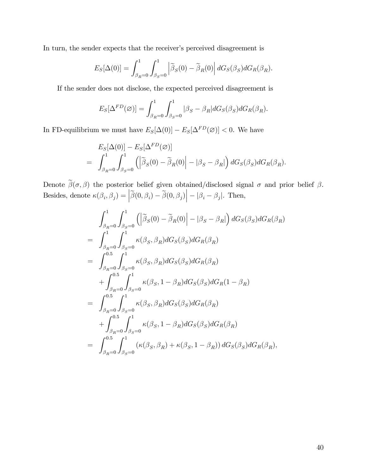In turn, the sender expects that the receiver's perceived disagreement is

$$
E_S[\Delta(0)] = \int_{\beta_R=0}^1 \int_{\beta_S=0}^1 \left| \tilde{\beta}_S(0) - \tilde{\beta}_R(0) \right| dG_S(\beta_S) dG_R(\beta_R).
$$

If the sender does not disclose, the expected perceived disagreement is

$$
E_S[\Delta^{FD}(\varnothing)] = \int_{\beta_R=0}^1 \int_{\beta_S=0}^1 |\beta_S - \beta_R| dG_S(\beta_S) dG_R(\beta_R).
$$

In FD-equilibrium we must have  $E_S[\Delta(0)] - E_S[\Delta^{FD}(\varnothing)] < 0$ . We have

$$
E_S[\Delta(0)] - E_S[\Delta^{FD}(\varnothing)]
$$
  
=  $\int_{\beta_R=0}^1 \int_{\beta_S=0}^1 (|\widetilde{\beta}_S(0) - \widetilde{\beta}_R(0)| - |\beta_S - \beta_R|) dG_S(\beta_S) dG_R(\beta_R).$ 

Denote  $\beta(\sigma, \beta)$  the posterior belief given obtained/disclosed signal  $\sigma$  and prior belief  $\beta$ . Besides, denote  $\kappa(\beta_i, \beta_j) = |\tilde{\beta}(0, \beta_i) - \tilde{\beta}(0, \beta_j)| - |\beta_i - \beta_j|$ . Then,

$$
\int_{\beta_{R}=0}^{1} \int_{\beta_{S}=0}^{1} (|\tilde{\beta}_{S}(0) - \tilde{\beta}_{R}(0)| - |\beta_{S} - \beta_{R}|) dG_{S}(\beta_{S}) dG_{R}(\beta_{R})
$$
\n
$$
= \int_{\beta_{R}=0}^{1} \int_{\beta_{S}=0}^{1} \kappa(\beta_{S}, \beta_{R}) dG_{S}(\beta_{S}) dG_{R}(\beta_{R})
$$
\n
$$
= \int_{\beta_{R}=0}^{0.5} \int_{\beta_{S}=0}^{1} \kappa(\beta_{S}, \beta_{R}) dG_{S}(\beta_{S}) dG_{R}(\beta_{R})
$$
\n
$$
+ \int_{\beta_{R}=0}^{0.5} \int_{\beta_{S}=0}^{1} \kappa(\beta_{S}, 1 - \beta_{R}) dG_{S}(\beta_{S}) dG_{R} (1 - \beta_{R})
$$
\n
$$
= \int_{\beta_{R}=0}^{0.5} \int_{\beta_{S}=0}^{1} \kappa(\beta_{S}, \beta_{R}) dG_{S}(\beta_{S}) dG_{R}(\beta_{R})
$$
\n
$$
+ \int_{\beta_{R}=0}^{0.5} \int_{\beta_{S}=0}^{1} \kappa(\beta_{S}, 1 - \beta_{R}) dG_{S}(\beta_{S}) dG_{R}(\beta_{R})
$$
\n
$$
= \int_{\beta_{R}=0}^{0.5} \int_{\beta_{S}=0}^{1} (\kappa(\beta_{S}, \beta_{R}) + \kappa(\beta_{S}, 1 - \beta_{R})) dG_{S}(\beta_{S}) dG_{R}(\beta_{R}),
$$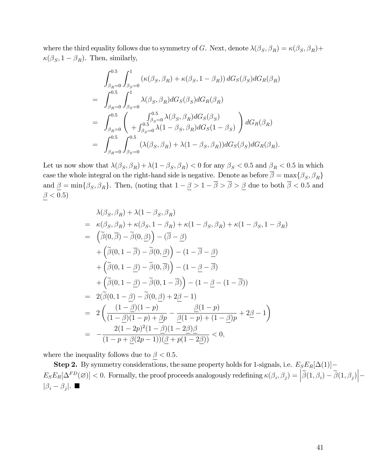where the third equality follows due to symmetry of G. Next, denote  $\lambda(\beta_S, \beta_R) = \kappa(\beta_S, \beta_R) +$  $\kappa(\beta_S, 1 - \beta_R)$ . Then, similarly,

$$
\int_{\beta_R=0}^{0.5} \int_{\beta_S=0}^1 \left( \kappa(\beta_S, \beta_R) + \kappa(\beta_S, 1 - \beta_R) \right) dG_S(\beta_S) dG_R(\beta_R)
$$
  
\n
$$
= \int_{\beta_R=0}^{0.5} \int_{\beta_S=0}^1 \lambda(\beta_S, \beta_R) dG_S(\beta_S) dG_R(\beta_R)
$$
  
\n
$$
= \int_{\beta_R=0}^{0.5} \left( \int_{\beta_S=0}^{0.5} \lambda(\beta_S, \beta_R) dG_S(\beta_S) \right) dG_R(\beta_R)
$$
  
\n
$$
= \int_{\beta_R=0}^{0.5} \int_{\beta_S=0}^{0.5} \lambda(1 - \beta_S, \beta_R) dG_S(1 - \beta_S) \right) dG_R(\beta_R)
$$
  
\n
$$
= \int_{\beta_R=0}^{0.5} \int_{\beta_S=0}^{0.5} (\lambda(\beta_S, \beta_R) + \lambda(1 - \beta_S, \beta_R)) dG_S(\beta_S) dG_R(\beta_R).
$$

Let us now show that  $\lambda(\beta_S, \beta_R) + \lambda(1 - \beta_S, \beta_R) < 0$  for any  $\beta_S < 0.5$  and  $\beta_R < 0.5$  in which case the whole integral on the right-hand side is negative. Denote as before  $\beta = \max\{\beta_S, \beta_R\}$ and  $\underline{\beta} = \min\{\beta_S, \beta_R\}$ . Then, (noting that  $1 - \underline{\beta} > 1 - \beta > \beta > \underline{\beta}$  due to both  $\beta < 0.5$  and  $\underline{\beta} < 0.5)$ 

$$
\lambda(\beta_S, \beta_R) + \lambda(1 - \beta_S, \beta_R)
$$
\n
$$
= \kappa(\beta_S, \beta_R) + \kappa(\beta_S, 1 - \beta_R) + \kappa(1 - \beta_S, \beta_R) + \kappa(1 - \beta_S, 1 - \beta_R)
$$
\n
$$
= \left(\tilde{\beta}(0, \overline{\beta}) - \tilde{\beta}(0, \underline{\beta})\right) - \left(\overline{\beta} - \underline{\beta}\right)
$$
\n
$$
+ \left(\tilde{\beta}(0, 1 - \overline{\beta}) - \tilde{\beta}(0, \underline{\beta})\right) - (1 - \overline{\beta} - \underline{\beta})
$$
\n
$$
+ \left(\tilde{\beta}(0, 1 - \underline{\beta}) - \tilde{\beta}(0, \overline{\beta})\right) - (1 - \underline{\beta} - \overline{\beta})
$$
\n
$$
+ \left(\tilde{\beta}(0, 1 - \underline{\beta}) - \tilde{\beta}(0, 1 - \overline{\beta})\right) - (1 - \underline{\beta} - (1 - \overline{\beta}))
$$
\n
$$
= 2(\tilde{\beta}(0, 1 - \underline{\beta}) - \tilde{\beta}(0, \underline{\beta}) + 2\underline{\beta} - 1)
$$
\n
$$
= 2\left(\frac{(1 - \underline{\beta})(1 - p)}{(1 - \underline{\beta})(1 - p) + \underline{\beta}p} - \frac{\underline{\beta}(1 - p)}{\underline{\beta}(1 - p) + (1 - \underline{\beta})p} + 2\underline{\beta} - 1\right)
$$
\n
$$
= -\frac{2(1 - 2p)^2(1 - \underline{\beta})(1 - 2\underline{\beta})\underline{\beta}}{(1 - p + \underline{\beta}(2p - 1))(\underline{\beta} + p(1 - 2\underline{\beta}))} < 0,
$$

where the inequality follows due to  $\beta < 0.5$ .

**Step 2.** By symmetry considerations, the same property holds for 1-signals, i.e.  $E_S E_R[\Delta(1)]$  $E_{S}E_{R}[\Delta^{FD}(\varnothing)] < 0.$  Formally, the proof proceeds analogously redefining  $\kappa(\beta_i, \beta_j) = \left| \widetilde{\beta}(1, \beta_i) - \widetilde{\beta}(1, \beta_j) \right| |\beta_i - \beta_j|$ .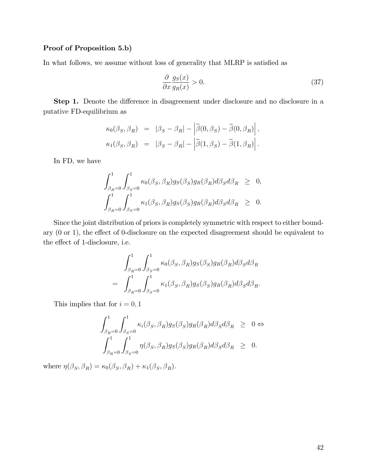#### Proof of Proposition 5.b)

In what follows, we assume without loss of generality that MLRP is satisfied as

$$
\frac{\partial}{\partial x}\frac{g_S(x)}{g_R(x)} > 0.\tag{37}
$$

**Step 1.** Denote the difference in disagreement under disclosure and no disclosure in a putative FD-equilibrium as

$$
\begin{array}{rcl}\kappa_0(\beta_S,\beta_R) & = & |\beta_S - \beta_R| - \left|\widetilde{\beta}(0,\beta_S) - \widetilde{\beta}(0,\beta_R)\right|, \\
\kappa_1(\beta_S,\beta_R) & = & |\beta_S - \beta_R| - \left|\widetilde{\beta}(1,\beta_S) - \widetilde{\beta}(1,\beta_R)\right|. \end{array}
$$

In FD, we have

$$
\int_{\beta_R=0}^1 \int_{\beta_S=0}^1 \kappa_0(\beta_S, \beta_R) g_S(\beta_S) g_R(\beta_R) d\beta_S d\beta_R \geq 0,
$$
  

$$
\int_{\beta_R=0}^1 \int_{\beta_S=0}^1 \kappa_1(\beta_S, \beta_R) g_S(\beta_S) g_R(\beta_R) d\beta_S d\beta_R \geq 0.
$$

Since the joint distribution of priors is completely symmetric with respect to either boundary  $(0 \text{ or } 1)$ , the effect of 0-disclosure on the expected disagreement should be equivalent to the effect of 1-disclosure, i.e.

$$
\int_{\beta_R=0}^1 \int_{\beta_S=0}^1 \kappa_0(\beta_S, \beta_R) g_S(\beta_S) g_R(\beta_R) d\beta_S d\beta_R
$$
  
= 
$$
\int_{\beta_R=0}^1 \int_{\beta_S=0}^1 \kappa_1(\beta_S, \beta_R) g_S(\beta_S) g_R(\beta_R) d\beta_S d\beta_R.
$$

This implies that for  $i = 0, 1$ 

$$
\int_{\beta_R=0}^1 \int_{\beta_S=0}^1 \kappa_i(\beta_S, \beta_R) g_S(\beta_S) g_R(\beta_R) d\beta_S d\beta_R \geq 0 \Leftrightarrow
$$
  

$$
\int_{\beta_R=0}^1 \int_{\beta_S=0}^1 \eta(\beta_S, \beta_R) g_S(\beta_S) g_R(\beta_R) d\beta_S d\beta_R \geq 0.
$$

where  $\eta(\beta_S, \beta_R) = \kappa_0(\beta_S, \beta_R) + \kappa_1(\beta_S, \beta_R)$ .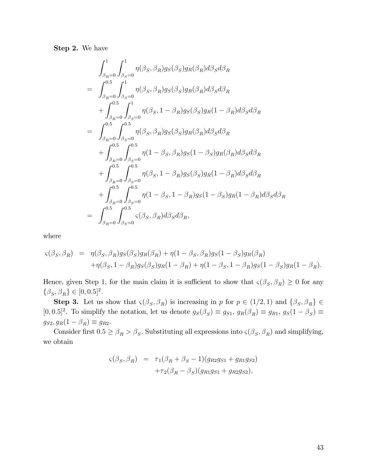Step 2. We have

$$
\int_{\beta_{R}=0}^{1} \int_{\beta_{S}=0}^{1} \eta(\beta_{S}, \beta_{R}) g_{S}(\beta_{S}) g_{R}(\beta_{R}) d\beta_{S} d\beta_{R}
$$
\n
$$
= \int_{\beta_{R}=0}^{0.5} \int_{\beta_{S}=0}^{1} \eta(\beta_{S}, \beta_{R}) g_{S}(\beta_{S}) g_{R}(\beta_{R}) d\beta_{S} d\beta_{R}
$$
\n
$$
+ \int_{\beta_{R}=0}^{0.5} \int_{\beta_{S}=0}^{1} \eta(\beta_{S}, 1 - \beta_{R}) g_{S}(\beta_{S}) g_{R} (1 - \beta_{R}) d\beta_{S} d\beta_{R}
$$
\n
$$
= \int_{\beta_{R}=0}^{0.5} \int_{\beta_{S}=0}^{0.5} \eta(\beta_{S}, \beta_{R}) g_{S}(\beta_{S}) g_{R}(\beta_{R}) d\beta_{S} d\beta_{R}
$$
\n
$$
+ \int_{\beta_{R}=0}^{0.5} \int_{\beta_{S}=0}^{0.5} \eta(1 - \beta_{S}, \beta_{R}) g_{S} (1 - \beta_{S}) g_{R}(\beta_{R}) d\beta_{S} d\beta_{R}
$$
\n
$$
+ \int_{\beta_{R}=0}^{0.5} \int_{\beta_{S}=0}^{0.5} \eta(\beta_{S}, 1 - \beta_{R}) g_{S}(\beta_{S}) g_{R} (1 - \beta_{R}) d\beta_{S} d\beta_{R}
$$
\n
$$
+ \int_{\beta_{R}=0}^{0.5} \int_{\beta_{S}=0}^{0.5} \eta(1 - \beta_{S}, 1 - \beta_{R}) g_{S} (1 - \beta_{S}) g_{R} (1 - \beta_{R}) d\beta_{S} d\beta_{R}
$$
\n
$$
= \int_{\beta_{R}=0}^{0.5} \int_{\beta_{S}=0}^{0.5} \zeta(\beta_{S}, \beta_{R}) d\beta_{S} d\beta_{R},
$$

where

$$
\begin{aligned}\n\varsigma(\beta_S, \beta_R) &= \eta(\beta_S, \beta_R) g_S(\beta_S) g_R(\beta_R) + \eta(1 - \beta_S, \beta_R) g_S(1 - \beta_S) g_R(\beta_R) \\
&\quad + \eta(\beta_S, 1 - \beta_R) g_S(\beta_S) g_R(1 - \beta_R) + \eta(1 - \beta_S, 1 - \beta_R) g_S(1 - \beta_S) g_R(1 - \beta_R).\n\end{aligned}
$$

Hence, given Step 1, for the main claim it is sufficient to show that  $\varsigma(\beta_S, \beta_R) \geq 0$  for any  $\{\beta_S, \beta_R\} \in [0, 0.5]^2.$ 

**Step 3.** Let us show that  $\varsigma(\beta_S, \beta_R)$  is increasing in p for  $p \in (1/2, 1)$  and  $\{\beta_S, \beta_R\} \in$  $[0, 0.5]^2$ . To simplify the notation, let us denote  $g_S(\beta_S) \equiv g_{S1}, g_R(\beta_R) \equiv g_{R1}, g_S(1 - \beta_S) \equiv g_{S1}$  $g_{S2}, g_R(1 - \beta_R) \equiv g_{R2}.$ 

Consider first  $0.5 \ge \beta_R > \beta_S$ . Substituting all expressions into  $\varsigma(\beta_S, \beta_R)$  and simplifying, we obtain

$$
\varsigma(\beta_S, \beta_R) = \tau_1(\beta_R + \beta_S - 1)(g_{R2}g_{S1} + g_{R1}g_{S2}) \n+ \tau_2(\beta_R - \beta_S)(g_{R1}g_{S1} + g_{R2}g_{S2}),
$$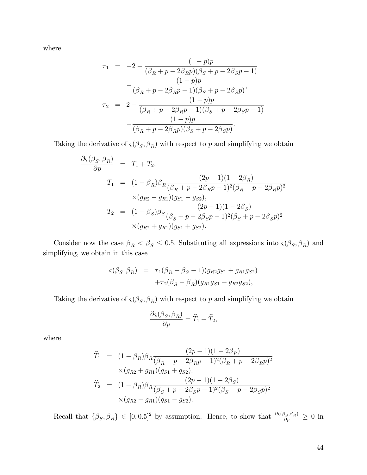where

$$
\tau_1 = -2 - \frac{(1-p)p}{(\beta_R + p - 2\beta_R p)(\beta_S + p - 2\beta_S p - 1)} \n- \frac{(1-p)p}{(\beta_R + p - 2\beta_R p - 1)(\beta_S + p - 2\beta_S p)}, \n\tau_2 = 2 - \frac{(1-p)p}{(\beta_R + p - 2\beta_R p - 1)(\beta_S + p - 2\beta_S p - 1)} \n- \frac{(1-p)p}{(\beta_R + p - 2\beta_R p)(\beta_S + p - 2\beta_S p)}.
$$

Taking the derivative of  $\varsigma(\beta_S, \beta_R)$  with respect to p and simplifying we obtain

$$
\frac{\partial \varsigma(\beta_S, \beta_R)}{\partial p} = T_1 + T_2,
$$
  
\n
$$
T_1 = (1 - \beta_R)\beta_R \frac{(2p - 1)(1 - 2\beta_R)}{(\beta_R + p - 2\beta_R p - 1)^2(\beta_R + p - 2\beta_R p)^2}
$$
  
\n
$$
\times (g_{R2} - g_{R1})(g_{S1} - g_{S2}),
$$
  
\n
$$
T_2 = (1 - \beta_S)\beta_S \frac{(2p - 1)(1 - 2\beta_S)}{(\beta_S + p - 2\beta_S p - 1)^2(\beta_S + p - 2\beta_S p)^2}
$$
  
\n
$$
\times (g_{R2} + g_{R1})(g_{S1} + g_{S2}).
$$

Consider now the case  $\beta_R < \beta_S \leq 0.5$ . Substituting all expressions into  $\varsigma(\beta_S, \beta_R)$  and simplifying, we obtain in this case

$$
\begin{array}{rcl} \varsigma(\beta_S, \beta_R) & = & \tau_1(\beta_R + \beta_S - 1)(g_{R2}g_{S1} + g_{R1}g_{S2}) \\ & & + \tau_2(\beta_S - \beta_R)(g_{R1}g_{S1} + g_{R2}g_{S2}), \end{array}
$$

Taking the derivative of  $\varsigma(\beta_S, \beta_R)$  with respect to p and simplifying we obtain

$$
\frac{\partial \varsigma(\beta_S, \beta_R)}{\partial p} = \widehat{T}_1 + \widehat{T}_2,
$$

where

$$
\widehat{T}_1 = (1 - \beta_R)\beta_R \frac{(2p - 1)(1 - 2\beta_R)}{(\beta_R + p - 2\beta_R p - 1)^2(\beta_R + p - 2\beta_R p)^2} \times (g_{R2} + g_{R1})(g_{S1} + g_{S2}),
$$
\n
$$
\widehat{T}_2 = (1 - \beta_R)\beta_R \frac{(2p - 1)(1 - 2\beta_S)}{(\beta_S + p - 2\beta_S p - 1)^2(\beta_S + p - 2\beta_S p)^2} \times (g_{R2} - g_{R1})(g_{S1} - g_{S2}).
$$

Recall that  $\{\beta_S, \beta_R\} \in [0, 0.5]^2$  by assumption. Hence, to show that  $\frac{\partial \varsigma(\beta_S, \beta_R)}{\partial p} \geq 0$  in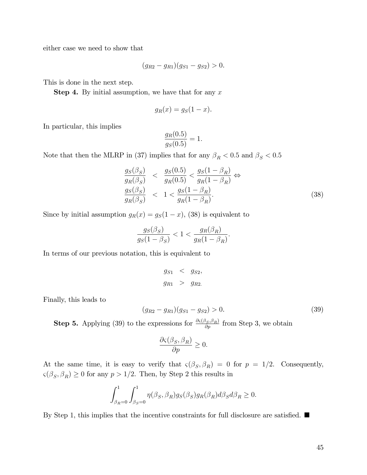either case we need to show that

$$
(g_{R2} - g_{R1})(g_{S1} - g_{S2}) > 0.
$$

This is done in the next step.

**Step 4.** By initial assumption, we have that for any  $x$ 

$$
g_R(x) = g_S(1-x).
$$

In particular, this implies

$$
\frac{g_R(0.5)}{g_S(0.5)} = 1.
$$

Note that then the MLRP in (37) implies that for any  $\beta_R < 0.5$  and  $\beta_S < 0.5$ 

$$
\frac{g_S(\beta_S)}{g_R(\beta_S)} < \frac{g_S(0.5)}{g_R(0.5)} < \frac{g_S(1 - \beta_R)}{g_R(1 - \beta_R)} \Leftrightarrow \n\frac{g_S(\beta_S)}{g_R(\beta_S)} < 1 < \frac{g_S(1 - \beta_R)}{g_R(1 - \beta_R)}.\n\tag{38}
$$

Since by initial assumption  $g_R(x) = g_S(1-x)$ , (38) is equivalent to

$$
\frac{g_S(\beta_S)}{g_S(1-\beta_S)} < 1 < \frac{g_R(\beta_R)}{g_R(1-\beta_R)}.
$$

In terms of our previous notation, this is equivalent to

$$
g_{S1} < g_{S2},
$$
  

$$
g_{R1} > g_{R2}.
$$

Finally, this leads to

$$
(g_{R2} - g_{R1})(g_{S1} - g_{S2}) > 0.
$$
\n(39)

**Step 5.** Applying (39) to the expressions for  $\frac{\partial \varsigma(\beta_S,\beta_R)}{\partial p}$  from Step 3, we obtain

$$
\frac{\partial \varsigma(\beta_S, \beta_R)}{\partial p} \ge 0.
$$

At the same time, it is easy to verify that  $\varsigma(\beta_S, \beta_R) = 0$  for  $p = 1/2$ . Consequently,  $\varsigma(\beta_S, \beta_R) \geq 0$  for any  $p > 1/2$ . Then, by Step 2 this results in

$$
\int_{\beta_R=0}^1 \int_{\beta_S=0}^1 \eta(\beta_S, \beta_R) g_S(\beta_S) g_R(\beta_R) d\beta_S d\beta_R \ge 0.
$$

By Step 1, this implies that the incentive constraints for full disclosure are satisfied.  $\blacksquare$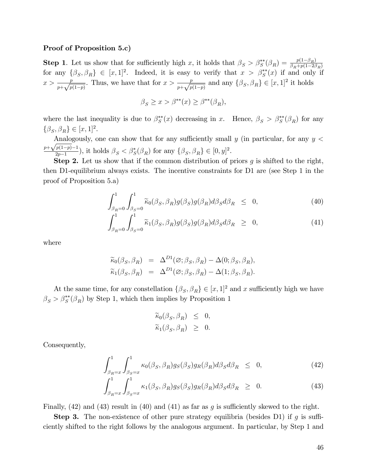#### Proof of Proposition 5.c)

**Step 1.** Let us show that for sufficiently high x, it holds that  $\beta_S > \beta_S^{**}(\beta_R) = \frac{p(1-\beta_R)}{\beta_R+p(1-2\beta_R)}$ for any  $\{\beta_S, \beta_R\} \in [x, 1]^2$ . Indeed, it is easy to verify that  $x > \beta_S^{**}(x)$  if and only if  $x > \frac{p}{p + \sqrt{p(1-p)}}$ . Thus, we have that for  $x > \frac{p}{p + \sqrt{p(1-p)}}$  and any  $\{\beta_S, \beta_R\} \in [x, 1]^2$  it holds

$$
\beta_S \ge x > \beta^{**}(x) \ge \beta^{**}(\beta_R),
$$

where the last inequality is due to  $\beta_S^{**}(x)$  decreasing in x. Hence,  $\beta_S > \beta_S^{**}(\beta_R)$  for any  $\{\beta_S, \beta_R\} \in [x, 1]^2.$ 

Analogously, one can show that for any sufficiently small  $y$  (in particular, for any  $y <$  $p+\sqrt{p(1-p)}-1$  $\frac{p(1-p)-1}{2p-1}$ , it holds  $\beta_S < \beta_S^*(\beta_R)$  for any  $\{\beta_S, \beta_R\} \in [0, y]^2$ .

**Step 2.** Let us show that if the common distribution of priors  $g$  is shifted to the right, then D1-equilibrium always exists. The incentive constraints for D1 are (see Step 1 in the proof of Proposition 5.a)

$$
\int_{\beta_R=0}^1 \int_{\beta_S=0}^1 \widetilde{\kappa}_0(\beta_S, \beta_R) g(\beta_S) g(\beta_R) d\beta_S d\beta_R \leq 0,
$$
\n(40)

$$
\int_{\beta_R=0}^1 \int_{\beta_S=0}^1 \widetilde{\kappa}_1(\beta_S, \beta_R) g(\beta_S) g(\beta_R) d\beta_S d\beta_R \geq 0,
$$
\n(41)

where

$$
\widetilde{\kappa}_0(\beta_S, \beta_R) = \Delta^{D1}(\varnothing; \beta_S, \beta_R) - \Delta(0; \beta_S, \beta_R), \n\widetilde{\kappa}_1(\beta_S, \beta_R) = \Delta^{D1}(\varnothing; \beta_S, \beta_R) - \Delta(1; \beta_S, \beta_R).
$$

At the same time, for any constellation  $\{\beta_S, \beta_R\} \in [x, 1]^2$  and x sufficiently high we have  $\beta_S > \beta_S^{**}(\beta_R)$  by Step 1, which then implies by Proposition 1

$$
\begin{aligned}\n\widetilde{\kappa}_0(\beta_S, \beta_R) &\leq 0, \\
\widetilde{\kappa}_1(\beta_S, \beta_R) &\geq 0.\n\end{aligned}
$$

Consequently,

$$
\int_{\beta_R=x}^1 \int_{\beta_S=x}^1 \kappa_0(\beta_S, \beta_R) g_S(\beta_S) g_R(\beta_R) d\beta_S d\beta_R \leq 0,
$$
\n(42)

$$
\int_{\beta_R=x}^1 \int_{\beta_S=x}^1 \kappa_1(\beta_S, \beta_R) g_S(\beta_S) g_R(\beta_R) d\beta_S d\beta_R \geq 0.
$$
 (43)

Finally,  $(42)$  and  $(43)$  result in  $(40)$  and  $(41)$  as far as q is sufficiently skewed to the right.

**Step 3.** The non-existence of other pure strategy equilibria (besides D1) if  $g$  is sufficiently shifted to the right follows by the analogous argument. In particular, by Step 1 and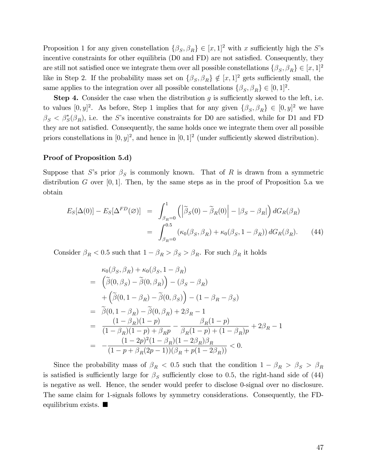Proposition 1 for any given constellation  $\{\beta_S, \beta_R\} \in [x, 1]^2$  with x sufficiently high the S's incentive constraints for other equilibria (D0 and FD) are not satisfied. Consequently, they are still not satisfied once we integrate them over all possible constellations  $\{\beta_S, \beta_R\} \in [x, 1]^2$ like in Step 2. If the probability mass set on  $\{\beta_S, \beta_R\} \notin [x, 1]^2$  gets sufficiently small, the same applies to the integration over all possible constellations  $\{\beta_S, \beta_R\} \in [0, 1]^2$ .

**Step 4.** Consider the case when the distribution  $g$  is sufficiently skewed to the left, i.e. to values  $[0, y]^2$ . As before, Step 1 implies that for any given  $\{\beta_S, \beta_R\} \in [0, y]^2$  we have  $\beta_S < \beta_S^*(\beta_R)$ , i.e. the S's incentive constraints for D0 are satisfied, while for D1 and FD they are not satisfied. Consequently, the same holds once we integrate them over all possible priors constellations in  $[0, y]^2$ , and hence in  $[0, 1]^2$  (under sufficiently skewed distribution).

#### Proof of Proposition 5.d)

Suppose that S's prior  $\beta_S$  is commonly known. That of R is drawn from a symmetric distribution G over  $[0, 1]$ . Then, by the same steps as in the proof of Proposition 5.a we obtain

$$
E_S[\Delta(0)] - E_S[\Delta^{FD}(\varnothing)] = \int_{\beta_R=0}^1 \left( \left| \tilde{\beta}_S(0) - \tilde{\beta}_R(0) \right| - |\beta_S - \beta_R| \right) dG_R(\beta_R)
$$
  
= 
$$
\int_{\beta_R=0}^{0.5} \left( \kappa_0(\beta_S, \beta_R) + \kappa_0(\beta_S, 1 - \beta_R) \right) dG_R(\beta_R). \tag{44}
$$

Consider  $\beta_R < 0.5$  such that  $1-\beta_R > \beta_S > \beta_R.$  For such  $\beta_R$  it holds

$$
\kappa_0(\beta_S, \beta_R) + \kappa_0(\beta_S, 1 - \beta_R) \n= \left( \tilde{\beta}(0, \beta_S) - \tilde{\beta}(0, \beta_R) \right) - (\beta_S - \beta_R) \n+ \left( \tilde{\beta}(0, 1 - \beta_R) - \tilde{\beta}(0, \beta_S) \right) - (1 - \beta_R - \beta_S) \n= \tilde{\beta}(0, 1 - \beta_R) - \tilde{\beta}(0, \beta_R) + 2\beta_R - 1 \n= \frac{(1 - \beta_R)(1 - p)}{(1 - \beta_R)(1 - p) + \beta_R p} - \frac{\beta_R(1 - p)}{\beta_R(1 - p) + (1 - \beta_R)p} + 2\beta_R - 1 \n= -\frac{(1 - 2p)^2(1 - \beta_R)(1 - 2\beta_R)\beta_R}{(1 - p + \beta_R(2p - 1))(\beta_R + p(1 - 2\beta_R))} < 0.
$$

Since the probability mass of  $\beta_R < 0.5$  such that the condition  $1 - \beta_R > \beta_S > \beta_R$ is satisfied is sufficiently large for  $\beta_S$  sufficiently close to 0.5, the right-hand side of (44) is negative as well. Hence, the sender would prefer to disclose 0-signal over no disclosure. The same claim for 1-signals follows by symmetry considerations. Consequently, the FDequilibrium exists.  $\blacksquare$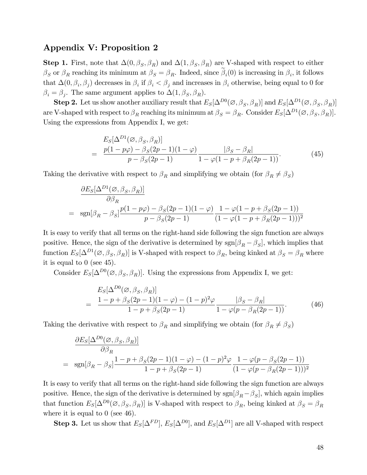## Appendix V: Proposition 2

**Step 1.** First, note that  $\Delta(0, \beta_S, \beta_R)$  and  $\Delta(1, \beta_S, \beta_R)$  are V-shaped with respect to either  $\beta_S$  or  $\beta_R$  reaching its minimum at  $\beta_S = \beta_R$ . Indeed, since  $\beta_i(0)$  is increasing in  $\beta_i$ , it follows that  $\Delta(0, \beta_i, \beta_j)$  decreases in  $\beta_i$  if  $\beta_i < \beta_j$  and increases in  $\beta_i$  otherwise, being equal to 0 for  $\beta_i = \beta_j$ . The same argument applies to  $\Delta(1, \beta_S, \beta_R)$ .

**Step 2.** Let us show another auxiliary result that  $E_S[\Delta^{D0}(\emptyset, \beta_S, \beta_R)]$  and  $E_S[\Delta^{D1}(\emptyset, \beta_S, \beta_R)]$ are V-shaped with respect to  $\beta_R$  reaching its minimum at  $\beta_S = \beta_R$ . Consider  $E_S[\Delta^{D1}(\emptyset, \beta_S, \beta_R)]$ . Using the expressions from Appendix I, we get:

$$
E_S[\Delta^{D1}(\emptyset, \beta_S, \beta_R)]
$$
  
= 
$$
\frac{p(1 - p\varphi) - \beta_S(2p - 1)(1 - \varphi)}{p - \beta_S(2p - 1)} \frac{|\beta_S - \beta_R|}{1 - \varphi(1 - p + \beta_R(2p - 1))}.
$$
 (45)

Taking the derivative with respect to  $\beta_R$  and simplifying we obtain (for  $\beta_R \neq \beta_S$ )

$$
\frac{\partial E_S[\Delta^{D1}(\emptyset, \beta_S, \beta_R)]}{\partial \beta_R} = \operatorname{sgn}[\beta_R - \beta_S] \frac{p(1 - p\varphi) - \beta_S(2p - 1)(1 - \varphi)}{p - \beta_S(2p - 1)} \frac{1 - \varphi(1 - p + \beta_S(2p - 1))}{(1 - \varphi(1 - p + \beta_R(2p - 1)))^2}
$$

It is easy to verify that all terms on the right-hand side following the sign function are always positive. Hence, the sign of the derivative is determined by  $sgn[\beta_R - \beta_S]$ , which implies that function  $E_S[\Delta^{D1}(\emptyset, \beta_S, \beta_R)]$  is V-shaped with respect to  $\beta_R$ , being kinked at  $\beta_S = \beta_R$  where it is equal to 0 (see 45).

Consider  $E_S[\Delta^{D0}(\emptyset, \beta_S, \beta_R)]$ . Using the expressions from Appendix I, we get:

$$
E_S[\Delta^{D0}(\emptyset, \beta_S, \beta_R)]
$$
  
= 
$$
\frac{1 - p + \beta_S(2p - 1)(1 - \varphi) - (1 - p)^2 \varphi}{1 - p + \beta_S(2p - 1)} \frac{|\beta_S - \beta_R|}{1 - \varphi(p - \beta_R(2p - 1))}.
$$
 (46)

Taking the derivative with respect to  $\beta_R$  and simplifying we obtain (for  $\beta_R \neq \beta_S$ )

$$
\frac{\partial E_S[\Delta^{D0}(\emptyset, \beta_S, \beta_R)]}{\partial \beta_R}
$$
\n
$$
= \text{sgn}[\beta_R - \beta_S] \frac{1 - p + \beta_S(2p - 1)(1 - \varphi) - (1 - p)^2 \varphi}{1 - p + \beta_S(2p - 1)} \frac{1 - \varphi(p - \beta_S(2p - 1))}{(1 - \varphi(p - \beta_R(2p - 1)))^2}
$$

It is easy to verify that all terms on the right-hand side following the sign function are always positive. Hence, the sign of the derivative is determined by  $sgn[\beta_R - \beta_S]$ , which again implies that function  $E_S[\Delta^{D0}(\emptyset, \beta_S, \beta_R)]$  is V-shaped with respect to  $\beta_R$ , being kinked at  $\beta_S = \beta_R$ where it is equal to  $0$  (see 46).

**Step 3.** Let us show that  $E_S[\Delta^{FD}], E_S[\Delta^{D0}],$  and  $E_S[\Delta^{D1}]$  are all V-shaped with respect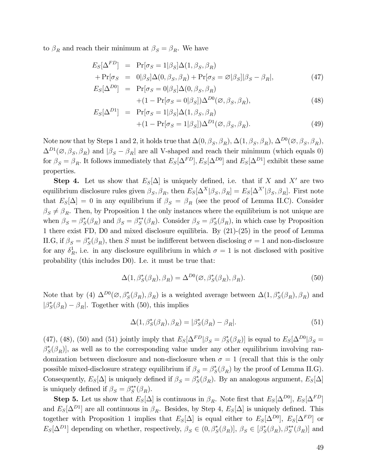to  $\beta_R$  and reach their minimum at  $\beta_S = \beta_R$ . We have

$$
E_S[\Delta^{FD}] = \Pr[\sigma_S = 1|\beta_S] \Delta(1, \beta_S, \beta_R)
$$
  
+ 
$$
\Pr[\sigma_S = 0|\beta_S] \Delta(0, \beta_S, \beta_R) + \Pr[\sigma_S = \varnothing | \beta_S] |\beta_S - \beta_R|,
$$
 (47)

$$
E_S[\Delta^{D0}] = \Pr[\sigma_S = 0 | \beta_S] \Delta(0, \beta_S, \beta_R)
$$
  
 
$$
+ (1 - \Pr[\sigma_S = 0 | \beta_S]) \Delta^{D0}(\emptyset, \beta_S, \beta_R), \qquad (48)
$$

$$
E_S[\Delta^{D1}] = \Pr[\sigma_S = 1|\beta_S] \Delta(1, \beta_S, \beta_R)
$$
  
 
$$
+ (1 - \Pr[\sigma_S = 1|\beta_S]) \Delta^{D1}(\emptyset, \beta_S, \beta_R).
$$
 (49)

Note now that by Steps 1 and 2, it holds true that  $\Delta(0, \beta_S, \beta_R)$ ,  $\Delta(1, \beta_S, \beta_R)$ ,  $\Delta^{D0}(\varnothing, \beta_S, \beta_R)$ ,  $\Delta^{D_1}(\emptyset, \beta_S, \beta_R)$  and  $|\beta_S - \beta_R|$  are all V-shaped and reach their minimum (which equals 0) for  $\beta_S = \beta_R$ . It follows immediately that  $E_S[\Delta^{FD}], E_S[\Delta^{D0}]$  and  $E_S[\Delta^{D1}]$  exhibit these same properties.

**Step 4.** Let us show that  $E_S[\Delta]$  is uniquely defined, i.e. that if X and X' are two equilibrium disclosure rules given  $\beta_S, \beta_R$ , then  $E_S[\Delta^X|\beta_S, \beta_R] = E_S[\Delta^{X'}|\beta_S, \beta_R]$ . First note that  $E_S[\Delta] = 0$  in any equilibrium if  $\beta_S = \beta_R$  (see the proof of Lemma II.C). Consider  $\beta_S \neq \beta_R$ . Then, by Proposition 1 the only instances where the equilibrium is not unique are when  $\beta_S = \beta_S^*(\beta_R)$  and  $\beta_S = \beta_S^{**}(\beta_R)$ . Consider  $\beta_S = \beta_S^*(\beta_R)$ , in which case by Proposition 1 there exist FD, D0 and mixed disclosure equilibria. By (21)-(25) in the proof of Lemma II.G, if  $\beta_S = \beta_S^*(\beta_R)$ , then S must be indifferent between disclosing  $\sigma = 1$  and non-disclosure for any  $\delta_R^1$ , i.e. in any disclosure equilibrium in which  $\sigma = 1$  is not disclosed with positive probability (this includes D0). I.e. it must be true that:

$$
\Delta(1, \beta_S^*(\beta_R), \beta_R) = \Delta^{D0}(\varnothing, \beta_S^*(\beta_R), \beta_R). \tag{50}
$$

Note that by (4)  $\Delta^{D_0}(\emptyset, \beta_S^*(\beta_R), \beta_R)$  is a weighted average between  $\Delta(1, \beta_S^*(\beta_R), \beta_R)$  and  $|\beta_{S}^{*}(\beta_{R}) - \beta_{R}|$ . Together with (50), this implies

$$
\Delta(1, \beta_S^*(\beta_R), \beta_R) = |\beta_S^*(\beta_R) - \beta_R|.\tag{51}
$$

(47), (48), (50) and (51) jointly imply that  $E_S[\Delta^{FD}|\beta_S = \beta_S^*(\beta_R)]$  is equal to  $E_S[\Delta^{D0}|\beta_S =$  $\beta_{S}^{*}(\beta_{R})$ , as well as to the corresponding value under any other equilibrium involving randomization between disclosure and non-disclosure when  $\sigma = 1$  (recall that this is the only possible mixed-disclosure strategy equilibrium if  $\beta_S = \beta_S^*(\beta_R)$  by the proof of Lemma II.G). Consequently,  $E_S[\Delta]$  is uniquely defined if  $\beta_S = \beta_S^*(\beta_R)$ . By an analogous argument,  $E_S[\Delta]$ is uniquely defined if  $\beta_S = \beta_S^{**}(\beta_R)$ .

**Step 5.** Let us show that  $E_S[\Delta]$  is continuous in  $\beta_R$ . Note first that  $E_S[\Delta^{D0}]$ ,  $E_S[\Delta^{FD}]$ and  $E_S[\Delta^{D1}]$  are all continuous in  $\beta_R$ . Besides, by Step 4,  $E_S[\Delta]$  is uniquely defined. This together with Proposition 1 implies that  $E_S[\Delta]$  is equal either to  $E_S[\Delta^{D0}]$ ,  $E_S[\Delta^{FD}]$  or  $E_S[\Delta^{D1}]$  depending on whether, respectively,  $\beta_S \in (0, \beta_S^*(\beta_R)], \beta_S \in [\beta_S^*(\beta_R), \beta_S^{**}(\beta_R)]$  and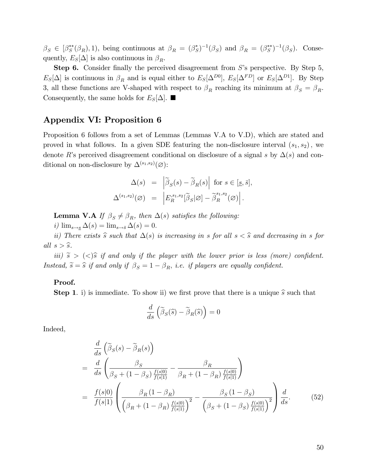$\beta_S \in [\beta_S^{**}(\beta_R), 1)$ , being continuous at  $\beta_R = (\beta_S^*)^{-1}(\beta_S)$  and  $\beta_R = (\beta_S^{**})^{-1}(\beta_S)$ . Consequently,  $E_S[\Delta]$  is also continuous in  $\beta_R$ .

**Step 6.** Consider finally the perceived disagreement from  $S$ 's perspective. By Step 5,  $E_S[\Delta]$  is continuous in  $\beta_R$  and is equal either to  $E_S[\Delta^{D0}]$ ,  $E_S[\Delta^{FD}]$  or  $E_S[\Delta^{D1}]$ . By Step 3, all these functions are V-shaped with respect to  $\beta_R$  reaching its minimum at  $\beta_S = \beta_R$ . Consequently, the same holds for  $E_S[\Delta]$ .

## Appendix VI: Proposition 6

Proposition 6 follows from a set of Lemmas (Lemmas V.A to V.D), which are stated and proved in what follows. In a given SDE featuring the non-disclosure interval  $(s_1, s_2)$ , we denote R's perceived disagreement conditional on disclosure of a signal s by  $\Delta(s)$  and conditional on non-disclosure by  $\Delta^{(s_1,s_2)}(\varnothing)$ :

$$
\Delta(s) = \left| \widetilde{\beta}_S(s) - \widetilde{\beta}_R(s) \right| \text{ for } s \in [\underline{s}, \overline{s}],
$$
  

$$
\Delta^{(s_1, s_2)}(\varnothing) = \left| E_R^{s_1, s_2}[\widetilde{\beta}_S|\varnothing] - \widetilde{\beta}_R^{s_1, s_2}(\varnothing) \right|.
$$

**Lemma V.A** If  $\beta_s \neq \beta_R$ , then  $\Delta(s)$  satisfies the following:

i)  $\lim_{s \to s} \Delta(s) = \lim_{s \to \overline{s}} \Delta(s) = 0.$ 

ii) There exists  $\hat{s}$  such that  $\Delta(s)$  is increasing in s for all  $s < \hat{s}$  and decreasing in s for all  $s > \widehat{s}$ .

iii)  $\tilde{s} > \langle \langle \rangle \tilde{s}$  if and only if the player with the lower prior is less (more) confident. Instead,  $\widetilde{s} = \widehat{s}$  if and only if  $\beta_S = 1 - \beta_R$ , i.e. if players are equally confident.

#### Proof.

**Step 1.** i) is immediate. To show ii) we first prove that there is a unique  $\hat{s}$  such that

$$
\frac{d}{ds}\left(\widetilde{\beta}_S(\widehat{s}) - \widetilde{\beta}_R(\widehat{s})\right) = 0
$$

Indeed,

$$
\frac{d}{ds} \left( \tilde{\beta}_{S}(s) - \tilde{\beta}_{R}(s) \right) \n= \frac{d}{ds} \left( \frac{\beta_{S}}{\beta_{S} + (1 - \beta_{S}) \frac{f(s|0)}{f(s|1)}} - \frac{\beta_{R}}{\beta_{R} + (1 - \beta_{R}) \frac{f(s|0)}{f(s|1)}} \right) \n= \frac{f(s|0)}{f(s|1)} \left( \frac{\beta_{R} (1 - \beta_{R})}{\left( \beta_{R} + (1 - \beta_{R}) \frac{f(s|0)}{f(s|1)} \right)^{2}} - \frac{\beta_{S} (1 - \beta_{S})}{\left( \beta_{S} + (1 - \beta_{S}) \frac{f(s|0)}{f(s|1)} \right)^{2}} \right) \frac{d}{ds}.
$$
\n(52)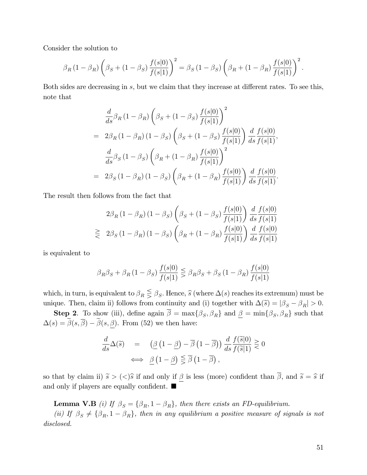Consider the solution to

$$
\beta_R (1 - \beta_R) \left( \beta_S + (1 - \beta_S) \frac{f(s|0)}{f(s|1)} \right)^2 = \beta_S (1 - \beta_S) \left( \beta_R + (1 - \beta_R) \frac{f(s|0)}{f(s|1)} \right)^2.
$$

Both sides are decreasing in  $s$ , but we claim that they increase at different rates. To see this, note that

$$
\frac{d}{ds}\beta_R (1 - \beta_R) \left(\beta_S + (1 - \beta_S) \frac{f(s|0)}{f(s|1)}\right)^2
$$
\n
$$
= 2\beta_R (1 - \beta_R) (1 - \beta_S) \left(\beta_S + (1 - \beta_S) \frac{f(s|0)}{f(s|1)}\right) \frac{d}{ds} \frac{f(s|0)}{f(s|1)},
$$
\n
$$
\frac{d}{ds}\beta_S (1 - \beta_S) \left(\beta_R + (1 - \beta_R) \frac{f(s|0)}{f(s|1)}\right)^2
$$
\n
$$
= 2\beta_S (1 - \beta_R) (1 - \beta_S) \left(\beta_R + (1 - \beta_R) \frac{f(s|0)}{f(s|1)}\right) \frac{d}{ds} \frac{f(s|0)}{f(s|1)}.
$$

The result then follows from the fact that

$$
2\beta_R (1 - \beta_R) (1 - \beta_S) \left(\beta_S + (1 - \beta_S) \frac{f(s|0)}{f(s|1)}\right) \frac{d}{ds} \frac{f(s|0)}{f(s|1)}
$$
  

$$
\geq 2\beta_S (1 - \beta_R) (1 - \beta_S) \left(\beta_R + (1 - \beta_R) \frac{f(s|0)}{f(s|1)}\right) \frac{d}{ds} \frac{f(s|0)}{f(s|1)}
$$

is equivalent to

$$
\beta_R \beta_S + \beta_R (1 - \beta_S) \frac{f(s|0)}{f(s|1)} \leq \beta_R \beta_S + \beta_S (1 - \beta_R) \frac{f(s|0)}{f(s|1)}
$$

which, in turn, is equivalent to  $\beta_R \leq \beta_S$ . Hence,  $\widehat{s}$  (where  $\Delta(s)$  reaches its extremum) must be unique. Then, claim ii) follows from continuity and (i) together with  $\Delta(\tilde{s}) = |\beta_S - \beta_R| > 0$ .

**Step 2**. To show (iii), define again  $\beta = \max\{\beta_S, \beta_R\}$  and  $\underline{\beta} = \min\{\beta_S, \beta_R\}$  such that  $\Delta(s) = \tilde{\beta}(s, \overline{\beta}) - \tilde{\beta}(s, \beta)$ . From (52) we then have:

$$
\frac{d}{ds}\Delta(\tilde{s}) = (\underline{\beta}(1-\underline{\beta}) - \overline{\beta}(1-\overline{\beta})) \frac{d}{ds} \frac{f(\tilde{s}|0)}{f(\tilde{s}|1)} \gtrless 0
$$
  

$$
\iff \underline{\beta}(1-\underline{\beta}) \leq \overline{\beta}(1-\overline{\beta}),
$$

so that by claim ii)  $\tilde{s} > (\langle \rangle \hat{s}$  if and only if  $\underline{\beta}$  is less (more) confident than  $\overline{\beta}$ , and  $\tilde{s} = \hat{s}$  if and only if players are equally confident.  $\blacksquare$ 

**Lemma V.B** (i) If  $\beta_S = {\beta_R, 1 - \beta_R}$ , then there exists an FD-equilibrium.

(ii) If  $\beta_S \neq {\beta_R, 1 - \beta_R}$ , then in any equilibrium a positive measure of signals is not disclosed.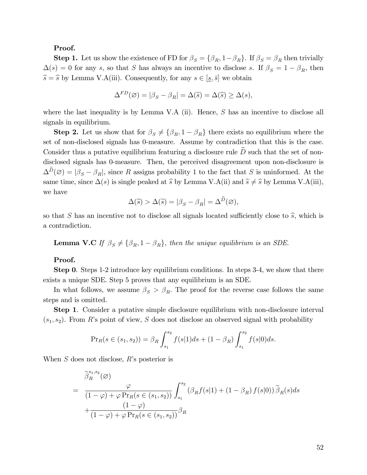#### Proof.

**Step 1.** Let us show the existence of FD for  $\beta_S = {\beta_R, 1-\beta_R}$ . If  $\beta_S = \beta_R$  then trivially  $\Delta(s) = 0$  for any s, so that S has always an incentive to disclose s. If  $\beta_S = 1 - \beta_R$ , then  $\widetilde{s} = \widehat{s}$  by Lemma V.A(iii). Consequently, for any  $s \in [s, \overline{s}]$  we obtain

$$
\Delta^{FD}(\varnothing) = |\beta_S - \beta_R| = \Delta(\widetilde{s}) = \Delta(\widetilde{s}) \ge \Delta(s),
$$

where the last inequality is by Lemma V.A (ii). Hence,  $S$  has an incentive to disclose all signals in equilibrium.

**Step 2.** Let us show that for  $\beta_S \neq {\beta_R, 1 - \beta_R}$  there exists no equilibrium where the set of non-disclosed signals has 0-measure. Assume by contradiction that this is the case. Consider thus a putative equilibrium featuring a disclosure rule  $\widetilde{D}$  such that the set of nondisclosed signals has 0-measure. Then, the perceived disagreement upon non-disclosure is  $\Delta^D(\emptyset) = |\beta_S - \beta_R|$ , since R assigns probability 1 to the fact that S is uninformed. At the same time, since  $\Delta(s)$  is single peaked at  $\hat{s}$  by Lemma V.A(ii) and  $\hat{s} \neq \hat{s}$  by Lemma V.A(iii), we have

$$
\Delta(\widehat{s}) > \Delta(\widetilde{s}) = |\beta_S - \beta_R| = \Delta^D(\varnothing),
$$

so that S has an incentive not to disclose all signals located sufficiently close to  $\hat{s}$ , which is a contradiction.

**Lemma V.C** If  $\beta_S \neq {\beta_R, 1 - \beta_R}$ , then the unique equilibrium is an SDE.

#### Proof.

Step 0. Steps 1-2 introduce key equilibrium conditions. In steps 3-4, we show that there exists a unique SDE. Step 5 proves that any equilibrium is an SDE.

In what follows, we assume  $\beta_S > \beta_R$ . The proof for the reverse case follows the same steps and is omitted.

Step 1. Consider a putative simple disclosure equilibrium with non-disclosure interval  $(s_1, s_2)$ . From R's point of view, S does not disclose an observed signal with probability

$$
\Pr_R(s \in (s_1, s_2)) = \beta_R \int_{s_1}^{s_2} f(s|1)ds + (1 - \beta_R) \int_{s_1}^{s_2} f(s|0)ds.
$$

When  $S$  does not disclose,  $R$ 's posterior is

$$
\widetilde{\beta}_{R}^{s_{1},s_{2}}(\varnothing)
$$
\n
$$
= \frac{\varphi}{(1-\varphi)+\varphi \Pr_{R}(s \in (s_{1}, s_{2}))} \int_{s_{1}}^{s_{2}} (\beta_{R}f(s|1) + (1-\beta_{R}) f(s|0)) \widetilde{\beta}_{R}(s) ds
$$
\n
$$
+ \frac{(1-\varphi)}{(1-\varphi)+\varphi \Pr_{R}(s \in (s_{1}, s_{2}))} \beta_{R}
$$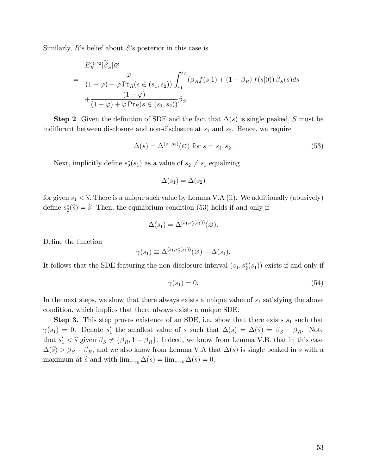Similarly,  $R$ 's belief about  $S$ 's posterior in this case is

$$
E_R^{s_1, s_2}[\tilde{\beta}_S|\varnothing]
$$
\n
$$
= \frac{\varphi}{(1-\varphi)+\varphi \Pr_R(s \in (s_1, s_2))} \int_{s_1}^{s_2} (\beta_R f(s|1) + (1-\beta_R) f(s|0)) \tilde{\beta}_S(s) ds
$$
\n
$$
+ \frac{(1-\varphi)}{(1-\varphi)+\varphi \Pr_R(s \in (s_1, s_2))} \beta_S.
$$

**Step 2.** Given the definition of SDE and the fact that  $\Delta(s)$  is single peaked, S must be indifferent between disclosure and non-disclosure at  $s_1$  and  $s_2$ . Hence, we require

$$
\Delta(s) = \Delta^{(s_1, s_2)}(\varnothing) \text{ for } s = s_1, s_2.
$$
\n
$$
(53)
$$

Next, implicitly define  $s_2^*(s_1)$  as a value of  $s_2 \neq s_1$  equalizing

$$
\Delta(s_1) = \Delta(s_2)
$$

for given  $s_1 < \hat{s}$ . There is a unique such value by Lemma V.A (ii). We additionally (abusively) define  $s_2^*(\widehat{s}) = \widehat{s}$ . Then, the equilibrium condition (53) holds if and only if

$$
\Delta(s_1) = \Delta^{(s_1, s_2^*(s_1))}(\varnothing).
$$

Define the function

$$
\gamma(s_1) \equiv \Delta^{(s_1, s_2^*(s_1))}(\varnothing) - \Delta(s_1).
$$

It follows that the SDE featuring the non-disclosure interval  $(s_1, s_2^*(s_1))$  exists if and only if

$$
\gamma(s_1) = 0.\tag{54}
$$

In the next steps, we show that there always exists a unique value of  $s<sub>1</sub>$  satisfying the above condition, which implies that there always exists a unique SDE.

**Step 3.** This step proves existence of an SDE, i.e. show that there exists  $s_1$  such that  $\gamma(s_1) = 0$ . Denote  $s'_1$  the smallest value of s such that  $\Delta(s) = \Delta(\tilde{s}) = \beta_S - \beta_R$ . Note that  $s'_1 < \hat{s}$  given  $\beta_S \neq {\beta_R, 1 - \beta_R}$ . Indeed, we know from Lemma V.B. that in this case  $\Delta(\hat{s}) > \beta_S - \beta_R$ , and we also know from Lemma V.A that  $\Delta(s)$  is single peaked in s with a maximum at  $\hat{s}$  and with  $\lim_{s\to s} \Delta(s) = \lim_{s\to \bar{s}} \Delta(s) = 0.$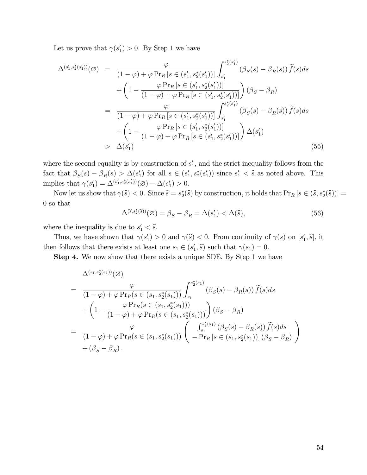Let us prove that  $\gamma(s_1') > 0$ . By Step 1 we have

$$
\Delta^{(s'_1, s_2^*(s'_1))}(\varnothing) = \frac{\varphi}{(1-\varphi)+\varphi \Pr_R[s \in (s'_1, s_2^*(s'_1))]} \int_{s'_1}^{s_2^*(s'_1)} (\beta_S(s) - \beta_R(s)) \tilde{f}(s) ds \n+ \left(1 - \frac{\varphi \Pr_R[s \in (s'_1, s_2^*(s'_1))]}{(1-\varphi)+\varphi \Pr_R[s \in (s'_1, s_2^*(s'_1))]} \right) (\beta_S - \beta_R) \n= \frac{\varphi}{(1-\varphi)+\varphi \Pr_R[s \in (s'_1, s_2^*(s'_1))]} \int_{s'_1}^{s_2^*(s'_1)} (\beta_S(s) - \beta_R(s)) \tilde{f}(s) ds \n+ \left(1 - \frac{\varphi \Pr_R[s \in (s'_1, s_2^*(s'_1))]}{(1-\varphi)+\varphi \Pr_R[s \in (s'_1, s_2^*(s'_1))]} \right) \Delta(s'_1) \n> \Delta(s'_1)
$$
\n(55)

where the second equality is by construction of  $s'_{1}$ , and the strict inequality follows from the fact that  $\beta_S(s) - \beta_R(s) > \Delta(s'_1)$  for all  $s \in (s'_1, s_2^*(s'_1))$  since  $s'_1 < \hat{s}$  as noted above. This implies that  $\gamma(s'_1) = \Delta^{(s'_1, s^*_2(s'_1))}(\emptyset) - \Delta(s'_1) > 0.$ 

Now let us show that  $\gamma(\widehat{s}) < 0$ . Since  $\widehat{s} = s_2^*(\widehat{s})$  by construction, it holds that  $\Pr_R [s \in (\widehat{s}, s_2^*(\widehat{s}))] =$ 0 so that

$$
\Delta^{(\widehat{s},s_2^*(\widehat{s}))}(\varnothing) = \beta_S - \beta_R = \Delta(s_1') < \Delta(\widehat{s}),\tag{56}
$$

where the inequality is due to  $s'_1 < \hat{s}$ .

Thus, we have shown that  $\gamma(s_1') > 0$  and  $\gamma(\hat{s}) < 0$ . From continuity of  $\gamma(s)$  on  $[s_1', \hat{s}],$  it then follows that there exists at least one  $s_1 \in (s'_1, \hat{s})$  such that  $\gamma(s_1) = 0$ .

Step 4. We now show that there exists a unique SDE. By Step 1 we have

$$
\Delta^{(s_1, s_2^*(s_1))}(\varnothing)
$$
\n
$$
= \frac{\varphi}{(1-\varphi)+\varphi \Pr_R(s \in (s_1, s_2^*(s_1)))} \int_{s_1}^{s_2^*(s_1)} (\beta_S(s) - \beta_R(s)) \tilde{f}(s) ds
$$
\n
$$
+ \left(1 - \frac{\varphi \Pr_R(s \in (s_1, s_2^*(s_1)))}{(1-\varphi)+\varphi \Pr_R(s \in (s_1, s_2^*(s_1)))}\right) (\beta_S - \beta_R)
$$
\n
$$
= \frac{\varphi}{(1-\varphi)+\varphi \Pr_R(s \in (s_1, s_2^*(s_1)))} \left(\begin{array}{c} \int_{s_1}^{s_2^*(s_1)} (\beta_S(s) - \beta_R(s)) \tilde{f}(s) ds \\ -\Pr_R[s \in (s_1, s_2^*(s_1))] (\beta_S - \beta_R) \end{array}\right)
$$
\n
$$
+ (\beta_S - \beta_R).
$$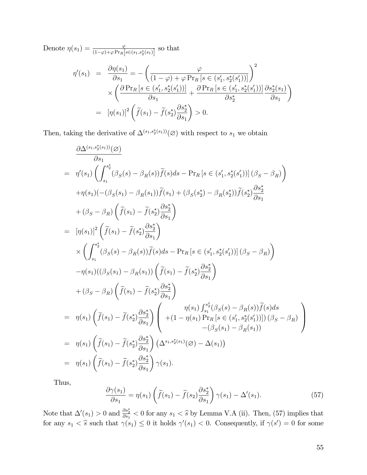Denote  $\eta(s_1) = \frac{\varphi}{(1-\varphi)+\varphi \Pr_R[s\in (s_1,s_2^*(s_1)]]}$  so that

$$
\eta'(s_1) = \frac{\partial \eta(s_1)}{\partial s_1} = -\left(\frac{\varphi}{(1-\varphi) + \varphi \Pr_R[s \in (s_1', s_2^*(s_1'))]}\right)^2
$$

$$
\times \left(\frac{\partial \Pr_R[s \in (s_1', s_2^*(s_1'))]}{\partial s_1} + \frac{\partial \Pr_R[s \in (s_1', s_2^*(s_1'))]}{\partial s_2^*}\frac{\partial s_2^*(s_1)}{\partial s_1}\right)
$$

$$
= [\eta(s_1)]^2 \left(\widetilde{f}(s_1) - \widetilde{f}(s_2^*)\frac{\partial s_2^*}{\partial s_1}\right) > 0.
$$

Then, taking the derivative of  $\Delta^{(s_1,s_2^*(s_1))}(\emptyset)$  with respect to  $s_1$  we obtain

$$
\frac{\partial \Delta^{(s_1,s_2^*(s_1))}(\varnothing)}{\partial s_1} \n= \eta'(s_1) \left( \int_{s_1}^{s_2^*} (\beta_S(s) - \beta_R(s)) \tilde{f}(s) ds - \Pr_R[s \in (s_1', s_2^*(s_1'))] (\beta_S - \beta_R) \right) \n+ \eta(s_1) (-(\beta_S(s_1) - \beta_R(s_1)) \tilde{f}(s_1) + (\beta_S(s_2^*) - \beta_R(s_2^*)) \tilde{f}(s_2^*) \frac{\partial s_2^*}{\partial s_1} \n+ (\beta_S - \beta_R) \left( \tilde{f}(s_1) - \tilde{f}(s_2^*) \frac{\partial s_2^*}{\partial s_1} \right) \n= [\eta(s_1)]^2 \left( \tilde{f}(s_1) - \tilde{f}(s_2^*) \frac{\partial s_2^*}{\partial s_1} \right) \n\times \left( \int_{s_1}^{s_2^*} (\beta_S(s) - \beta_R(s)) \tilde{f}(s) ds - \Pr_R[s \in (s_1', s_2^*(s_1'))] (\beta_S - \beta_R) \right) \n- \eta(s_1) ((\beta_S(s_1) - \beta_R(s_1)) \left( \tilde{f}(s_1) - \tilde{f}(s_2^*) \frac{\partial s_2^*}{\partial s_1} \right) \n+ (\beta_S - \beta_R) \left( \tilde{f}(s_1) - \tilde{f}(s_2^*) \frac{\partial s_2^*}{\partial s_1} \right) \n= \eta(s_1) \left( \tilde{f}(s_1) - \tilde{f}(s_2^*) \frac{\partial s_2^*}{\partial s_1} \right) \left( \begin{array}{c} \eta(s_1) \int_{s_1}^{s_2^*} (\beta_S(s) - \beta_R(s)) \tilde{f}(s) ds \\ \eta(s_1) \int_{s_2}^{s_2^*} (\beta_S(s) - \beta_R(s)) \tilde{f}(s) ds \\ \eta(s_1) \int_{s_1}^{s_2^*} (\beta_S(s) - \beta_R(s)) \end{array} \right) \n= \eta(s_1) \left( \tilde{f}(s_1) - \tilde{f}(s_2^*) \frac{\partial s_2^*}{\partial s_1} \right) (\Delta^{s_
$$

Thus,

$$
\frac{\partial \gamma(s_1)}{\partial s_1} = \eta(s_1) \left( \tilde{f}(s_1) - \tilde{f}(s_2) \frac{\partial s_2^*}{\partial s_1} \right) \gamma(s_1) - \Delta'(s_1). \tag{57}
$$

Note that  $\Delta'(s_1) > 0$  and  $\frac{\partial s_2^*}{\partial s_1} < 0$  for any  $s_1 < \hat{s}$  by Lemma V.A (ii). Then, (57) implies that for any  $s_1 < \hat{s}$  such that  $\gamma(s_1) \leq 0$  it holds  $\gamma'(s_1) < 0$ . Consequently, if  $\gamma(s') = 0$  for some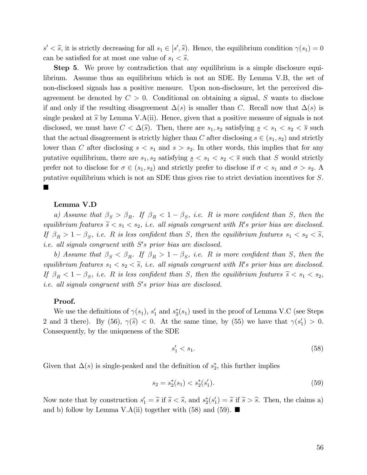$s' < \hat{s}$ , it is strictly decreasing for all  $s_1 \in [s', \hat{s})$ . Hence, the equilibrium condition  $\gamma(s_1) = 0$ can be satisfied for at most one value of  $s_1 < \hat{s}$ .

**Step 5.** We prove by contradiction that any equilibrium is a simple disclosure equilibrium. Assume thus an equilibrium which is not an SDE. By Lemma V.B, the set of non-disclosed signals has a positive measure. Upon non-disclosure, let the perceived disagreement be denoted by  $C > 0$ . Conditional on obtaining a signal, S wants to disclose if and only if the resulting disagreement  $\Delta(s)$  is smaller than C. Recall now that  $\Delta(s)$  is single peaked at  $\hat{s}$  by Lemma V.A(ii). Hence, given that a positive measure of signals is not disclosed, we must have  $C < \Delta(\hat{s})$ . Then, there are  $s_1, s_2$  satisfying  $s \leq s_1 < s_2 < \bar{s}$  such that the actual disagreement is strictly higher than C after disclosing  $s \in (s_1, s_2)$  and strictly lower than C after disclosing  $s < s_1$  and  $s > s_2$ . In other words, this implies that for any putative equilibrium, there are  $s_1, s_2$  satisfying  $s \leq s_1 \leq s_2 \leq \overline{s}$  such that S would strictly prefer not to disclose for  $\sigma \in (s_1, s_2)$  and strictly prefer to disclose if  $\sigma < s_1$  and  $\sigma > s_2$ . putative equilibrium which is not an SDE thus gives rise to strict deviation incentives for S. П

#### Lemma V.D

a) Assume that  $\beta_S > \beta_R$ . If  $\beta_R < 1 - \beta_S$ , i.e. R is more confident than S, then the equilibrium features  $\tilde{s} < s_1 < s_2$ , i.e. all signals congruent with R's prior bias are disclosed. If  $\beta_R > 1 - \beta_S$ , i.e. R is less confident than S, then the equilibrium features  $s_1 < s_2 < \tilde{s}$ , *i.e.* all signals congruent with  $S$ 's prior bias are disclosed.

b) Assume that  $\beta_S < \beta_R$ . If  $\beta_R > 1 - \beta_S$ , i.e. R is more confident than S, then the equilibrium features  $s_1 < s_2 < \tilde{s}$ , i.e. all signals congruent with R's prior bias are disclosed. If  $\beta_R < 1 - \beta_S$ , i.e. R is less confident than S, then the equilibrium features  $\tilde{s} < s_1 < s_2$ , *i.e.* all signals congruent with  $S's$  prior bias are disclosed.

#### Proof.

We use the definitions of  $\gamma(s_1)$ ,  $s'_1$  and  $s_2^*(s_1)$  used in the proof of Lemma V.C (see Steps 2 and 3 there). By  $(56)$ ,  $\gamma(\hat{s}) < 0$ . At the same time, by  $(55)$  we have that  $\gamma(s_1') > 0$ . Consequently, by the uniqueness of the SDE

$$
s_1' < s_1. \tag{58}
$$

Given that  $\Delta(s)$  is single-peaked and the definition of  $s_2^*$ , this further implies

$$
s_2 = s_2^*(s_1) < s_2^*(s_1').\tag{59}
$$

Now note that by construction  $s'_1 = \tilde{s}$  if  $\tilde{s} < \hat{s}$ , and  $s_2^*(s'_1) = \tilde{s}$  if  $\tilde{s} > \hat{s}$ . Then, the claims a) and b) follow by Lemma V.A(ii) together with (58) and (59).  $\blacksquare$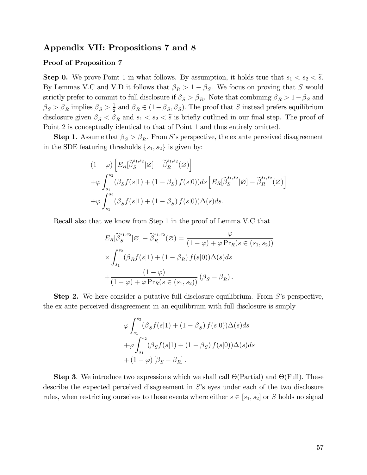## Appendix VII: Propositions 7 and 8

#### Proof of Proposition 7

**Step 0.** We prove Point 1 in what follows. By assumption, it holds true that  $s_1 < s_2 < \tilde{s}$ . By Lemmas V.C and V.D it follows that  $\beta_R > 1 - \beta_S$ . We focus on proving that S would strictly prefer to commit to full disclosure if  $\beta_S > \beta_R$ . Note that combining  $\beta_R > 1 - \beta_S$  and  $\beta_S > \beta_R$  implies  $\beta_S > \frac{1}{2}$  $\frac{1}{2}$  and  $\beta_R \in (1 - \beta_S, \beta_S)$ . The proof that S instead prefers equilibrium disclosure given  $\beta_S < \beta_R$  and  $s_1 < s_2 < \tilde{s}$  is briefly outlined in our final step. The proof of Point 2 is conceptually identical to that of Point 1 and thus entirely omitted.

**Step 1**. Assume that  $\beta_S > \beta_R$ . From S's perspective, the ex ante perceived disagreement in the SDE featuring thresholds  $\{s_1, s_2\}$  is given by:

$$
(1 - \varphi) \left[ E_R[\tilde{\beta}_S^{s_1, s_2} | \varnothing] - \tilde{\beta}_R^{s_1, s_2}(\varnothing) \right]
$$
  
+  $\varphi \int_{s_1}^{s_2} (\beta_S f(s|1) + (1 - \beta_S) f(s|0)) ds \left[ E_R[\tilde{\beta}_S^{s_1, s_2} | \varnothing] - \tilde{\beta}_R^{s_1, s_2}(\varnothing) \right]$   
+  $\varphi \int_{s_1}^{s_2} (\beta_S f(s|1) + (1 - \beta_S) f(s|0)) \Delta(s) ds.$ 

Recall also that we know from Step 1 in the proof of Lemma V.C that

$$
E_R[\tilde{\beta}_S^{s_1, s_2} | \varnothing] - \tilde{\beta}_R^{s_1, s_2}(\varnothing) = \frac{\varphi}{(1 - \varphi) + \varphi \Pr_R(s \in (s_1, s_2))}
$$

$$
\times \int_{s_1}^{s_2} (\beta_R f(s | 1) + (1 - \beta_R) f(s | 0)) \Delta(s) ds
$$

$$
+ \frac{(1 - \varphi)}{(1 - \varphi) + \varphi \Pr_R(s \in (s_1, s_2))} (\beta_S - \beta_R).
$$

**Step 2.** We here consider a putative full disclosure equilibrium. From  $S$ 's perspective, the ex ante perceived disagreement in an equilibrium with full disclosure is simply

$$
\varphi \int_{s_1}^{s_2} (\beta_S f(s|1) + (1 - \beta_S) f(s|0)) \Delta(s) ds
$$
  
+
$$
\varphi \int_{s_1}^{s_2} (\beta_S f(s|1) + (1 - \beta_S) f(s|0)) \Delta(s) ds
$$
  
+
$$
(1 - \varphi) [\beta_S - \beta_R].
$$

**Step 3**. We introduce two expressions which we shall call  $\Theta$ (Partial) and  $\Theta$ (Full). These describe the expected perceived disagreement in  $S$ 's eyes under each of the two disclosure rules, when restricting ourselves to those events where either  $s \in [s_1, s_2]$  or S holds no signal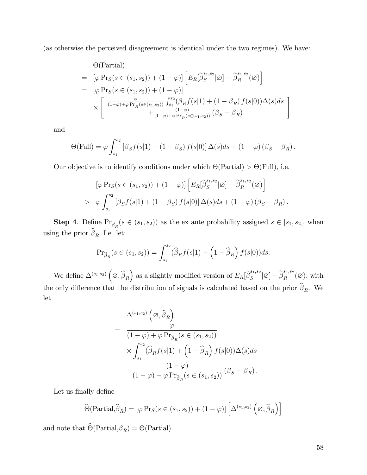(as otherwise the perceived disagreement is identical under the two regimes). We have:

$$
\Theta(\text{Partial})
$$
\n
$$
= [\varphi \Pr_S(s \in (s_1, s_2)) + (1 - \varphi)] \left[ E_R[\tilde{\beta}_S^{s_1, s_2} | \varnothing] - \tilde{\beta}_R^{s_1, s_2}(\varnothing) \right]
$$
\n
$$
= [\varphi \Pr_S(s \in (s_1, s_2)) + (1 - \varphi)]
$$
\n
$$
\times \left[ \frac{\varphi}{(1 - \varphi) + \varphi \Pr_R(s \in (s_1, s_2))} \int_{s_1}^{s_2} (\beta_R f(s|1) + (1 - \beta_R) f(s|0)) \Delta(s) ds \right]
$$
\n
$$
+ \frac{(1 - \varphi)}{(1 - \varphi) + \varphi \Pr_R(s \in (s_1, s_2))} (\beta_S - \beta_R)
$$

and

$$
\Theta(\text{Full}) = \varphi \int_{s_1}^{s_2} \left[ \beta_S f(s|1) + (1 - \beta_S) f(s|0) \right] \Delta(s) ds + (1 - \varphi) \left( \beta_S - \beta_R \right).
$$

Our objective is to identify conditions under which  $\Theta(\text{Partial}) > \Theta(\text{Full})$ , i.e.

$$
[\varphi \Pr_S(s \in (s_1, s_2)) + (1 - \varphi)] \left[ E_R[\tilde{\beta}_S^{s_1, s_2} | \varnothing] - \tilde{\beta}_R^{s_1, s_2}(\varnothing) \right]
$$
  
> 
$$
\varphi \int_{s_1}^{s_2} [\beta_S f(s|1) + (1 - \beta_S) f(s|0)] \Delta(s) ds + (1 - \varphi) (\beta_S - \beta_R).
$$

**Step 4.** Define  $\Pr_{\widehat{\beta}_R}(s \in (s_1, s_2))$  as the ex ante probability assigned  $s \in [s_1, s_2]$ , when using the prior  $\beta_R$ . I.e. let:

$$
\Pr_{\widehat{\beta}_R}(s \in (s_1, s_2)) = \int_{s_1}^{s_2} (\widehat{\beta}_R f(s|1) + \left(1 - \widehat{\beta}_R\right) f(s|0)) ds.
$$

We define  $\Delta^{(s_1,s_2)}\left(\emptyset,\widehat{\boldsymbol{\beta}}_R\right)$ ) as a slightly modified version of  $E_R[\widetilde{\boldsymbol\beta}_S^{s_1,s_2}]$  $\mathcal{L}_S^{s_1, s_2}[\varnothing] - \widetilde{\beta}_R^{s_1, s_2}(\varnothing)$ , with the only difference that the distribution of signals is calculated based on the prior  $\beta_R$ . We let

$$
\begin{split}\n&\Delta^{(s_1,s_2)}\left(\varnothing,\widehat{\beta}_R\right) \\
&=\n\frac{\varphi}{\left(1-\varphi\right)+\varphi\Pr_{\widehat{\beta}_R}(s\in(s_1,s_2))} \\
&\times \int_{s_1}^{s_2} \left(\widehat{\beta}_R f(s|1)+\left(1-\widehat{\beta}_R\right) f(s|0)\right) \Delta(s) ds \\
&+\n\frac{\left(1-\varphi\right)}{\left(1-\varphi\right)+\varphi\Pr_{\widehat{\beta}_R}(s\in(s_1,s_2))}\left(\beta_S-\beta_R\right).\n\end{split}
$$

Let us finally define

$$
\widehat{\Theta}(\text{Partial}, \widehat{\beta}_R) = [\varphi \Pr_S(s \in (s_1, s_2)) + (1 - \varphi)] \left[ \Delta^{(s_1, s_2)} \left( \varnothing, \widehat{\beta}_R \right) \right]
$$

and note that  $\Theta(\text{Partial}, \beta_R) = \Theta(\text{Partial}).$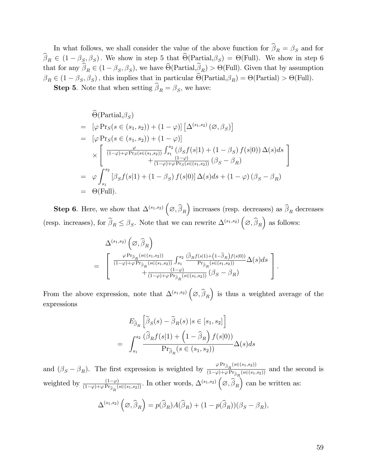In what follows, we shall consider the value of the above function for  $\beta_R = \beta_S$  and for  $\beta_R \in (1 - \beta_S, \beta_S)$ . We show in step 5 that  $\Theta(\text{Partial}, \beta_S) = \Theta(\text{Full})$ . We show in step 6 that for any  $\beta_R \in (1-\beta_S, \beta_S)$ , we have  $\Theta(\text{Partial}, \beta_R) > \Theta(\text{Full})$ . Given that by assumption  $\beta_R \in (1 - \beta_S, \beta_S)$ , this implies that in particular  $\Theta(\text{Partial}, \beta_R) = \Theta(\text{Partial}) > \Theta(\text{Full})$ .

**Step 5**. Note that when setting  $\beta_R = \beta_S$ , we have:

$$
\begin{aligned}\n&\hat{\Theta}(\text{Partial}, \beta_S) \\
&= [\varphi \Pr_S(s \in (s_1, s_2)) + (1 - \varphi)] \left[ \Delta^{(s_1, s_2)}(\varnothing, \beta_S) \right] \\
&= [\varphi \Pr_S(s \in (s_1, s_2)) + (1 - \varphi)] \\
&\times \left[ \frac{\varphi}{(1 - \varphi) + \varphi \Pr_S(s \in (s_1, s_2))} \int_{s_1}^{s_2} (\beta_S f(s|1) + (1 - \beta_S) f(s|0)) \Delta(s) ds \right] \\
&= \varphi \int_{s_1}^{s_2} [\beta_S f(s|1) + (1 - \beta_S) f(s|0)] \Delta(s) ds + (1 - \varphi) (\beta_S - \beta_R) \\
&= \Theta(\text{Full}).\n\end{aligned}
$$

**Step 6.** Here, we show that  $\Delta^{(s_1,s_2)}\left(\emptyset,\widehat{\beta}_R\right)$ ) increases (resp. decreases) as  $\widehat{\boldsymbol{\beta}}_{R}$  decreases (resp. increases), for  $\widehat{\beta}_R \leq \beta_S$ . Note that we can rewrite  $\Delta^{(s_1, s_2)}\left(\emptyset, \widehat{\beta}_R\right)$ as follows:

$$
\Delta^{(s_1,s_2)}(\varnothing,\widehat{\beta}_R)
$$
\n
$$
= \begin{bmatrix}\n\frac{\varphi \Pr_{\widehat{\beta}_R}(s \in (s_1,s_2))}{(1-\varphi)+\varphi \Pr_{\widehat{\beta}_R}(s \in (s_1,s_2))} \int_{s_1}^{s_2} \frac{(\widehat{\beta}_R f(s|1)+ (1-\widehat{\beta}_R) f(s|0))}{\Pr_{\widehat{\beta}_R}(s \in (s_1,s_2))} \Delta(s) ds \\
+\frac{(1-\varphi)}{(1-\varphi)+\varphi \Pr_{\widehat{\beta}_R}(s \in (s_1,s_2))} (\beta_S - \beta_R)\n\end{bmatrix}.
$$

From the above expression, note that  $\Delta^{(s_1,s_2)}\left(\emptyset,\widehat{\beta}_R\right)$  is thus a weighted average of the expressions

$$
E_{\widehat{\beta}_R} \left[ \widetilde{\beta}_S(s) - \widetilde{\beta}_R(s) \, | s \in [s_1, s_2] \right]
$$
  
= 
$$
\int_{s_1}^{s_2} \frac{(\widehat{\beta}_R f(s|1) + (1 - \widehat{\beta}_R) f(s|0))}{\Pr_{\widehat{\beta}_R}(s \in (s_1, s_2))} \Delta(s) ds
$$

and  $(\beta_S - \beta_R)$ . The first expression is weighted by  $\frac{\varphi Pr_{\hat{\beta}_R}(s \in (s_1, s_2))}{(1-\varphi)+\varphi Pr_{\hat{\beta}_R}(s \in (s_1, s_2))}$  $\frac{1}{(1-\varphi)+\varphi \Pr_{\widehat{\beta}_R}(s\in (s_1,s_2))}$  and the second is weighted by  $\frac{(1-\varphi)}{(1-\varphi)+\varphi Pr_{\widehat{\beta}_R}(s\in (s_1,s_2))}$ . In other words,  $\Delta^{(s_1,s_2)}\left(\emptyset,\widehat{\widehat{\beta}}_R\right)$  $\int$  can be written as:

$$
\Delta^{(s_1, s_2)}(\varnothing, \widehat{\beta}_R) = p(\widehat{\beta}_R)A(\widehat{\beta}_R) + (1 - p(\widehat{\beta}_R))(\beta_S - \beta_R),
$$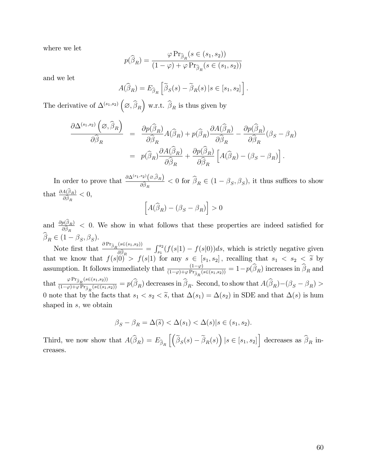where we let

$$
p(\widehat{\beta}_R) = \frac{\varphi \Pr_{\widehat{\beta}_R}(s \in (s_1, s_2))}{(1 - \varphi) + \varphi \Pr_{\widehat{\beta}_R}(s \in (s_1, s_2))}
$$

and we let

$$
A(\widehat{\beta}_R) = E_{\widehat{\beta}_R} \left[ \widetilde{\beta}_S(s) - \widetilde{\beta}_R(s) \, | s \in [s_1, s_2] \right].
$$

The derivative of  $\Delta^{(s_1,s_2)}\left(\emptyset,\widehat{\beta}_R\right)$ ) w.r.t.  $\widehat{\beta}_R$  is thus given by

$$
\frac{\partial \Delta^{(s_1, s_2)}(\varnothing, \widehat{\beta}_R)}{\partial \widehat{\beta}_R} = \frac{\partial p(\widehat{\beta}_R)}{\partial \widehat{\beta}_R} A(\widehat{\beta}_R) + p(\widehat{\beta}_R) \frac{\partial A(\widehat{\beta}_R)}{\partial \widehat{\beta}_R} - \frac{\partial p(\widehat{\beta}_R)}{\partial \widehat{\beta}_R} (\beta_S - \beta_R)
$$

$$
= p(\widehat{\beta}_R) \frac{\partial A(\widehat{\beta}_R)}{\partial \widehat{\beta}_R} + \frac{\partial p(\widehat{\beta}_R)}{\partial \widehat{\beta}_R} \left[ A(\widehat{\beta}_R) - (\beta_S - \beta_R) \right].
$$

In order to prove that  $\frac{\partial \Delta^{(s_1,s_2)}(\varnothing,\widehat{\beta}_R)}{\widehat{\varnothing}^2}$  $\frac{\partial^2 E(\mathcal{L}, \beta_R)}{\partial \hat{\beta}_R}$  < 0 for  $\beta_R \in (1 - \beta_S, \beta_S)$ , it thus suffices to show that  $\frac{\partial A(\beta_R)}{\partial \widehat{\phi}}$  $\frac{A(\beta_R)}{\partial \widehat{\beta}_R} < 0,$ 

$$
\left[A(\widehat{\beta}_R) - (\beta_S - \beta_R)\right] > 0
$$

and  $\frac{\partial p(\beta_R)}{\partial \widehat{\phi}}$  $\frac{p(B_R)}{\partial \hat{\beta}_R}$  < 0. We show in what follows that these properties are indeed satisfied for R  $\beta_R \in (1-\beta_S, \beta_S).$ 

Note first that  $\frac{\partial \Pr_{\widehat{\beta}_R}(s \in (s_1, s_2))}{\widehat{\beta}_R}$  $\frac{\partial \hat{\beta}_R}{\partial \hat{\beta}_R} = \int_{s_1}^{s_2} (f(s|1) - f(s|0))ds$ , which is strictly negative given that we know that  $f(s|0) > f(s|1)$  for any  $s \in [s_1, s_2]$ , recalling that  $s_1 < s_2 < \tilde{s}$  by assumption. It follows immediately that  $\frac{(1-\varphi)}{(1-\varphi)+\varphi \Pr_{\widehat{\beta}_R}(s \in (s_1,s_2))} = 1 - p(\widehat{\beta}_R)$  increases in  $\widehat{\beta}_R$  and that  $\frac{\varphi \Pr_{\widehat{\beta}_R}(s \in (s_1,s_2))}{(1-\varphi) + \varphi \Pr_{\widehat{\beta}_R}(s \in (s_1,s_2))}$  $\frac{\beta P^{-1}\beta_R(c\in(0,1),2)}{(1-\varphi)+\varphi Pr_{\widehat{\beta}_R}(s\in(s_1,s_2))} = p(\beta_R)$  decreases in  $\beta_R$ . Second, to show that  $A(\beta_R)-(\beta_S-\beta_R) >$ 0 note that by the facts that  $s_1 < s_2 < \tilde{s}$ , that  $\Delta(s_1) = \Delta(s_2)$  in SDE and that  $\Delta(s)$  is hum shaped in s, we obtain

 $\beta_{\mathcal{S}} - \beta_{\mathcal{B}} = \Delta(\widetilde{s}) < \Delta(s_1) < \Delta(s) | s \in (s_1, s_2).$ 

Third, we now show that  $A(\widehat{\beta}_R) = E_{\widehat{\beta}_R} \left[ \left( \widetilde{\beta}_S(s) - \widetilde{\beta}_R(s) \right) | s \in [s_1, s_2] \right]$  decreases as  $\widehat{\beta}_R$  increases.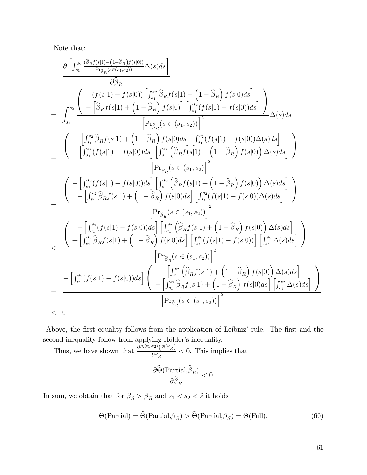Note that:

$$
\begin{array}{c} \frac{\partial\left[\int_{s_{1}}^{s_{2}}\frac{(\widehat{\beta}_{R}f(s|1)+\left(1-\widehat{\beta}_{R}\right)f(s|0)\right)}{\partial\widehat{\beta}_{R}}\Delta(s)ds\right]}{\partial\widehat{\beta}_{R}} \\ \frac{\partial}{\widehat{\beta}_{R}} \\ =\quad \int_{s_{1}}^{s_{2}}\frac{\left(\int\left(f(s|1)-f(s|0)\right)\left[\int_{s_{1}}^{s_{2}}\widehat{\beta}_{R}f(s|1)+\left(1-\widehat{\beta}_{R}\right)f(s|0)\right]\left[\int_{s_{1}}^{s_{2}}(f(s|1)-f(s|0))ds\right]}{\left[\Pr_{\widehat{\beta}_{R}}(s\in(s_{1},s_{2}))\right]^{2}}\Delta(s)ds\right]} \\ =\quad \frac{\left(\quad\quad\left[\int_{s_{1}}^{s_{2}}\widehat{\beta}_{R}f(s|1)+\left(1-\widehat{\beta}_{R}\right)f(s|0)ds\right]\left[\int_{s_{1}}^{s_{2}}(f(s|1)-f(s|0))\Delta(s)ds\right]}{\left[\Pr_{\widehat{\beta}_{R}}(s\in(s_{1},s_{2})\right]^{2}}\right]} \\ =\quad \frac{\left(\quad\quad\left[\int_{s_{1}}^{s_{2}}(f(s|1)-f(s|0))ds\right]\left[\int_{s_{1}}^{s_{2}}\left(\widehat{\beta}_{R}f(s|1)+\left(1-\widehat{\beta}_{R}\right)f(s|0)\right)\Delta(s)ds\right]}{\left[\Pr_{\widehat{\beta}_{R}}(s\in(s_{1},s_{2})\right]^{2}}\right]} \\ =\quad \frac{\left(\quad\quad\left[\int_{s_{1}}^{s_{2}}(f(s|1)-f(s|0))ds\right]\left[\int_{s_{1}}^{s_{2}}\left(\widehat{\beta}_{R}f(s|1)+\left(1-\widehat{\beta}_{R}\right)f(s|0)\right)\Delta(s)ds\right]}{\left[\Pr_{\widehat{\beta}_{R}}(s\in(s_{1},s_{2}))\right]^{2}}\right]} \\ <\quad \frac{\left(\quad\quad\left[\int_{s_{1}}^{s_{2}}\widehat{\beta}_{R}f(s|1)+\left(1-\widehat{\beta}_{R}\right)f(s|0)ds\right]\left[\int_{s_{1}}^{s_{2}}(f(s|1)-f(s|0))\Delta(s)ds\right]}{\left[\Pr_{\widehat{\beta}_{R}}(s\in(s_{1},s_{2}))\right]
$$

Above, the first equality follows from the application of Leibniz' rule. The first and the second inequality follow from applying Hölder's inequality.

Thus, we have shown that  $\frac{\partial \Delta^{(s_1,s_2)}(\varnothing,\widehat{\beta}_R)}{\widehat{\mathcal{A}}^2}$  $\frac{\partial^2 \tilde{B}_{R}}{\partial \hat{\beta}_R} < 0$ . This implies that  $\partial\Theta(\operatorname{Partial}, \beta_R)$  $\partial \beta_R$  $< 0.$ 

In sum, we obtain that for  $\beta_S > \beta_R$  and  $s_1 < s_2 < \widetilde{s}$  it holds

$$
\Theta(\text{Partial}) = \widehat{\Theta}(\text{Partial}, \beta_R) > \widehat{\Theta}(\text{Partial}, \beta_S) = \Theta(\text{Full}).\tag{60}
$$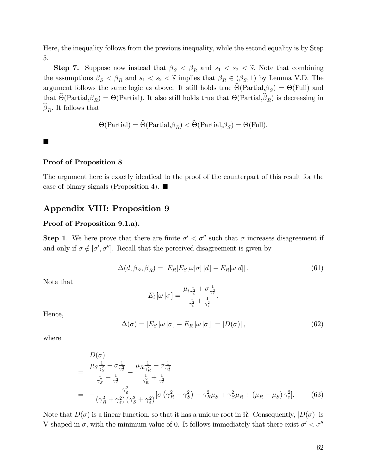Here, the inequality follows from the previous inequality, while the second equality is by Step 5.

**Step 7.** Suppose now instead that  $\beta_S < \beta_R$  and  $s_1 < s_2 < \tilde{s}$ . Note that combining the assumptions  $\beta_S < \beta_R$  and  $s_1 < s_2 < \tilde{s}$  implies that  $\beta_R \in (\beta_S, 1)$  by Lemma V.D. The argument follows the same logic as above. It still holds true  $\Theta(\text{Partial}, \beta_S) = \Theta(\text{Full})$  and that  $\Theta(\text{Partial}, \beta_R) = \Theta(\text{Partial})$ . It also still holds true that  $\Theta(\text{Partial}, \beta_R)$  is decreasing in  $\beta_R$ . It follows that

$$
\Theta(\text{Partial}) = \widehat{\Theta}(\text{Partial}, \beta_R) < \widehat{\Theta}(\text{Partial}, \beta_S) = \Theta(\text{Full}).
$$

 $\blacksquare$ 

#### Proof of Proposition 8

The argument here is exactly identical to the proof of the counterpart of this result for the case of binary signals (Proposition 4).  $\blacksquare$ 

## Appendix VIII: Proposition 9

#### Proof of Proposition 9.1.a).

**Step 1**. We here prove that there are finite  $\sigma' < \sigma''$  such that  $\sigma$  increases disagreement if and only if  $\sigma \notin [\sigma', \sigma'']$ . Recall that the perceived disagreement is given by

$$
\Delta(d, \beta_S, \beta_R) = |E_R[E_S[\omega|\sigma]|d] - E_R[\omega|d]|.
$$
\n(61)

Note that

$$
E_i\left[\omega\left|\sigma\right.\right] = \frac{\mu_i \frac{1}{\gamma_i^2} + \sigma \frac{1}{\gamma_\varepsilon^2}}{\frac{1}{\gamma_i^2} + \frac{1}{\gamma_\varepsilon^2}}.
$$

Hence,

$$
\Delta(\sigma) = |E_S[\omega|\sigma] - E_R[\omega|\sigma]| = |D(\sigma)|,
$$
\n(62)

where

$$
D(\sigma)
$$
\n
$$
= \frac{\mu_S \frac{1}{\gamma_S^2} + \sigma \frac{1}{\gamma_\varepsilon^2}}{\frac{1}{\gamma_S^2} + \frac{1}{\gamma_\varepsilon^2}} - \frac{\mu_R \frac{1}{\gamma_R^2} + \sigma \frac{1}{\gamma_\varepsilon^2}}{\frac{1}{\gamma_R^2} + \frac{1}{\gamma_\varepsilon^2}}\n= -\frac{\gamma_\varepsilon^2}{(\gamma_R^2 + \gamma_\varepsilon^2)(\gamma_S^2 + \gamma_\varepsilon^2)} \left[\sigma \left(\gamma_R^2 - \gamma_S^2\right) - \gamma_R^2 \mu_S + \gamma_S^2 \mu_R + (\mu_R - \mu_S) \gamma_\varepsilon^2\right].
$$
\n(63)

Note that  $D(\sigma)$  is a linear function, so that it has a unique root in  $\Re$ . Consequently,  $|D(\sigma)|$  is V-shaped in  $\sigma$ , with the minimum value of 0. It follows immediately that there exist  $\sigma' < \sigma''$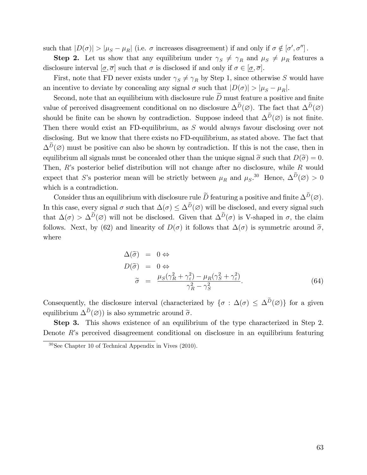such that  $|D(\sigma)| > |\mu_S - \mu_R|$  (i.e.  $\sigma$  increases disagreement) if and only if  $\sigma \notin [\sigma', \sigma'']$ .

**Step 2.** Let us show that any equilibrium under  $\gamma_S \neq \gamma_R$  and  $\mu_S \neq \mu_R$  features a disclosure interval  $[\underline{\sigma}, \overline{\sigma}]$  such that  $\sigma$  is disclosed if and only if  $\sigma \in [\underline{\sigma}, \overline{\sigma}]$ .

First, note that FD never exists under  $\gamma_S \neq \gamma_R$  by Step 1, since otherwise S would have an incentive to deviate by concealing any signal  $\sigma$  such that  $|D(\sigma)| > |\mu_S - \mu_R|$ .

Second, note that an equilibrium with disclosure rule  $\widetilde{D}$  must feature a positive and finite value of perceived disagreement conditional on no disclosure  $\Delta^D(\emptyset)$ . The fact that  $\Delta^D(\emptyset)$ should be finite can be shown by contradiction. Suppose indeed that  $\Delta^D(\emptyset)$  is not finite. Then there would exist an FD-equilibrium, as S would always favour disclosing over not disclosing. But we know that there exists no FD-equilibrium, as stated above. The fact that  $\Delta^D(\emptyset)$  must be positive can also be shown by contradiction. If this is not the case, then in equilibrium all signals must be concealed other than the unique signal  $\tilde{\sigma}$  such that  $D(\tilde{\sigma}) = 0$ . Then,  $R$ 's posterior belief distribution will not change after no disclosure, while  $R$  would expect that S's posterior mean will be strictly between  $\mu_R$  and  $\mu_S$ .<sup>30</sup> Hence,  $\Delta^D(\emptyset) > 0$ which is a contradiction.

Consider thus an equilibrium with disclosure rule  $\overline{D}$  featuring a positive and finite  $\Delta^D(\varnothing)$ . In this case, every signal  $\sigma$  such that  $\Delta(\sigma) \leq \Delta^D(\varnothing)$  will be disclosed, and every signal such that  $\Delta(\sigma) > \Delta^D(\emptyset)$  will not be disclosed. Given that  $\Delta^D(\sigma)$  is V-shaped in  $\sigma$ , the claim follows. Next, by (62) and linearity of  $D(\sigma)$  it follows that  $\Delta(\sigma)$  is symmetric around  $\tilde{\sigma}$ , where

$$
\Delta(\tilde{\sigma}) = 0 \Leftrightarrow \nD(\tilde{\sigma}) = 0 \Leftrightarrow \n\tilde{\sigma} = \frac{\mu_S(\gamma_R^2 + \gamma_\varepsilon^2) - \mu_R(\gamma_S^2 + \gamma_\varepsilon^2)}{\gamma_R^2 - \gamma_S^2}.
$$
\n(64)

Consequently, the disclosure interval (characterized by  $\{\sigma : \Delta(\sigma) \leq \Delta^D(\emptyset)\}\)$  for a given equilibrium  $\Delta^D(\varnothing)$ ) is also symmetric around  $\widetilde{\sigma}$ .

Step 3. This shows existence of an equilibrium of the type characterized in Step 2. Denote  $R$ 's perceived disagreement conditional on disclosure in an equilibrium featuring

 $30$ See Chapter 10 of Technical Appendix in Vives (2010).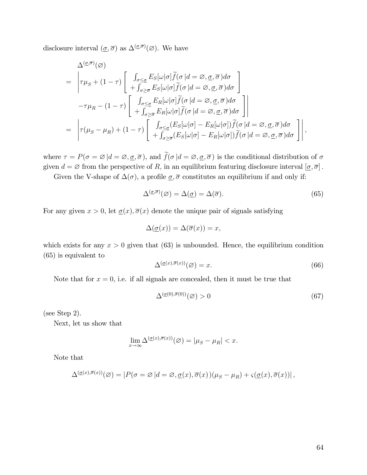disclosure interval  $(\underline{\sigma}, \overline{\sigma})$  as  $\Delta^{(\underline{\sigma}, \overline{\sigma})}(\varnothing)$ . We have

$$
\Delta^{(\underline{\sigma},\overline{\sigma})}(\varnothing) = \left| \tau \mu_S + (1-\tau) \begin{bmatrix} \int_{\sigma \leq \underline{\sigma}} E_S[\omega | \sigma] \tilde{f}(\sigma | d = \varnothing, \underline{\sigma}, \overline{\sigma}) d\sigma \\ + \int_{\sigma \geq \overline{\sigma}} E_S[\omega | \sigma] \tilde{f}(\sigma | d = \varnothing, \underline{\sigma}, \overline{\sigma}) d\sigma \end{bmatrix} \right| \n- \tau \mu_R - (1-\tau) \begin{bmatrix} \int_{\sigma \leq \underline{\sigma}} E_R[\omega | \sigma] \tilde{f}(\sigma | d = \varnothing, \underline{\sigma}, \overline{\sigma}) d\sigma \\ + \int_{\sigma \geq \overline{\sigma}} E_R[\omega | \sigma] \tilde{f}(\sigma | d = \varnothing, \underline{\sigma}, \overline{\sigma}) d\sigma \end{bmatrix} \right| \n= \left| \tau(\mu_S - \mu_R) + (1-\tau) \begin{bmatrix} \int_{\sigma \leq \underline{\sigma}} (E_S[\omega | \sigma] - E_R[\omega | \sigma]) \tilde{f}(\sigma | d = \varnothing, \underline{\sigma}, \overline{\sigma}) d\sigma \\ + \int_{\sigma \geq \overline{\sigma}} (E_S[\omega | \sigma] - E_R[\omega | \sigma]) \tilde{f}(\sigma | d = \varnothing, \underline{\sigma}, \overline{\sigma}) d\sigma \end{bmatrix} \right|,
$$

where  $\tau = P(\sigma = \varnothing | d = \varnothing, \underline{\sigma}, \overline{\sigma})$ , and  $\widetilde{f}(\sigma | d = \varnothing, \underline{\sigma}, \overline{\sigma})$  is the conditional distribution of  $\sigma$ given  $d = \emptyset$  from the perspective of R, in an equilibrium featuring disclosure interval  $[\underline{\sigma}, \overline{\sigma}]$ .

Given the V-shape of  $\Delta(\sigma)$ , a profile  $\underline{\sigma}, \overline{\sigma}$  constitutes an equilibrium if and only if:

$$
\Delta^{(\underline{\sigma}, \overline{\sigma})}(\varnothing) = \Delta(\underline{\sigma}) = \Delta(\overline{\sigma}).\tag{65}
$$

For any given  $x > 0$ , let  $\underline{\sigma}(x)$ ,  $\overline{\sigma}(x)$  denote the unique pair of signals satisfying

$$
\Delta(\underline{\sigma}(x)) = \Delta(\overline{\sigma}(x)) = x,
$$

which exists for any  $x > 0$  given that (63) is unbounded. Hence, the equilibrium condition (65) is equivalent to

$$
\Delta^{(\underline{\sigma}(x),\overline{\sigma}(x))}(\varnothing) = x.
$$
\n(66)

Note that for  $x = 0$ , i.e. if all signals are concealed, then it must be true that

$$
\Delta^{(\underline{\sigma}(0),\overline{\sigma}(0))}(\varnothing) > 0 \tag{67}
$$

(see Step 2).

Next, let us show that

$$
\lim_{x \to \infty} \Delta^{(\underline{\sigma}(x), \overline{\sigma}(x))}(\varnothing) = |\mu_S - \mu_R| < x.
$$

Note that

$$
\Delta^{(\underline{\sigma}(x),\overline{\sigma}(x))}(\varnothing) = |P(\sigma = \varnothing|d = \varnothing, \underline{\sigma}(x), \overline{\sigma}(x))(\mu_S - \mu_R) + \varsigma(\underline{\sigma}(x), \overline{\sigma}(x))|,
$$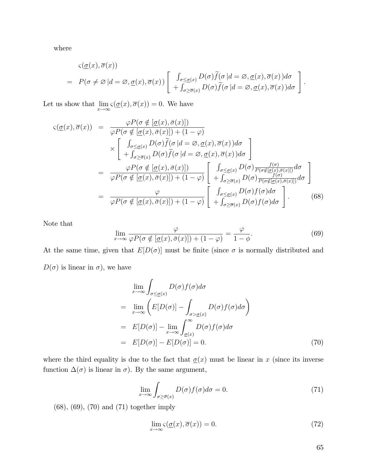where

$$
\varsigma(\underline{\sigma}(x),\overline{\sigma}(x))
$$
\n
$$
= P(\sigma \neq \varnothing | d = \varnothing, \underline{\sigma}(x),\overline{\sigma}(x)) \left[ \begin{array}{c} \int_{\sigma \leq \underline{\sigma}(x)} D(\sigma) \widetilde{f}(\sigma | d = \varnothing, \underline{\sigma}(x), \overline{\sigma}(x)) d\sigma \\ + \int_{\sigma \geq \overline{\sigma}(x)} D(\sigma) \widetilde{f}(\sigma | d = \varnothing, \underline{\sigma}(x), \overline{\sigma}(x)) d\sigma \end{array} \right]
$$

Let us show that  $\lim_{x \to \infty} \varsigma(\underline{\sigma}(x), \overline{\sigma}(x)) = 0$ . We have

$$
\varsigma(\underline{\sigma}(x),\overline{\sigma}(x)) = \frac{\varphi P(\sigma \notin [\underline{\sigma}(x),\overline{\sigma}(x)])}{\varphi P(\sigma \notin [\underline{\sigma}(x),\overline{\sigma}(x)]) + (1-\varphi)}
$$
\n
$$
\times \left[ \begin{array}{c} \int_{\sigma \leq \underline{\sigma}(x)} D(\sigma) \widetilde{f}(\sigma | d = \varnothing, \underline{\sigma}(x), \overline{\sigma}(x)) d\sigma \\ + \int_{\sigma \geq \overline{\sigma}(x)} D(\sigma) \widetilde{f}(\sigma | d = \varnothing, \underline{\sigma}(x), \overline{\sigma}(x)) d\sigma \end{array} \right]
$$
\n
$$
= \frac{\varphi P(\sigma \notin [\underline{\sigma}(x),\overline{\sigma}(x)])}{\varphi P(\sigma \notin [\underline{\sigma}(x),\overline{\sigma}(x)]) + (1-\varphi)} \left[ \begin{array}{c} \int_{\sigma \leq \underline{\sigma}(x)} D(\sigma) \frac{f(\sigma)}{P(\sigma \notin [\underline{\sigma}(x),\overline{\sigma}(x)])} d\sigma \\ + \int_{\sigma \geq \overline{\sigma}(x)} D(\sigma) \frac{f(\sigma)}{P(\sigma \notin [\underline{\sigma}(x),\overline{\sigma}(x)])} d\sigma \end{array} \right]
$$
\n
$$
= \frac{\varphi}{\varphi P(\sigma \notin [\underline{\sigma}(x),\overline{\sigma}(x)]) + (1-\varphi)} \left[ \begin{array}{c} \int_{\sigma \leq \underline{\sigma}(x)} D(\sigma) f(\sigma) d\sigma \\ + \int_{\sigma \geq \overline{\sigma}(x)} D(\sigma) f(\sigma) d\sigma \end{array} \right]. \tag{68}
$$

Note that

$$
\lim_{x \to \infty} \frac{\varphi}{\varphi P(\sigma \notin [\underline{\sigma}(x), \bar{\sigma}(x)]) + (1 - \varphi)} = \frac{\varphi}{1 - \phi}.
$$
\n(69)

At the same time, given that  $E[D(\sigma)]$  must be finite (since  $\sigma$  is normally distributed and  $D(\sigma)$  is linear in  $\sigma$ ), we have

$$
\lim_{x \to \infty} \int_{\sigma \leq \underline{\sigma}(x)} D(\sigma) f(\sigma) d\sigma
$$
\n
$$
= \lim_{x \to \infty} \left( E[D(\sigma)] - \int_{\sigma > \underline{\sigma}(x)} D(\sigma) f(\sigma) d\sigma \right)
$$
\n
$$
= E[D(\sigma)] - \lim_{x \to \infty} \int_{\underline{\sigma}(x)}^{\infty} D(\sigma) f(\sigma) d\sigma
$$
\n
$$
= E[D(\sigma)] - E[D(\sigma)] = 0. \tag{70}
$$

where the third equality is due to the fact that  $\underline{\sigma}(x)$  must be linear in x (since its inverse function  $\Delta(\sigma)$  is linear in  $\sigma$ ). By the same argument,

$$
\lim_{x \to \infty} \int_{\sigma \ge \overline{\sigma}(x)} D(\sigma) f(\sigma) d\sigma = 0.
$$
\n(71)

(68), (69), (70) and (71) together imply

$$
\lim_{x \to \infty} \varsigma(\underline{\sigma}(x), \overline{\sigma}(x)) = 0. \tag{72}
$$

: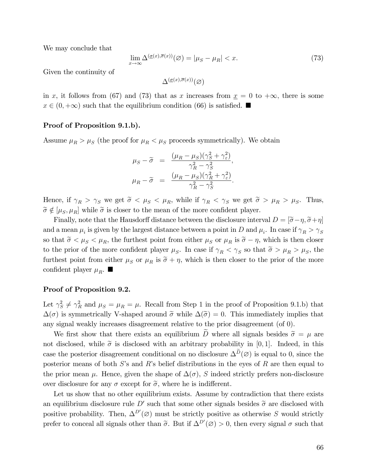We may conclude that

$$
\lim_{x \to \infty} \Delta^{(\underline{\sigma}(x), \overline{\sigma}(x))}(\varnothing) = |\mu_S - \mu_R| < x. \tag{73}
$$

Given the continuity of

 $\Delta^{(\underline{\sigma}(x),\overline{\sigma}(x))}(\varnothing)$ 

in x, it follows from (67) and (73) that as x increases from  $\underline{x} = 0$  to  $+\infty$ , there is some  $x \in (0, +\infty)$  such that the equilibrium condition (66) is satisfied.

#### Proof of Proposition 9.1.b).

Assume  $\mu_R > \mu_S$  (the proof for  $\mu_R < \mu_S$  proceeds symmetrically). We obtain

$$
\mu_S - \widetilde{\sigma} = \frac{(\mu_R - \mu_S)(\gamma_S^2 + \gamma_\varepsilon^2)}{\gamma_R^2 - \gamma_S^2},
$$

$$
\mu_R - \widetilde{\sigma} = \frac{(\mu_R - \mu_S)(\gamma_R^2 + \gamma_\varepsilon^2)}{\gamma_R^2 - \gamma_S^2}.
$$

Hence, if  $\gamma_R > \gamma_S$  we get  $\tilde{\sigma} < \mu_S < \mu_R$ , while if  $\gamma_R < \gamma_S$  we get  $\tilde{\sigma} > \mu_R > \mu_S$ . Thus,  $\widetilde{\sigma} \notin [\mu_S, \mu_R]$  while  $\widetilde{\sigma}$  is closer to the mean of the more confident player.

Finally, note that the Hausdorff distance between the disclosure interval  $D = [\tilde{\sigma} - \eta, \tilde{\sigma} + \eta]$ and a mean  $\mu_i$  is given by the largest distance between a point in D and  $\mu_i$ . In case if  $\gamma_R > \gamma_S$ so that  $\tilde{\sigma} < \mu_S < \mu_R$ , the furthest point from either  $\mu_S$  or  $\mu_R$  is  $\tilde{\sigma} - \eta$ , which is then closer to the prior of the more confident player  $\mu_S$ . In case if  $\gamma_R < \gamma_S$  so that  $\tilde{\sigma} > \mu_R > \mu_S$ , the furthest point from either  $\mu_S$  or  $\mu_R$  is  $\tilde{\sigma} + \eta$ , which is then closer to the prior of the more confident player  $\mu_R$ .

#### Proof of Proposition 9.2.

Let  $\gamma_S^2 \neq \gamma_R^2$  and  $\mu_S = \mu_R = \mu$ . Recall from Step 1 in the proof of Proposition 9.1.b) that  $\Delta(\sigma)$  is symmetrically V-shaped around  $\tilde{\sigma}$  while  $\Delta(\tilde{\sigma}) = 0$ . This immediately implies that any signal weakly increases disagreement relative to the prior disagreement (of 0).

We first show that there exists an equilibrium  $\tilde{D}$  where all signals besides  $\tilde{\sigma} = \mu$  are not disclosed, while  $\tilde{\sigma}$  is disclosed with an arbitrary probability in [0,1]. Indeed, in this case the posterior disagreement conditional on no disclosure  $\Delta^D(\emptyset)$  is equal to 0, since the posterior means of both  $S$ 's and  $R$ 's belief distributions in the eyes of  $R$  are then equal to the prior mean  $\mu$ . Hence, given the shape of  $\Delta(\sigma)$ , S indeed strictly prefers non-disclosure over disclosure for any  $\sigma$  except for  $\tilde{\sigma}$ , where he is indifferent.

Let us show that no other equilibrium exists. Assume by contradiction that there exists an equilibrium disclosure rule D' such that some other signals besides  $\tilde{\sigma}$  are disclosed with positive probability. Then,  $\Delta^{D'}(\emptyset)$  must be strictly positive as otherwise S would strictly prefer to conceal all signals other than  $\tilde{\sigma}$ . But if  $\Delta^{D'}(\emptyset) > 0$ , then every signal  $\sigma$  such that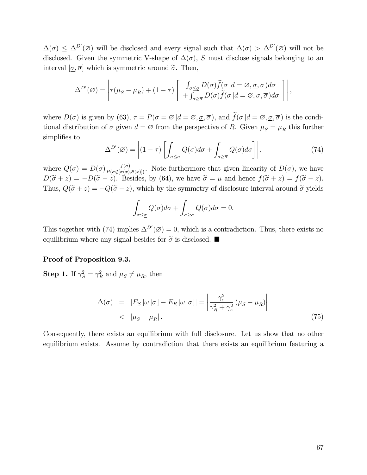$\Delta(\sigma) \leq \Delta^{D'}(\emptyset)$  will be disclosed and every signal such that  $\Delta(\sigma) > \Delta^{D'}(\emptyset)$  will not be disclosed. Given the symmetric V-shape of  $\Delta(\sigma)$ , S must disclose signals belonging to an interval  $[\sigma, \overline{\sigma}]$  which is symmetric around  $\tilde{\sigma}$ . Then,

$$
\Delta^{D'}(\varnothing) = \left| \tau(\mu_S - \mu_R) + (1 - \tau) \left[ \begin{array}{c} \int_{\sigma \leq \underline{\sigma}} D(\sigma) \widetilde{f}(\sigma) \, d = \varnothing, \underline{\sigma}, \overline{\sigma} \, d\sigma \\ + \int_{\sigma \geq \overline{\sigma}} D(\sigma) \widetilde{f}(\sigma) \, d = \varnothing, \underline{\sigma}, \overline{\sigma} \, d\sigma \end{array} \right] \right|,
$$

where  $D(\sigma)$  is given by (63),  $\tau = P(\sigma = \varnothing | d = \varnothing, \underline{\sigma}, \overline{\sigma})$ , and  $\widetilde{f}(\sigma | d = \varnothing, \underline{\sigma}, \overline{\sigma})$  is the conditional distribution of  $\sigma$  given  $d = \varnothing$  from the perspective of R. Given  $\mu_S = \mu_R$  this further simplifies to

$$
\Delta^{D'}(\varnothing) = \left| (1-\tau) \left[ \int_{\sigma \leq \underline{\sigma}} Q(\sigma) d\sigma + \int_{\sigma \geq \overline{\sigma}} Q(\sigma) d\sigma \right] \right|, \tag{74}
$$

where  $Q(\sigma) = D(\sigma) \frac{f(\sigma)}{P(\sigma \notin [\underline{\sigma}(x), \overline{\sigma}(x)])}$ . Note furthermore that given linearity of  $D(\sigma)$ , we have  $D(\tilde{\sigma} + z) = -D(\tilde{\sigma} - z)$ . Besides, by (64), we have  $\tilde{\sigma} = \mu$  and hence  $f(\tilde{\sigma} + z) = f(\tilde{\sigma} - z)$ . Thus,  $Q(\tilde{\sigma} + z) = -Q(\tilde{\sigma} - z)$ , which by the symmetry of disclosure interval around  $\tilde{\sigma}$  yields

$$
\int_{\sigma \leq \underline{\sigma}} Q(\sigma) d\sigma + \int_{\sigma \geq \overline{\sigma}} Q(\sigma) d\sigma = 0.
$$

This together with (74) implies  $\Delta^{D'}(\emptyset) = 0$ , which is a contradiction. Thus, there exists no equilibrium where any signal besides for  $\tilde{\sigma}$  is disclosed.

#### Proof of Proposition 9.3.

**Step 1.** If  $\gamma_S^2 = \gamma_R^2$  and  $\mu_S \neq \mu_R$ , then

$$
\Delta(\sigma) = |E_S[\omega|\sigma] - E_R[\omega|\sigma]| = \left| \frac{\gamma_{\varepsilon}^2}{\gamma_R^2 + \gamma_{\varepsilon}^2} (\mu_S - \mu_R) \right|
$$
  
<  $|\mu_S - \mu_R|.$  (75)

Consequently, there exists an equilibrium with full disclosure. Let us show that no other equilibrium exists. Assume by contradiction that there exists an equilibrium featuring a